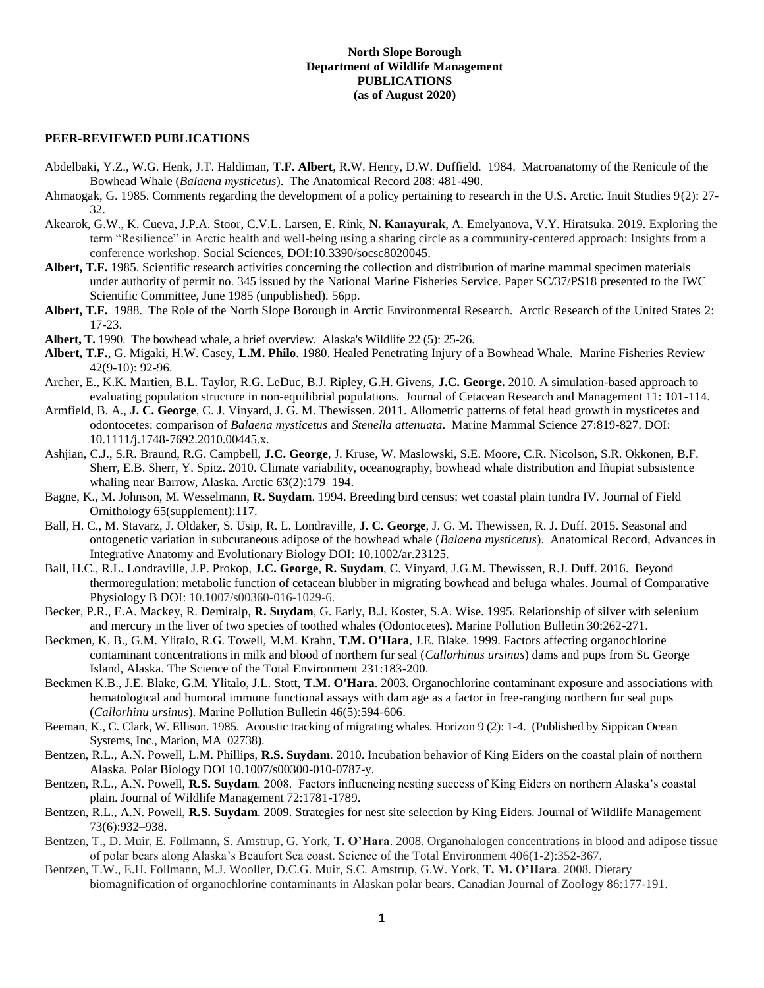# **North Slope Borough Department of Wildlife Management PUBLICATIONS (as of August 2020)**

#### **PEER-REVIEWED PUBLICATIONS**

- Abdelbaki, Y.Z., W.G. Henk, J.T. Haldiman, **T.F. Albert**, R.W. Henry, D.W. Duffield. 1984. Macroanatomy of the Renicule of the Bowhead Whale (*Balaena mysticetus*). The Anatomical Record 208: 481-490.
- Ahmaogak, G. 1985. Comments regarding the development of a policy pertaining to research in the U.S. Arctic. Inuit Studies 9(2): 27- 32.
- Akearok, G.W., K. Cueva, J.P.A. Stoor, C.V.L. Larsen, E. Rink, **N. Kanayurak**, A. Emelyanova, V.Y. Hiratsuka. 2019. Exploring the term "Resilience" in Arctic health and well-being using a sharing circle as a community-centered approach: Insights from a conference workshop. Social Sciences, DOI:10.3390/socsc8020045.
- **Albert, T.F.** 1985. Scientific research activities concerning the collection and distribution of marine mammal specimen materials under authority of permit no. 345 issued by the National Marine Fisheries Service. Paper SC/37/PS18 presented to the IWC Scientific Committee, June 1985 (unpublished). 56pp.
- **Albert, T.F.** 1988. The Role of the North Slope Borough in Arctic Environmental Research. Arctic Research of the United States 2: 17-23.
- **Albert, T.** 1990. The bowhead whale, a brief overview. Alaska's Wildlife 22 (5): 25-26.
- **Albert, T.F.**, G. Migaki, H.W. Casey, **L.M. Philo**. 1980. Healed Penetrating Injury of a Bowhead Whale. Marine Fisheries Review 42(9-10): 92-96.
- Archer, E., K.K. Martien, B.L. Taylor, R.G. LeDuc, B.J. Ripley, G.H. Givens, **J.C. George.** 2010. A simulation-based approach to evaluating population structure in non-equilibrial populations. Journal of Cetacean Research and Management 11: 101-114.
- Armfield, B. A., **J. C. George**, C. J. Vinyard, J. G. M. Thewissen. 2011. Allometric patterns of fetal head growth in mysticetes and odontocetes: comparison of *Balaena mysticetus* and *Stenella attenuata*. Marine Mammal Science 27:819-827. DOI: 10.1111/j.1748-7692.2010.00445.x.
- Ashjian, C.J., S.R. Braund, R.G. Campbell, **J.C. George**, J. Kruse, W. Maslowski, S.E. Moore, C.R. Nicolson, S.R. Okkonen, B.F. Sherr, E.B. Sherr, Y. Spitz. 2010. Climate variability, oceanography, bowhead whale distribution and Iñupiat subsistence whaling near Barrow, Alaska. Arctic 63(2):179–194.
- Bagne, K., M. Johnson, M. Wesselmann, **R. Suydam**. 1994. Breeding bird census: wet coastal plain tundra IV. Journal of Field Ornithology 65(supplement):117.
- Ball, H. C., M. Stavarz, J. Oldaker, S. Usip, R. L. Londraville, **J. C. George**, J. G. M. Thewissen, R. J. Duff. 2015. Seasonal and ontogenetic variation in subcutaneous adipose of the bowhead whale (*Balaena mysticetus*). Anatomical Record, Advances in Integrative Anatomy and Evolutionary Biology DOI: 10.1002/ar.23125.
- Ball, H.C., R.L. Londraville, J.P. Prokop, **J.C. George**, **R. Suydam**, C. Vinyard, J.G.M. Thewissen, R.J. Duff. 2016. Beyond thermoregulation: metabolic function of cetacean blubber in migrating bowhead and beluga whales. Journal of Comparative Physiology B DOI: 10.1007/s00360-016-1029-6.
- Becker, P.R., E.A. Mackey, R. Demiralp, **R. Suydam**, G. Early, B.J. Koster, S.A. Wise. 1995. Relationship of silver with selenium and mercury in the liver of two species of toothed whales (Odontocetes). Marine Pollution Bulletin 30:262-271.
- Beckmen, K. B., G.M. Ylitalo, R.G. Towell, M.M. Krahn, **T.M. O'Hara**, J.E. Blake. 1999. Factors affecting organochlorine contaminant concentrations in milk and blood of northern fur seal (*Callorhinus ursinus*) dams and pups from St. George Island, Alaska. The Science of the Total Environment 231:183-200.
- Beckmen K.B., J.E. Blake, G.M. Ylitalo, J.L. Stott, **T.M. O'Hara**. 2003. Organochlorine contaminant exposure and associations with hematological and humoral immune functional assays with dam age as a factor in free-ranging northern fur seal pups (*Callorhinu ursinus*). Marine Pollution Bulletin 46(5):594-606.
- Beeman, K., C. Clark, W. Ellison. 1985. Acoustic tracking of migrating whales. Horizon 9 (2): 1-4. (Published by Sippican Ocean Systems, Inc., Marion, MA 02738).
- Bentzen, R.L., A.N. Powell, L.M. Phillips, **R.S. Suydam**. 2010. Incubation behavior of King Eiders on the coastal plain of northern Alaska. Polar Biology DOI 10.1007/s00300-010-0787-y.
- Bentzen, R.L., A.N. Powell, **R.S. Suydam**. 2008. Factors influencing nesting success of King Eiders on northern Alaska's coastal plain. Journal of Wildlife Management 72:1781-1789.
- Bentzen, R.L., A.N. Powell, **R.S. Suydam**. 2009. Strategies for nest site selection by King Eiders. Journal of Wildlife Management 73(6):932–938.
- Bentzen, T., D. Muir, E. Follmann**,** S. Amstrup, G. York, **T. O'Hara**. 2008. Organohalogen concentrations in blood and adipose tissue of polar bears along Alaska's Beaufort Sea coast. Science of the Total Environment 406(1-2):352-367.
- Bentzen, T.W., E.H. Follmann, M.J. Wooller, D.C.G. Muir, S.C. Amstrup, G.W. York, **T. M. O'Hara**. 2008. Dietary biomagnification of organochlorine contaminants in Alaskan polar bears. Canadian Journal of Zoology 86:177-191.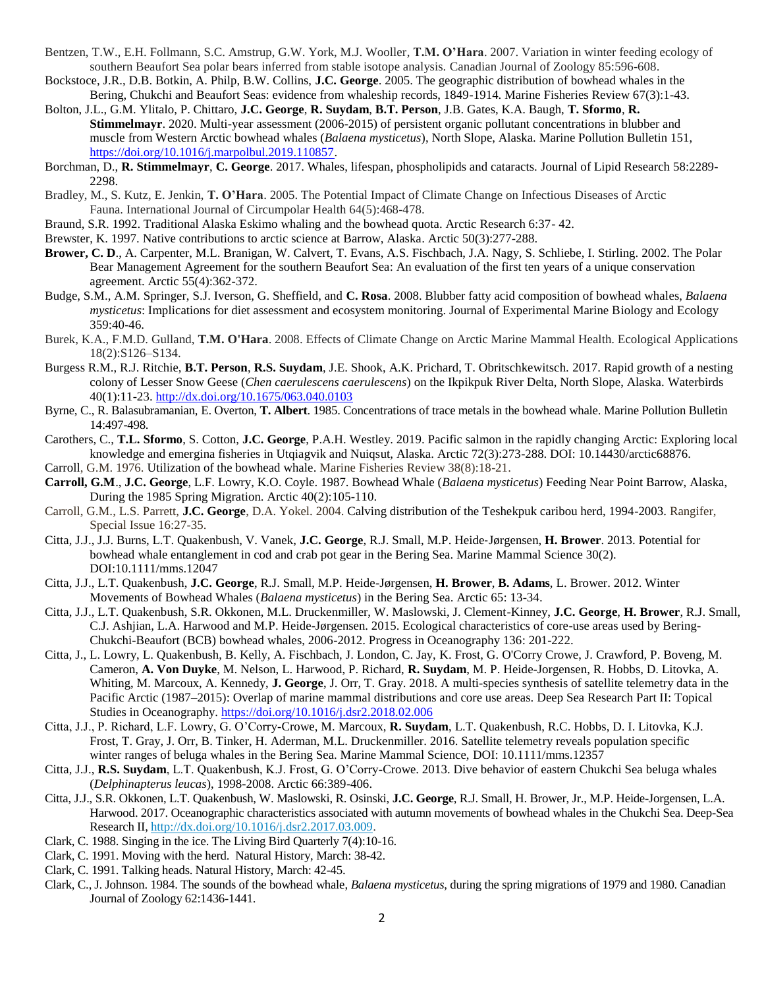- Bentzen, T.W., E.H. Follmann, S.C. Amstrup, G.W. York, M.J. Wooller, **T.M. O'Hara**. 2007. Variation in winter feeding ecology of southern Beaufort Sea polar bears inferred from stable isotope analysis. Canadian Journal of Zoology 85:596-608.
- Bockstoce, J.R., D.B. Botkin, A. Philp, B.W. Collins, **J.C. George**. 2005. The geographic distribution of bowhead whales in the Bering, Chukchi and Beaufort Seas: evidence from whaleship records, 1849-1914. Marine Fisheries Review 67(3):1-43.
- Bolton, J.L., G.M. Ylitalo, P. Chittaro, **J.C. George**, **R. Suydam**, **B.T. Person**, J.B. Gates, K.A. Baugh, **T. Sformo**, **R. Stimmelmayr**. 2020. Multi-year assessment (2006-2015) of persistent organic pollutant concentrations in blubber and muscle from Western Arctic bowhead whales (*Balaena mysticetus*), North Slope, Alaska. Marine Pollution Bulletin 151, [https://doi.org/10.1016/j.marpolbul.2019.110857.](https://doi.org/10.1016/j.marpolbul.2019.110857)
- Borchman, D., **R. Stimmelmayr**, **C. George**. 2017. Whales, lifespan, phospholipids and cataracts. Journal of Lipid Research 58:2289- 2298.
- Bradley, M., S. Kutz, E. Jenkin, **T. O'Hara**. 2005. The Potential Impact of Climate Change on Infectious Diseases of Arctic Fauna. International Journal of Circumpolar Health 64(5):468-478.
- Braund, S.R. 1992. Traditional Alaska Eskimo whaling and the bowhead quota. Arctic Research 6:37- 42.
- Brewster, K. 1997. [Native contributions to arctic science at Barrow, Alaska.](http://www.north-slope.org/assets/images/uploads/Brewster.%201997.%20Native%20Contributions%20to%20Arctic%20Science%20at%20Barrow%20AK.pdf) Arctic 50(3):277-288.
- **Brower, C. D**., A. Carpenter, M.L. Branigan, W. Calvert, T. Evans, A.S. Fischbach, J.A. Nagy, S. Schliebe, I. Stirling. 2002. The Polar Bear Management Agreement for the southern Beaufort Sea: An evaluation of the first ten years of a unique conservation agreement. Arctic 55(4):362-372.
- Budge, S.M., A.M. Springer, S.J. Iverson, G. Sheffield, and **C. Rosa**. 2008. Blubber fatty acid composition of bowhead whales, *Balaena mysticetus*: Implications for diet assessment and ecosystem monitoring. Journal of Experimental Marine Biology and Ecology 359:40-46.
- Burek, K.A., F.M.D. Gulland, **T.M. O'Hara**. 2008. Effects of Climate Change on Arctic Marine Mammal Health. Ecological Applications 18(2):S126–S134.
- Burgess R.M., R.J. Ritchie, **B.T. Person**, **R.S. Suydam**, J.E. Shook, A.K. Prichard, T. Obritschkewitsch. 2017. Rapid growth of a nesting colony of Lesser Snow Geese (*Chen caerulescens caerulescens*) on the Ikpikpuk River Delta, North Slope, Alaska. Waterbirds 40(1):11-23. <http://dx.doi.org/10.1675/063.040.0103>
- Byrne, C., R. Balasubramanian, E. Overton, **T. Albert**. 1985. Concentrations of trace metals in the bowhead whale. Marine Pollution Bulletin 14:497-498.
- Carothers, C., **T.L. Sformo**, S. Cotton, **J.C. George**, P.A.H. Westley. 2019. [Pacific salmon in the rapidly changing Arctic: Exploring local](http://www.north-slope.org/assets/images/uploads/Arctic_Salmon_Carothers_et_al_Sept2019.pdf)  [knowledge and emergina fisheries in Utqiagvik and Nuiqsut, Alaska.](http://www.north-slope.org/assets/images/uploads/Arctic_Salmon_Carothers_et_al_Sept2019.pdf) Arctic 72(3):273-288. DOI: 10.14430/arctic68876. Carroll, G.M. 1976. [Utilization of the bowhead whale.](http://www.north-slope.org/assets/images/uploads/Carroll,%20G.%201976%20Utilization%20of%20the%20Bowhead%20Whale.pdf) Marine Fisheries Review 38(8):18-21.
- **Carroll, G.M**., **J.C. George**, L.F. Lowry, K.O. Coyle. 1987. Bowhead Whale (*Balaena mysticetus*) Feeding Near Point Barrow, Alaska, During the 1985 Spring Migration. Arctic 40(2):105-110.
- Carroll, G.M., L.S. Parrett, **J.C. George**, D.A. Yokel. 2004. Calving distribution of the Teshekpuk caribou herd, 1994-2003. Rangifer, Special Issue 16:27-35.
- Citta, J.J., J.J. Burns, L.T. Quakenbush, V. Vanek, **J.C. George**, R.J. Small, M.P. Heide‐Jørgensen, **H. Brower**. 2013. Potential for bowhead whale entanglement in cod and crab pot gear in the Bering Sea. Marine Mammal Science 30(2). DOI:10.1111/mms.12047
- Citta, J.J., L.T. Quakenbush, **J.C. George**, R.J. Small, M.P. Heide-Jørgensen, **H. Brower**, **B. Adams**, L. Brower. 2012. Winter Movements of Bowhead Whales (*Balaena mysticetus*) in the Bering Sea. Arctic 65: 13-34.
- Citta, J.J., L.T. Quakenbush, S.R. Okkonen, M.L. Druckenmiller, W. Maslowski, J. Clement-Kinney, **J.C. George**, **H. Brower**, R.J. Small, C.J. Ashjian, L.A. Harwood and M.P. Heide-Jørgensen. 2015. Ecological characteristics of core-use areas used by Bering-Chukchi-Beaufort (BCB) bowhead whales, 2006-2012. Progress in Oceanography 136: 201-222.
- Citta, J., L. Lowry, L. Quakenbush, B. Kelly, A. Fischbach, J. London, C. Jay, K. Frost, G. O'Corry Crowe, J. Crawford, P. Boveng, M. Cameron, **A. Von Duyke**, M. Nelson, L. Harwood, P. Richard, **R. Suydam**, M. P. Heide-Jorgensen, R. Hobbs, D. Litovka, A. Whiting, M. Marcoux, A. Kennedy, **J. George**, J. Orr, T. Gray. 2018. A multi-species synthesis of satellite telemetry data in the Pacific Arctic (1987–2015): Overlap of marine mammal distributions and core use areas. Deep Sea Research Part II: Topical Studies in Oceanography. <https://doi.org/10.1016/j.dsr2.2018.02.006>
- Citta, J.J., P. Richard, L.F. Lowry, G. O'Corry-Crowe, M. Marcoux, **R. Suydam**, L.T. Quakenbush, R.C. Hobbs, D. I. Litovka, K.J. Frost, T. Gray, J. Orr, B. Tinker, H. Aderman, M.L. Druckenmiller. 2016. Satellite telemetry reveals population specific winter ranges of beluga whales in the Bering Sea. Marine Mammal Science, DOI: 10.1111/mms.12357
- Citta, J.J., **R.S. Suydam**, L.T. Quakenbush, K.J. Frost, G. O'Corry-Crowe. 2013. Dive behavior of eastern Chukchi Sea beluga whales (*Delphinapterus leucas*), 1998-2008. Arctic 66:389-406.
- Citta, J.J., S.R. Okkonen, L.T. Quakenbush, W. Maslowski, R. Osinski, **J.C. George**, R.J. Small, H. Brower, Jr., M.P. Heide-Jorgensen, L.A. Harwood. 2017. Oceanographic characteristics associated with autumn movements of bowhead whales in the Chukchi Sea. Deep-Sea Research II, http://dx.doi.org/10.1016/j.dsr2.2017.03.009.
- Clark, C. 1988. Singing in the ice. The Living Bird Quarterly 7(4):10-16.
- Clark, C. 1991. Moving with the herd. Natural History, March: 38-42.
- Clark, C. 1991. Talking heads. Natural History, March: 42-45.
- Clark, C., J. Johnson. 1984. The sounds of the bowhead whale, *Balaena mysticetus*, during the spring migrations of 1979 and 1980. Canadian Journal of Zoology 62:1436-1441.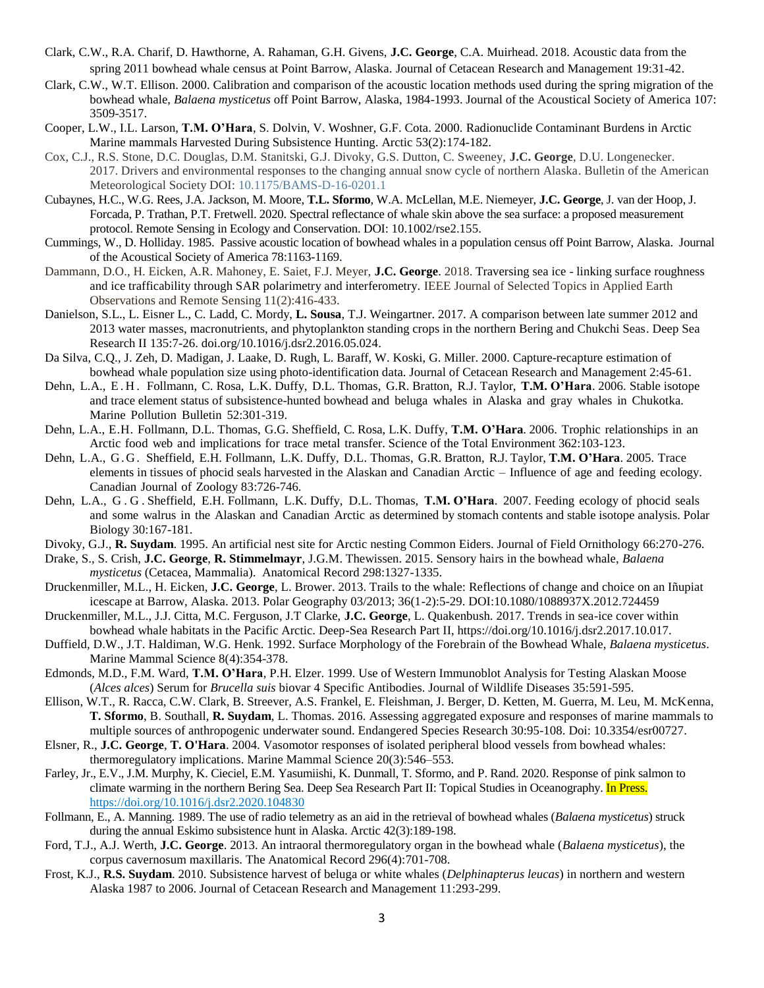- Clark, C.W., R.A. Charif, D. Hawthorne, A. Rahaman, G.H. Givens, **J.C. George**, C.A. Muirhead. 2018. Acoustic data from the spring 2011 bowhead whale census at Point Barrow, Alaska. Journal of Cetacean Research and Management 19:31-42.
- Clark, C.W., W.T. Ellison. 2000. Calibration and comparison of the acoustic location methods used during the spring migration of the bowhead whale, *Balaena mysticetus* off Point Barrow, Alaska, 1984-1993. Journal of the Acoustical Society of America 107: 3509-3517.
- Cooper, L.W., I.L. Larson, **T.M. O'Hara**, S. Dolvin, V. Woshner, G.F. Cota. 2000. Radionuclide Contaminant Burdens in Arctic Marine mammals Harvested During Subsistence Hunting. Arctic 53(2):174-182.
- Cox, C.J., R.S. Stone, D.C. Douglas, D.M. Stanitski, G.J. Divoky, G.S. Dutton, C. Sweeney, **J.C. George**, D.U. Longenecker. 2017. Drivers and environmental responses to the changing annual snow cycle of northern Alaska. Bulletin of the American Meteorological Society DOI: [10.1175/BAMS-D-16-0201.1](http://dx.doi.org/10.1175/BAMS-D-16-0201.1)
- Cubaynes, H.C., W.G. Rees, J.A. Jackson, M. Moore, **T.L. Sformo**, W.A. McLellan, M.E. Niemeyer, **J.C. George**, J. van der Hoop, J. Forcada, P. Trathan, P.T. Fretwell. 2020. Spectral reflectance of whale skin above the sea surface: a proposed measurement protocol. Remote Sensing in Ecology and Conservation. DOI: 10.1002/rse2.155.
- Cummings, W., D. Holliday. 1985. Passive acoustic location of bowhead whales in a population census off Point Barrow, Alaska. Journal of the Acoustical Society of America 78:1163-1169.
- Dammann, D.O., H. Eicken, A.R. Mahoney, E. Saiet, F.J. Meyer, **J.C. George**. 2018. Traversing sea ice linking surface roughness and ice trafficability through SAR polarimetry and interferometry. IEEE Journal of Selected Topics in Applied Earth Observations and Remote Sensing 11(2):416-433.
- Danielson, S.L., L. Eisner L., C. Ladd, C. Mordy, **L. Sousa**, T.J. Weingartner. 2017. A comparison between late summer 2012 and 2013 water masses, macronutrients, and phytoplankton standing crops in the northern Bering and Chukchi Seas. Deep Sea Research II 135:7-26. doi.org/10.1016/j.dsr2.2016.05.024.
- Da Silva, C.Q., J. Zeh, D. Madigan, J. Laake, D. Rugh, L. Baraff, W. Koski, G. Miller. 2000. Capture-recapture estimation of bowhead whale population size using photo-identification data. Journal of Cetacean Research and Management 2:45-61.
- Dehn, L.A., E . H . Follmann, C. Rosa, L.K. Duffy, D.L. Thomas, G.R. Bratton, R.J. Taylor, **T.M. O'Hara**. 2006. Stable isotope and trace element status of subsistence-hunted bowhead and beluga whales in Alaska and gray whales in Chukotka. Marine Pollution Bulletin 52:301-319.
- Dehn, L.A., E.H. Follmann, D.L. Thomas, G.G. Sheffield, C. Rosa, L.K. Duffy, **T.M. O'Hara**. 2006. Trophic relationships in an Arctic food web and implications for trace metal transfer. Science of the Total Environment 362:103-123.
- Dehn, L.A., G . G . Sheffield, E.H. Follmann, L.K. Duffy, D.L. Thomas, G.R. Bratton, R.J. Taylor, **T.M. O'Hara**. 2005. Trace elements in tissues of phocid seals harvested in the Alaskan and Canadian Arctic – Influence of age and feeding ecology. Canadian Journal of Zoology 83:726-746.
- Dehn, L.A., G . G . Sheffield, E.H. Follmann, L.K. Duffy, D.L. Thomas, **T.M. O'Hara**. 2007. Feeding ecology of phocid seals and some walrus in the Alaskan and Canadian Arctic as determined by stomach contents and stable isotope analysis. Polar Biology 30:167-181.
- Divoky, G.J., **R. Suydam**. 1995. An artificial nest site for Arctic nesting Common Eiders. Journal of Field Ornithology 66:270-276.
- Drake, S., S. Crish, **J.C. George**, **R. Stimmelmayr**, J.G.M. Thewissen. 2015. Sensory hairs in the bowhead whale, *Balaena mysticetus* (Cetacea, Mammalia). Anatomical Record 298:1327-1335.
- Druckenmiller, M.L., H. Eicken, **J.C. George**, L. Brower. 2013. Trails to the whale: Reflections of change and choice on an Iñupiat icescape at Barrow, Alaska. 2013. Polar Geography 03/2013; 36(1-2):5-29. DOI:10.1080/1088937X.2012.724459
- Druckenmiller, M.L., J.J. Citta, M.C. Ferguson, J.T Clarke, **J.C. George**, L. Quakenbush. 2017. Trends in sea-ice cover within bowhead whale habitats in the Pacific Arctic. Deep-Sea Research Part II, https://doi.org/10.1016/j.dsr2.2017.10.017.
- Duffield, D.W., J.T. Haldiman, W.G. Henk. 1992. Surface Morphology of the Forebrain of the Bowhead Whale, *Balaena mysticetus*. Marine Mammal Science 8(4):354-378.
- Edmonds, M.D., F.M. Ward, **T.M. O'Hara**, P.H. Elzer. 1999. Use of Western Immunoblot Analysis for Testing Alaskan Moose (*Alces alces*) Serum for *Brucella suis* biovar 4 Specific Antibodies. Journal of Wildlife Diseases 35:591-595.
- Ellison, W.T., R. Racca, C.W. Clark, B. Streever, A.S. Frankel, E. Fleishman, J. Berger, D. Ketten, M. Guerra, M. Leu, M. McKenna, **T. Sformo**, B. Southall, **R. Suydam**, L. Thomas. 2016. Assessing aggregated exposure and responses of marine mammals to multiple sources of anthropogenic underwater sound. Endangered Species Research 30:95-108. Doi: 10.3354/esr00727.
- Elsner, R., **J.C. George**, **T. O'Hara**. 2004. Vasomotor responses of isolated peripheral blood vessels from bowhead whales: thermoregulatory implications. Marine Mammal Science 20(3):546–553.
- Farley, Jr., E.V., J.M. Murphy, K. Cieciel, E.M. Yasumiishi, K. Dunmall, T. Sformo, and P. Rand. 2020. Response of pink salmon to climate warming in the northern Bering Sea. Deep Sea Research Part II: Topical Studies in Oceanography. In Press. <https://doi.org/10.1016/j.dsr2.2020.104830>
- Follmann, E., A. Manning. 1989. The use of radio telemetry as an aid in the retrieval of bowhead whales (*Balaena mysticetus*) struck during the annual Eskimo subsistence hunt in Alaska. Arctic 42(3):189-198.
- Ford, T.J., A.J. Werth, **J.C. George**. 2013. An intraoral thermoregulatory organ in the bowhead whale (*Balaena mysticetus*), the corpus cavernosum maxillaris. The Anatomical Record 296(4):701-708.
- Frost, K.J., **R.S. Suydam**. 2010. Subsistence harvest of beluga or white whales (*Delphinapterus leucas*) in northern and western Alaska 1987 to 2006. Journal of Cetacean Research and Management 11:293-299.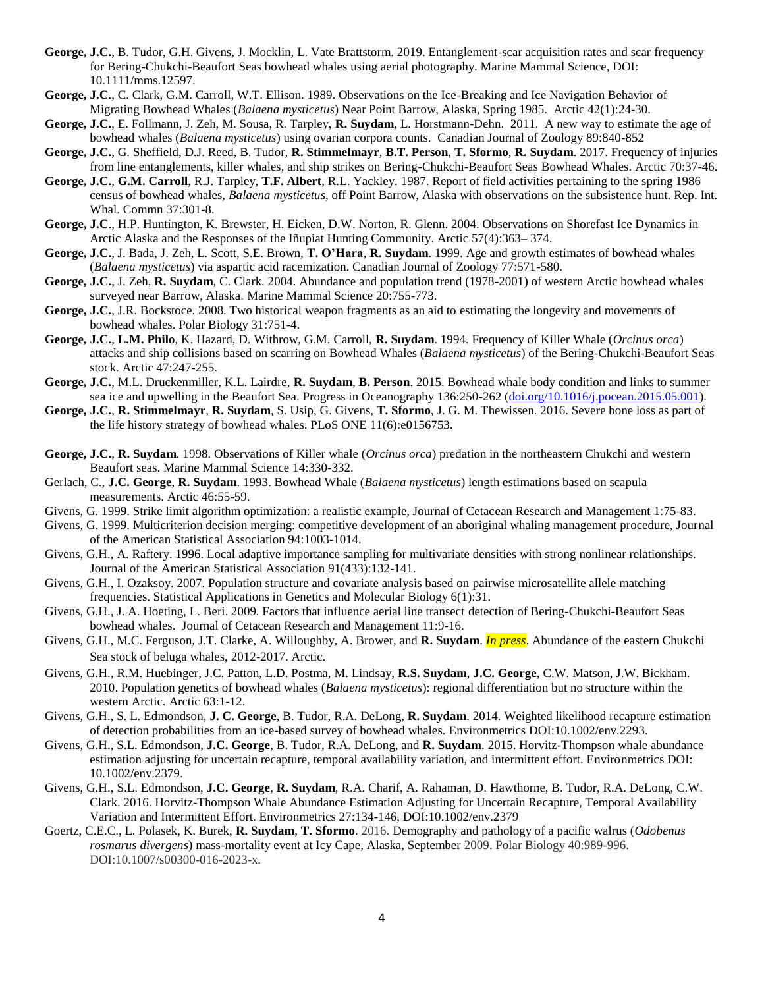- **George, J.C.**, B. Tudor, G.H. Givens, J. Mocklin, L. Vate Brattstorm. 2019. Entanglement-scar acquisition rates and scar frequency for Bering-Chukchi-Beaufort Seas bowhead whales using aerial photography. Marine Mammal Science, DOI: 10.1111/mms.12597.
- **George, J.C**., C. Clark, G.M. Carroll, W.T. Ellison. 1989. Observations on the Ice-Breaking and Ice Navigation Behavior of Migrating Bowhead Whales (*Balaena mysticetus*) Near Point Barrow, Alaska, Spring 1985. Arctic 42(1):24-30.
- **George, J.C.**, E. Follmann, J. Zeh, M. Sousa, R. Tarpley, **R. Suydam**, L. Horstmann-Dehn. 2011. A new way to estimate the age of bowhead whales (*Balaena mysticetus*) using ovarian corpora counts. Canadian Journal of Zoology 89:840-852
- **George, J.C.**, G. Sheffield, D.J. Reed, B. Tudor, **R. Stimmelmayr**, **B.T. Person**, **T. Sformo**, **R. Suydam**. 2017. Frequency of injuries from line entanglements, killer whales, and ship strikes on Bering-Chukchi-Beaufort Seas Bowhead Whales. Arctic 70:37-46.
- **George, J.C.**, **G.M. Carroll**, R.J. Tarpley, **T.F. Albert**, R.L. Yackley. 1987. Report of field activities pertaining to the spring 1986 census of bowhead whales, *Balaena mysticetus*, off Point Barrow, Alaska with observations on the subsistence hunt. Rep. Int. Whal. Commn 37:301-8.
- **George, J.C**., H.P. Huntington, K. Brewster, H. Eicken, D.W. Norton, R. Glenn. 2004. Observations on Shorefast Ice Dynamics in Arctic Alaska and the Responses of the Iñupiat Hunting Community. Arctic 57(4):363– 374.
- **George, J.C.**, J. Bada, J. Zeh, L. Scott, S.E. Brown, **T. O'Hara**, **R. Suydam**. 1999. Age and growth estimates of bowhead whales (*Balaena mysticetus*) via aspartic acid racemization. Canadian Journal of Zoology 77:571-580.
- **George, J.C.**, J. Zeh, **R. Suydam**, C. Clark. 2004. Abundance and population trend (1978-2001) of western Arctic bowhead whales surveyed near Barrow, Alaska. Marine Mammal Science 20:755-773.
- **George, J.C.**, J.R. Bockstoce. 2008. Two historical weapon fragments as an aid to estimating the longevity and movements of bowhead whales. Polar Biology 31:751-4.
- **George, J.C.**, **L.M. Philo**, K. Hazard, D. Withrow, G.M. Carroll, **R. Suydam**. 1994. Frequency of Killer Whale (*Orcinus orca*) attacks and ship collisions based on scarring on Bowhead Whales (*Balaena mysticetus*) of the Bering-Chukchi-Beaufort Seas stock. Arctic 47:247-255.
- **George, J.C.**, M.L. Druckenmiller, K.L. Lairdre, **R. Suydam**, **B. Person**. 2015. Bowhead whale body condition and links to summer sea ice and upwelling in the Beaufort Sea. Progress in Oceanography 136:250-262 [\(doi.org/10.1016/j.pocean.2015.05.001\)](http://dx.doi.org/10.1016/j.pocean.2015.05.001).
- **George, J.C.**, **R. Stimmelmayr**, **R. Suydam**, S. Usip, G. Givens, **T. Sformo**, J. G. M. Thewissen. 2016. Severe bone loss as part of the life history strategy of bowhead whales. PLoS ONE 11(6):e0156753.
- **George, J.C.**, **R. Suydam**. 1998. Observations of Killer whale (*Orcinus orca*) predation in the northeastern Chukchi and western Beaufort seas. Marine Mammal Science 14:330-332.
- Gerlach, C., **J.C. George**, **R. Suydam**. 1993. Bowhead Whale (*Balaena mysticetus*) length estimations based on scapula measurements. Arctic 46:55-59.
- Givens, G. 1999. Strike limit algorithm optimization: a realistic example, Journal of Cetacean Research and Management 1:75-83.
- Givens, G. 1999. Multicriterion decision merging: competitive development of an aboriginal whaling management procedure, Journal of the American Statistical Association 94:1003-1014.
- Givens, G.H., A. Raftery. 1996. Local adaptive importance sampling for multivariate densities with strong nonlinear relationships. Journal of the American Statistical Association 91(433):132-141.
- Givens, G.H., I. Ozaksoy. 2007. Population structure and covariate analysis based on pairwise microsatellite allele matching frequencies. Statistical Applications in Genetics and Molecular Biology 6(1):31.
- Givens, G.H., J. A. Hoeting, L. Beri. 2009. Factors that influence aerial line transect detection of Bering-Chukchi-Beaufort Seas bowhead whales. Journal of Cetacean Research and Management 11:9-16.
- Givens, G.H., M.C. Ferguson, J.T. Clarke, A. Willoughby, A. Brower, and **R. Suydam**. *In press*. Abundance of the eastern Chukchi Sea stock of beluga whales, 2012-2017. Arctic.
- Givens, G.H., R.M. Huebinger, J.C. Patton, L.D. Postma, M. Lindsay, **R.S. Suydam**, **J.C. George**, C.W. Matson, J.W. Bickham. 2010. Population genetics of bowhead whales (*Balaena mysticetus*): regional differentiation but no structure within the western Arctic. Arctic 63:1-12.
- Givens, G.H., S. L. Edmondson, **J. C. George**, B. Tudor, R.A. DeLong, **R. Suydam**. 2014. Weighted likelihood recapture estimation of detection probabilities from an ice-based survey of bowhead whales. Environmetrics DOI:10.1002/env.2293.
- Givens, G.H., S.L. Edmondson, **J.C. George**, B. Tudor, R.A. DeLong, and **R. Suydam**. 2015. Horvitz-Thompson whale abundance estimation adjusting for uncertain recapture, temporal availability variation, and intermittent effort. Environmetrics DOI: 10.1002/env.2379.
- Givens, G.H., S.L. Edmondson, **J.C. George**, **R. Suydam**, R.A. Charif, A. Rahaman, D. Hawthorne, B. Tudor, R.A. DeLong, C.W. Clark. 2016. Horvitz-Thompson Whale Abundance Estimation Adjusting for Uncertain Recapture, Temporal Availability Variation and Intermittent Effort. Environmetrics 27:134-146, DOI:10.1002/env.2379
- Goertz, C.E.C., L. Polasek, K. Burek, **R. Suydam**, **T. Sformo**. 2016. Demography and pathology of a pacific walrus (*Odobenus rosmarus divergens*) mass-mortality event at Icy Cape, Alaska, September 2009. Polar Biology 40:989-996. DOI:10.1007/s00300-016-2023-x.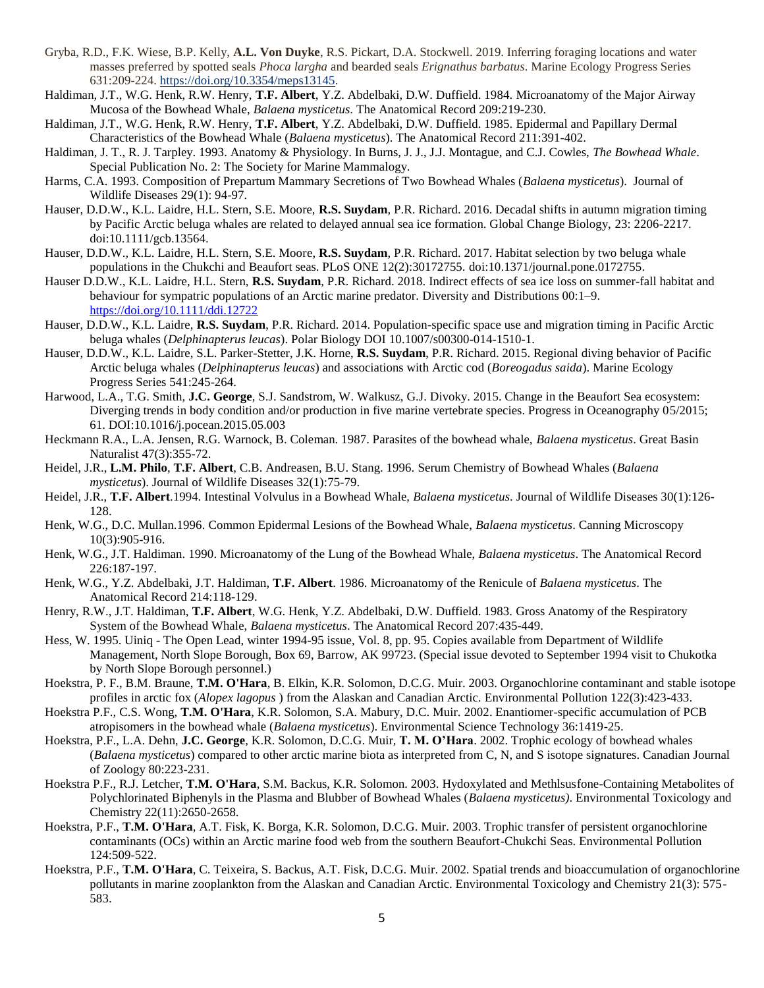- Gryba, R.D., F.K. Wiese, B.P. Kelly, **A.L. Von Duyke**, R.S. Pickart, D.A. Stockwell. 2019. Inferring foraging locations and water masses preferred by spotted seals *Phoca largha* and bearded seals *Erignathus barbatus*. Marine Ecology Progress Series 631:209-224. [https://doi.org/10.3354/meps13145.](https://doi.org/10.3354/meps13145)
- Haldiman, J.T., W.G. Henk, R.W. Henry, **T.F. Albert**, Y.Z. Abdelbaki, D.W. Duffield. 1984. Microanatomy of the Major Airway Mucosa of the Bowhead Whale, *Balaena mysticetus*. The Anatomical Record 209:219-230.
- Haldiman, J.T., W.G. Henk, R.W. Henry, **T.F. Albert**, Y.Z. Abdelbaki, D.W. Duffield. 1985. Epidermal and Papillary Dermal Characteristics of the Bowhead Whale (*Balaena mysticetus*). The Anatomical Record 211:391-402.
- Haldiman, J. T., R. J. Tarpley. 1993. Anatomy & Physiology. In Burns, J. J., J.J. Montague, and C.J. Cowles, *The Bowhead Whale*. Special Publication No. 2: The Society for Marine Mammalogy.
- Harms, C.A. 1993. Composition of Prepartum Mammary Secretions of Two Bowhead Whales (*Balaena mysticetus*). Journal of Wildlife Diseases 29(1): 94-97.
- Hauser, D.D.W., K.L. Laidre, H.L. Stern, S.E. Moore, **R.S. Suydam**, P.R. Richard. 2016. Decadal shifts in autumn migration timing by Pacific Arctic beluga whales are related to delayed annual sea ice formation. Global Change Biology, 23: 2206-2217. doi:10.1111/gcb.13564.
- Hauser, D.D.W., K.L. Laidre, H.L. Stern, S.E. Moore, **R.S. Suydam**, P.R. Richard. 2017. Habitat selection by two beluga whale populations in the Chukchi and Beaufort seas. PLoS ONE 12(2):30172755. doi:10.1371/journal.pone.0172755.
- Hauser D.D.W., K.L. Laidre, H.L. Stern, **R.S. Suydam**, P.R. Richard. 2018. Indirect effects of sea ice loss on summer-fall habitat and behaviour for sympatric populations of an Arctic marine predator. Diversity and Distributions 00:1–9. <https://doi.org/10.1111/ddi.12722>
- Hauser, D.D.W., K.L. Laidre, **R.S. Suydam**, P.R. Richard. 2014. Population-specific space use and migration timing in Pacific Arctic beluga whales (*Delphinapterus leucas*). Polar Biology DOI 10.1007/s00300-014-1510-1.
- Hauser, D.D.W., K.L. Laidre, S.L. Parker-Stetter, J.K. Horne, **R.S. Suydam**, P.R. Richard. 2015. Regional diving behavior of Pacific Arctic beluga whales (*Delphinapterus leucas*) and associations with Arctic cod (*Boreogadus saida*). Marine Ecology Progress Series 541:245-264.
- Harwood, L.A., T.G. Smith, **J.C. George**, S.J. Sandstrom, W. Walkusz, G.J. Divoky. 2015. Change in the Beaufort Sea ecosystem: Diverging trends in body condition and/or production in five marine vertebrate species. Progress in Oceanography 05/2015; 61. DOI:10.1016/j.pocean.2015.05.003
- Heckmann R.A., L.A. Jensen, R.G. Warnock, B. Coleman. 1987. Parasites of the bowhead whale, *Balaena mysticetus*. Great Basin Naturalist 47(3):355-72.
- Heidel, J.R., **L.M. Philo**, **T.F. Albert**, C.B. Andreasen, B.U. Stang. 1996. Serum Chemistry of Bowhead Whales (*Balaena mysticetus*). Journal of Wildlife Diseases 32(1):75-79.
- Heidel, J.R., **T.F. Albert**.1994. Intestinal Volvulus in a Bowhead Whale, *Balaena mysticetus*. Journal of Wildlife Diseases 30(1):126- 128.
- Henk, W.G., D.C. Mullan.1996. Common Epidermal Lesions of the Bowhead Whale, *Balaena mysticetus*. Canning Microscopy 10(3):905-916.
- Henk, W.G., J.T. Haldiman. 1990. Microanatomy of the Lung of the Bowhead Whale, *Balaena mysticetus*. The Anatomical Record 226:187-197.
- Henk, W.G., Y.Z. Abdelbaki, J.T. Haldiman, **T.F. Albert**. 1986. Microanatomy of the Renicule of *Balaena mysticetus*. The Anatomical Record 214:118-129.
- Henry, R.W., J.T. Haldiman, **T.F. Albert**, W.G. Henk, Y.Z. Abdelbaki, D.W. Duffield. 1983. Gross Anatomy of the Respiratory System of the Bowhead Whale, *Balaena mysticetus*. The Anatomical Record 207:435-449.
- Hess, W. 1995. Uiniq The Open Lead, winter 1994-95 issue, Vol. 8, pp. 95. Copies available from Department of Wildlife Management, North Slope Borough, Box 69, Barrow, AK 99723. (Special issue devoted to September 1994 visit to Chukotka by North Slope Borough personnel.)
- Hoekstra, P. F., B.M. Braune, **T.M. O'Hara**, B. Elkin, K.R. Solomon, D.C.G. Muir. 2003. Organochlorine contaminant and stable isotope profiles in arctic fox (*Alopex lagopus* ) from the Alaskan and Canadian Arctic. Environmental Pollution 122(3):423-433.
- Hoekstra P.F., C.S. Wong, **T.M. O'Hara**, K.R. Solomon, S.A. Mabury, D.C. Muir. 2002. Enantiomer-specific accumulation of PCB atropisomers in the bowhead whale (*Balaena mysticetus*). Environmental Science Technology 36:1419-25.
- Hoekstra, P.F., L.A. Dehn, **J.C. George**, K.R. Solomon, D.C.G. Muir, **T. M. O'Hara**. 2002. Trophic ecology of bowhead whales (*Balaena mysticetus*) compared to other arctic marine biota as interpreted from C, N, and S isotope signatures. Canadian Journal of Zoology 80:223-231.
- Hoekstra P.F., R.J. Letcher, **T.M. O'Hara**, S.M. Backus, K.R. Solomon. 2003. Hydoxylated and Methlsusfone-Containing Metabolites of Polychlorinated Biphenyls in the Plasma and Blubber of Bowhead Whales (*Balaena mysticetus)*. Environmental Toxicology and Chemistry 22(11):2650-2658.
- Hoekstra, P.F., **T.M. O'Hara**, A.T. Fisk, K. Borga, K.R. Solomon, D.C.G. Muir. 2003. Trophic transfer of persistent organochlorine contaminants (OCs) within an Arctic marine food web from the southern Beaufort-Chukchi Seas. Environmental Pollution 124:509-522.
- Hoekstra, P.F., **T.M. O'Hara**, C. Teixeira, S. Backus, A.T. Fisk, D.C.G. Muir. 2002. Spatial trends and bioaccumulation of organochlorine pollutants in marine zooplankton from the Alaskan and Canadian Arctic. Environmental Toxicology and Chemistry 21(3): 575- 583.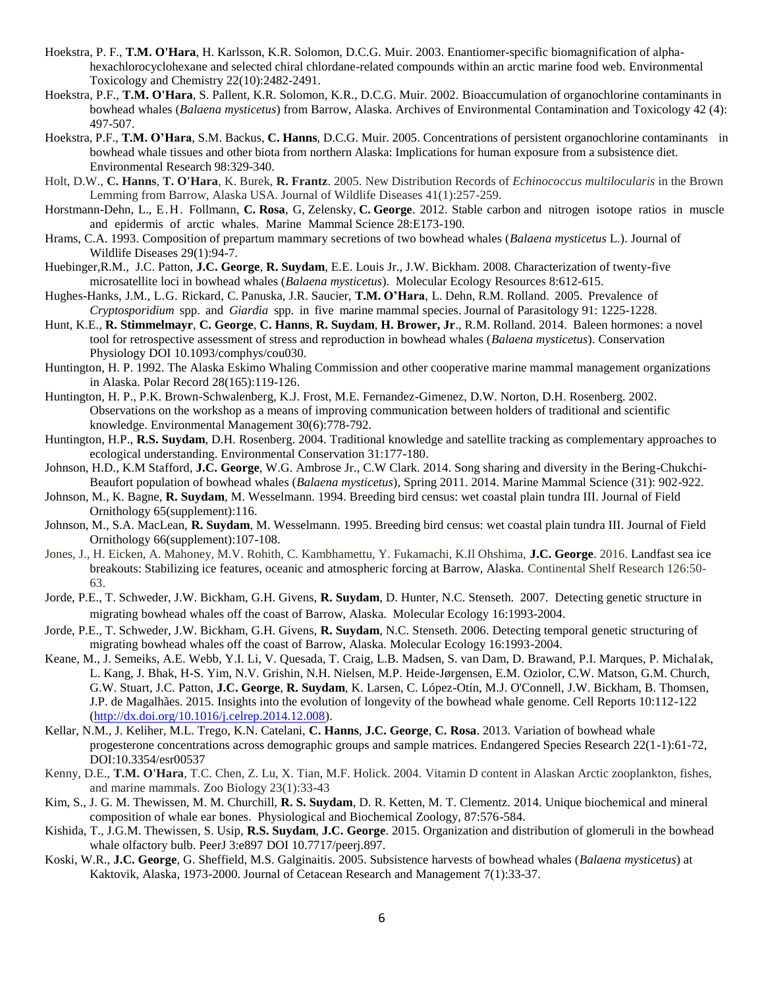- Hoekstra, P. F., **T.M. O'Hara**, H. Karlsson, K.R. Solomon, D.C.G. Muir. 2003. Enantiomer-specific biomagnification of alphahexachlorocyclohexane and selected chiral chlordane-related compounds within an arctic marine food web. Environmental Toxicology and Chemistry 22(10):2482-2491.
- Hoekstra, P.F., **T.M. O'Hara**, S. Pallent, K.R. Solomon, K.R., D.C.G. Muir. 2002. Bioaccumulation of organochlorine contaminants in bowhead whales (*Balaena mysticetus*) from Barrow, Alaska. Archives of Environmental Contamination and Toxicology 42 (4): 497-507.
- Hoekstra, P.F., **T.M. O'Hara**, S.M. Backus, **C. Hanns**, D.C.G. Muir. 2005. Concentrations of persistent organochlorine contaminants in bowhead whale tissues and other biota from northern Alaska: Implications for human exposure from a subsistence diet. Environmental Research 98:329-340.
- Holt, D.W., **C. Hanns**, **T. O'Hara**, K. Burek, **R. Frantz**. 2005. New Distribution Records of *Echinococcus multilocularis* in the Brown Lemming from Barrow, Alaska USA. Journal of Wildlife Diseases 41(1):257-259.
- Horstmann-Dehn, L., E.H. Follmann, **C. Rosa**, G, Zelensky, **C. George**. 2012. Stable carbon and nitrogen isotope ratios in muscle and epidermis of arctic whales. Marine Mammal Science 28:E173-190.
- Hrams, C.A. 1993. Composition of prepartum mammary secretions of two bowhead whales (*Balaena mysticetus* L.). Journal of Wildlife Diseases 29(1):94-7.
- Huebinger,R.M., J.C. Patton, **J.C. George**, **R. Suydam**, E.E. Louis Jr., J.W. Bickham. 2008. Characterization of twenty-five microsatellite loci in bowhead whales (*Balaena mysticetus*). Molecular Ecology Resources 8:612-615.
- Hughes-Hanks, J.M., L.G. Rickard, C. Panuska, J.R. Saucier, **T.M. O'Hara**, L. Dehn, R.M. Rolland. 2005. Prevalence of *Cryptosporidium* spp. and *Giardia* spp. in five marine mammal species. Journal of Parasitology 91: 1225-1228.
- Hunt, K.E., **R. Stimmelmayr**, **C. George**, **C. Hanns**, **R. Suydam**, **H. Brower, Jr**., R.M. Rolland. 2014. Baleen hormones: a novel tool for retrospective assessment of stress and reproduction in bowhead whales (*Balaena mysticetus*). Conservation Physiology DOI 10.1093/comphys/cou030.
- Huntington, H. P. 1992. The Alaska Eskimo Whaling Commission and other cooperative marine mammal management organizations in Alaska. Polar Record 28(165):119-126.
- Huntington, H. P., P.K. Brown-Schwalenberg, K.J. Frost, M.E. Fernandez-Gimenez, D.W. Norton, D.H. Rosenberg. 2002. Observations on the workshop as a means of improving communication between holders of traditional and scientific knowledge. Environmental Management 30(6):778-792.
- Huntington, H.P., **R.S. Suydam**, D.H. Rosenberg. 2004. Traditional knowledge and satellite tracking as complementary approaches to ecological understanding. Environmental Conservation 31:177-180.
- Johnson, H.D., K.M Stafford, **J.C. George**, W.G. Ambrose Jr., C.W Clark. 2014. Song sharing and diversity in the Bering-Chukchi-Beaufort population of bowhead whales (*Balaena mysticetus*), Spring 2011. 2014. Marine Mammal Science (31): 902-922.
- Johnson, M., K. Bagne, **R. Suydam**, M. Wesselmann. 1994. Breeding bird census: wet coastal plain tundra III. Journal of Field Ornithology 65(supplement):116.
- Johnson, M., S.A. MacLean, **R. Suydam**, M. Wesselmann. 1995. Breeding bird census: wet coastal plain tundra III. Journal of Field Ornithology 66(supplement):107-108.
- Jones, J., H. Eicken, A. Mahoney, M.V. Rohith, C. Kambhamettu, Y. Fukamachi, K.Il Ohshima, **J.C. George**. 2016. Landfast sea ice breakouts: Stabilizing ice features, oceanic and atmospheric forcing at Barrow, Alaska. Continental Shelf Research 126:50- 63.
- Jorde, P.E., T. Schweder, J.W. Bickham, G.H. Givens, **R. Suydam**, D. Hunter, N.C. Stenseth. 2007. Detecting genetic structure in migrating bowhead whales off the coast of Barrow, Alaska. Molecular Ecology 16:1993-2004.
- Jorde, P.E., T. Schweder, J.W. Bickham, G.H. Givens, **R. Suydam**, N.C. Stenseth. 2006. Detecting temporal genetic structuring of migrating bowhead whales off the coast of Barrow, Alaska. Molecular Ecology 16:1993-2004.
- Keane, M., J. Semeiks, A.E. Webb, Y.I. Li, V. Quesada, T. Craig, L.B. Madsen, S. van Dam, D. Brawand, P.I. Marques, P. Michalak, L. Kang, J. Bhak, H-S. Yim, N.V. Grishin, N.H. Nielsen, M.P. Heide-Jørgensen, E.M. Oziolor, C.W. Matson, G.M. Church, G.W. Stuart, J.C. Patton, **J.C. George**, **R. Suydam**, K. Larsen, C. López-Otín, M.J. O'Connell, J.W. Bickham, B. Thomsen, J.P. de Magalhães. 2015. Insights into the evolution of longevity of the bowhead whale genome. Cell Reports 10:112-122 [\(http://dx.doi.org/10.1016/j.celrep.2014.12.008\)](http://dx.doi.org/10.1016/j.celrep.2014.12.008).
- Kellar, N.M., J. Keliher, M.L. Trego, K.N. Catelani, **C. Hanns**, **J.C. George**, **C. Rosa**. 2013. Variation of bowhead whale progesterone concentrations across demographic groups and sample matrices. Endangered Species Research 22(1-1):61-72, DOI:10.3354/esr00537
- Kenny, D.E., **T.M. O'Hara**, T.C. Chen, Z. Lu, X. Tian, M.F. Holick. 2004. Vitamin D content in Alaskan Arctic zooplankton, fishes, and marine mammals. Zoo Biology 23(1):33-43
- Kim, S., J. G. M. Thewissen, M. M. Churchill, **R. S. Suydam**, D. R. Ketten, M. T. Clementz. 2014. Unique biochemical and mineral composition of whale ear bones. Physiological and Biochemical Zoology, 87:576-584.
- Kishida, T., J.G.M. Thewissen, S. Usip, **R.S. Suydam**, **J.C. George**. 2015. Organization and distribution of glomeruli in the bowhead whale olfactory bulb. PeerJ 3:e897 DOI 10.7717/peerj.897.
- Koski, W.R., **J.C. George**, G. Sheffield, M.S. Galginaitis. 2005. Subsistence harvests of bowhead whales (*Balaena mysticetus*) at Kaktovik, Alaska, 1973-2000. Journal of Cetacean Research and Management 7(1):33-37.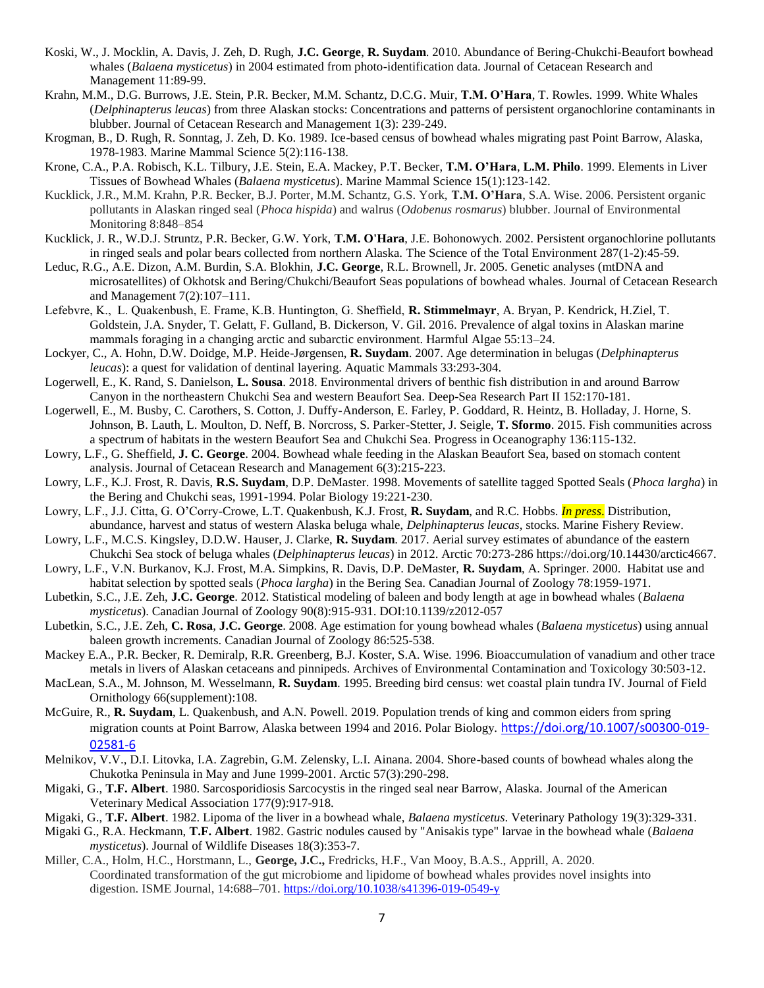- Koski, W., J. Mocklin, A. Davis, J. Zeh, D. Rugh, **J.C. George**, **R. Suydam**. 2010. Abundance of Bering-Chukchi-Beaufort bowhead whales (*Balaena mysticetus*) in 2004 estimated from photo-identification data. Journal of Cetacean Research and Management 11:89-99.
- Krahn, M.M., D.G. Burrows, J.E. Stein, P.R. Becker, M.M. Schantz, D.C.G. Muir, **T.M. O'Hara**, T. Rowles. 1999. White Whales (*Delphinapterus leucas*) from three Alaskan stocks: Concentrations and patterns of persistent organochlorine contaminants in blubber. Journal of Cetacean Research and Management 1(3): 239-249.
- Krogman, B., D. Rugh, R. Sonntag, J. Zeh, D. Ko. 1989. Ice-based census of bowhead whales migrating past Point Barrow, Alaska, 1978-1983. Marine Mammal Science 5(2):116-138.
- Krone, C.A., P.A. Robisch, K.L. Tilbury, J.E. Stein, E.A. Mackey, P.T. Becker, **T.M. O'Hara**, **L.M. Philo**. 1999. Elements in Liver Tissues of Bowhead Whales (*Balaena mysticetus*). Marine Mammal Science 15(1):123-142.
- Kucklick, J.R., M.M. Krahn, P.R. Becker, B.J. Porter, M.M. Schantz, G.S. York, **T.M. O'Hara**, S.A. Wise. 2006. Persistent organic pollutants in Alaskan ringed seal (*Phoca hispida*) and walrus (*Odobenus rosmarus*) blubber. Journal of Environmental Monitoring 8:848–854
- Kucklick, J. R., W.D.J. Struntz, P.R. Becker, G.W. York, **T.M. O'Hara**, J.E. Bohonowych. 2002. Persistent organochlorine pollutants in ringed seals and polar bears collected from northern Alaska. The Science of the Total Environment 287(1-2):45-59.
- Leduc, R.G., A.E. Dizon, A.M. Burdin, S.A. Blokhin, **J.C. George**, R.L. Brownell, Jr. 2005. Genetic analyses (mtDNA and microsatellites) of Okhotsk and Bering/Chukchi/Beaufort Seas populations of bowhead whales. Journal of Cetacean Research and Management 7(2):107–111.
- Lefebvre, K., L. Quakenbush, E. Frame, K.B. Huntington, G. Sheffield, **R. Stimmelmayr**, A. Bryan, P. Kendrick, H.Ziel, T. Goldstein, J.A. Snyder, T. Gelatt, F. Gulland, B. Dickerson, V. Gil. 2016. Prevalence of algal toxins in Alaskan marine mammals foraging in a changing arctic and subarctic environment. Harmful Algae 55:13–24.
- Lockyer, C., A. Hohn, D.W. Doidge, M.P. Heide-Jørgensen, **R. Suydam**. 2007. Age determination in belugas (*Delphinapterus leucas*): a quest for validation of dentinal layering. Aquatic Mammals 33:293-304.
- Logerwell, E., K. Rand, S. Danielson, **L. Sousa**. 2018. Environmental drivers of benthic fish distribution in and around Barrow Canyon in the northeastern Chukchi Sea and western Beaufort Sea. Deep-Sea Research Part II 152:170-181.
- Logerwell, E., M. Busby, C. Carothers, S. Cotton, J. Duffy-Anderson, E. Farley, P. Goddard, R. Heintz, B. Holladay, J. Horne, S. Johnson, B. Lauth, L. Moulton, D. Neff, B. Norcross, S. Parker-Stetter, J. Seigle, **T. Sformo**. 2015. Fish communities across a spectrum of habitats in the western Beaufort Sea and Chukchi Sea. Progress in Oceanography 136:115-132.
- Lowry, L.F., G. Sheffield, **J. C. George**. 2004. Bowhead whale feeding in the Alaskan Beaufort Sea, based on stomach content analysis. Journal of Cetacean Research and Management 6(3):215-223.
- Lowry, L.F., K.J. Frost, R. Davis, **R.S. Suydam**, D.P. DeMaster. 1998. Movements of satellite tagged Spotted Seals (*Phoca largha*) in the Bering and Chukchi seas, 1991-1994. Polar Biology 19:221-230.
- Lowry, L.F., J.J. Citta, G. O'Corry-Crowe, L.T. Quakenbush, K.J. Frost, **R. Suydam**, and R.C. Hobbs. *In press*. Distribution, abundance, harvest and status of western Alaska beluga whale, *Delphinapterus leucas*, stocks. Marine Fishery Review.
- Lowry, L.F., M.C.S. Kingsley, D.D.W. Hauser, J. Clarke, **R. Suydam**. 2017. Aerial survey estimates of abundance of the eastern Chukchi Sea stock of beluga whales (*Delphinapterus leucas*) in 2012. Arctic 70:273-286 https://doi.org/10.14430/arctic4667.
- Lowry, L.F., V.N. Burkanov, K.J. Frost, M.A. Simpkins, R. Davis, D.P. DeMaster, **R. Suydam**, A. Springer. 2000. Habitat use and habitat selection by spotted seals (*Phoca largha*) in the Bering Sea. Canadian Journal of Zoology 78:1959-1971.
- Lubetkin, S.C., J.E. Zeh, **J.C. George**. 2012. Statistical modeling of baleen and body length at age in bowhead whales (*Balaena mysticetus*). Canadian Journal of Zoology 90(8):915-931. DOI:10.1139/z2012-057
- Lubetkin, S.C*.,* J.E. Zeh, **C. Rosa**, **J.C. George**. 2008. [Age estimation for young bowhead whales \(](http://www.north-slope.org/assets/images/uploads/lubetkin%20et%20al%202008%20can%20j%20zoo.pdf)*Balaena mysticetus*) using annual [baleen growth increments.](http://www.north-slope.org/assets/images/uploads/lubetkin%20et%20al%202008%20can%20j%20zoo.pdf) Canadian Journal of Zoology 86:525-538.
- Mackey E.A., P.R. Becker, R. Demiralp, R.R. Greenberg, B.J. Koster, S.A. Wise. 1996. Bioaccumulation of vanadium and other trace metals in livers of Alaskan cetaceans and pinnipeds. Archives of Environmental Contamination and Toxicology 30:503-12.
- MacLean, S.A., M. Johnson, M. Wesselmann, **R. Suydam**. 1995. Breeding bird census: wet coastal plain tundra IV. Journal of Field Ornithology 66(supplement):108.
- McGuire, R., **R. Suydam**, L. Quakenbush, and A.N. Powell. 2019. Population trends of king and common eiders from spring migration counts at Point Barrow, Alaska between 1994 and 2016. Polar Biology. [https://doi.org/10.1007/s00300-019-](https://doi.org/10.1007/s00300-019-02581-6) [02581-6](https://doi.org/10.1007/s00300-019-02581-6)
- Melnikov, V.V., D.I. Litovka, I.A. Zagrebin, G.M. Zelensky, L.I. Ainana. 2004. Shore-based counts of bowhead whales along the Chukotka Peninsula in May and June 1999-2001. Arctic 57(3):290-298.
- Migaki, G., **T.F. Albert**. 1980. Sarcosporidiosis Sarcocystis in the ringed seal near Barrow, Alaska. Journal of the American Veterinary Medical Association 177(9):917-918.
- Migaki, G., **T.F. Albert**. 1982. Lipoma of the liver in a bowhead whale, *Balaena mysticetus*. Veterinary Pathology 19(3):329-331.
- Migaki G., R.A. Heckmann, **T.F. Albert**. 1982. Gastric nodules caused by "Anisakis type" larvae in the bowhead whale (*Balaena mysticetus*). Journal of Wildlife Diseases 18(3):353-7.
- Miller, C.A., Holm, H.C., Horstmann, L., **George, J.C.,** Fredricks, H.F., Van Mooy, B.A.S., Apprill, A. 2020. Coordinated transformation of the gut microbiome and lipidome of bowhead whales provides novel insights into digestion. ISME Journal, 14:688–701.<https://doi.org/10.1038/s41396-019-0549-y>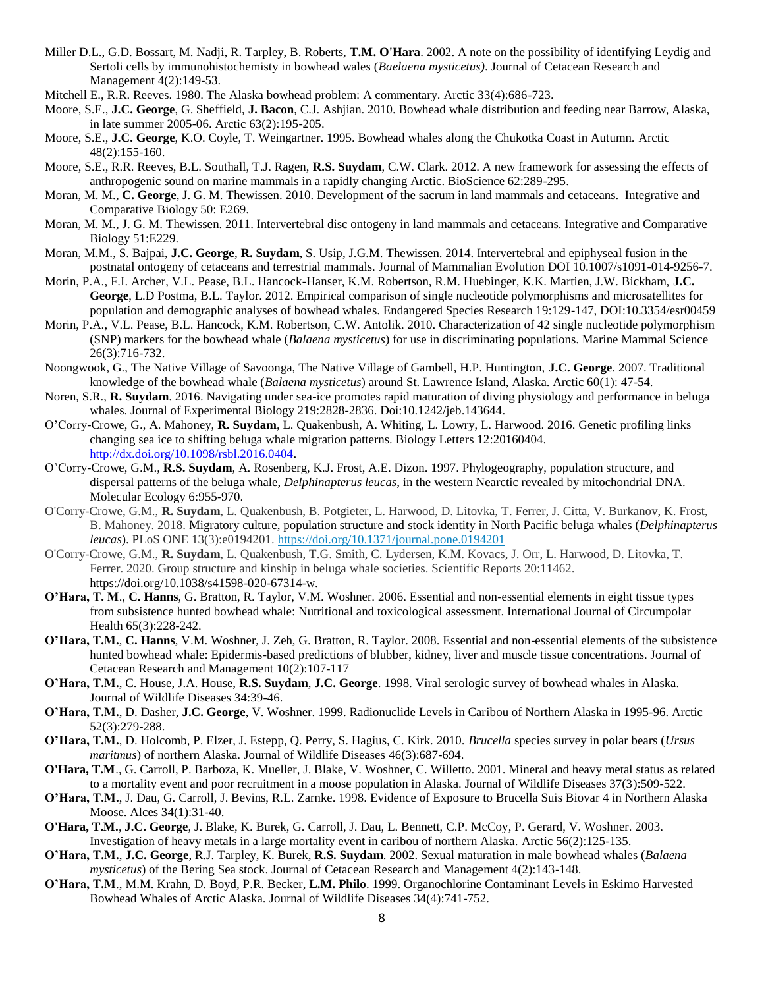- Miller D.L., G.D. Bossart, M. Nadji, R. Tarpley, B. Roberts, **T.M. O'Hara**. 2002. A note on the possibility of identifying Leydig and Sertoli cells by immunohistochemisty in bowhead wales (*Baelaena mysticetus)*. Journal of Cetacean Research and Management 4(2):149-53.
- Mitchell E., R.R. Reeves. 1980. The Alaska bowhead problem: A commentary. Arctic 33(4):686-723.
- Moore, S.E., **J.C. George**, G. Sheffield, **J. Bacon**, C.J. Ashjian. 2010. Bowhead whale distribution and feeding near Barrow, Alaska, in late summer 2005-06. Arctic 63(2):195-205.
- Moore, S.E., **J.C. George**, K.O. Coyle, T. Weingartner. 1995. Bowhead whales along the Chukotka Coast in Autumn. Arctic 48(2):155-160.
- Moore, S.E., R.R. Reeves, B.L. Southall, T.J. Ragen, **R.S. Suydam**, C.W. Clark. 2012. A new framework for assessing the effects of anthropogenic sound on marine mammals in a rapidly changing Arctic. BioScience 62:289-295.
- Moran, M. M., **C. George**, J. G. M. Thewissen. 2010. Development of the sacrum in land mammals and cetaceans. Integrative and Comparative Biology 50: E269.
- Moran, M. M., J. G. M. Thewissen. 2011. Intervertebral disc ontogeny in land mammals and cetaceans. Integrative and Comparative Biology 51:E229.
- Moran, M.M., S. Bajpai, **J.C. George**, **R. Suydam**, S. Usip, J.G.M. Thewissen. 2014. Intervertebral and epiphyseal fusion in the postnatal ontogeny of cetaceans and terrestrial mammals. Journal of Mammalian Evolution DOI 10.1007/s1091-014-9256-7.
- Morin, P.A., F.I. Archer, V.L. Pease, B.L. Hancock-Hanser, K.M. Robertson, R.M. Huebinger, K.K. Martien, J.W. Bickham, **J.C. George**, L.D Postma, B.L. Taylor. 2012. Empirical comparison of single nucleotide polymorphisms and microsatellites for population and demographic analyses of bowhead whales. Endangered Species Research 19:129-147, DOI:10.3354/esr00459
- Morin, P.A., V.L. Pease, B.L. Hancock, K.M. Robertson, C.W. Antolik. 2010. Characterization of 42 single nucleotide polymorphism (SNP) markers for the bowhead whale (*Balaena mysticetus*) for use in discriminating populations. Marine Mammal Science 26(3):716-732.
- Noongwook, G., The Native Village of Savoonga, The Native Village of Gambell, H.P. Huntington, **J.C. George**. 2007. Traditional knowledge of the bowhead whale (*Balaena mysticetus*) around St. Lawrence Island, Alaska. Arctic 60(1): 47-54.
- Noren, S.R., **R. Suydam**. 2016. Navigating under sea-ice promotes rapid maturation of diving physiology and performance in beluga whales. Journal of Experimental Biology 219:2828-2836. Doi:10.1242/jeb.143644.
- O'Corry-Crowe, G., A. Mahoney, **R. Suydam**, L. Quakenbush, A. Whiting, L. Lowry, L. Harwood. 2016. Genetic profiling links changing sea ice to shifting beluga whale migration patterns. Biology Letters 12:20160404. http://dx.doi.org/10.1098/rsbl.2016.0404.
- O'Corry-Crowe, G.M., **R.S. Suydam**, A. Rosenberg, K.J. Frost, A.E. Dizon. 1997. Phylogeography, population structure, and dispersal patterns of the beluga whale, *Delphinapterus leucas*, in the western Nearctic revealed by mitochondrial DNA. Molecular Ecology 6:955-970.
- O'Corry-Crowe, G.M., **R. Suydam**, L. Quakenbush, B. Potgieter, L. Harwood, D. Litovka, T. Ferrer, J. Citta, V. Burkanov, K. Frost, B. Mahoney. 2018. Migratory culture, population structure and stock identity in North Pacific beluga whales (*Delphinapterus leucas*). PLoS ONE 13(3):e0194201. <https://doi.org/10.1371/journal.pone.0194201>
- O'Corry-Crowe, G.M., **R. Suydam**, L. Quakenbush, T.G. Smith, C. Lydersen, K.M. Kovacs, J. Orr, L. Harwood, D. Litovka, T. Ferrer. 2020. Group structure and kinship in beluga whale societies. Scientific Reports 20:11462. https://doi.org/10.1038/s41598-020-67314-w.
- **O'Hara, T. M**., **C. Hanns**, G. Bratton, R. Taylor, V.M. Woshner. 2006. Essential and non-essential elements in eight tissue types from subsistence hunted bowhead whale: Nutritional and toxicological assessment. International Journal of Circumpolar Health 65(3):228-242.
- **O'Hara, T.M.**, **C. Hanns**, V.M. Woshner, J. Zeh, G. Bratton, R. Taylor. 2008. Essential and non-essential elements of the subsistence hunted bowhead whale: Epidermis-based predictions of blubber, kidney, liver and muscle tissue concentrations. Journal of Cetacean Research and Management 10(2):107-117
- **O'Hara, T.M.**, C. House, J.A. House, **R.S. Suydam**, **J.C. George**. 1998. Viral serologic survey of bowhead whales in Alaska. Journal of Wildlife Diseases 34:39-46.
- **O'Hara, T.M.**, D. Dasher, **J.C. George**, V. Woshner. 1999. Radionuclide Levels in Caribou of Northern Alaska in 1995-96. Arctic 52(3):279-288.
- **O'Hara, T.M.**, D. Holcomb, P. Elzer, J. Estepp, Q. Perry, S. Hagius, C. Kirk. 2010. *Brucella* species survey in polar bears (*Ursus maritmus*) of northern Alaska. Journal of Wildlife Diseases 46(3):687-694.
- **O'Hara, T.M**., G. Carroll, P. Barboza, K. Mueller, J. Blake, V. Woshner, C. Willetto. 2001. Mineral and heavy metal status as related to a mortality event and poor recruitment in a moose population in Alaska. Journal of Wildlife Diseases 37(3):509-522.
- **O'Hara, T.M.**, J. Dau, G. Carroll, J. Bevins, R.L. Zarnke. 1998. Evidence of Exposure to Brucella Suis Biovar 4 in Northern Alaska Moose. Alces 34(1):31-40.
- **O'Hara, T.M.**, **J.C. George**, J. Blake, K. Burek, G. Carroll, J. Dau, L. Bennett, C.P. McCoy, P. Gerard, V. Woshner. 2003. Investigation of heavy metals in a large mortality event in caribou of northern Alaska. Arctic 56(2):125-135.
- **O'Hara, T.M.**, **J.C. George**, R.J. Tarpley, K. Burek, **R.S. Suydam**. 2002. Sexual maturation in male bowhead whales (*Balaena mysticetus*) of the Bering Sea stock. Journal of Cetacean Research and Management 4(2):143-148.
- **O'Hara, T.M**., M.M. Krahn, D. Boyd, P.R. Becker, **L.M. Philo**. 1999. Organochlorine Contaminant Levels in Eskimo Harvested Bowhead Whales of Arctic Alaska. Journal of Wildlife Diseases 34(4):741-752.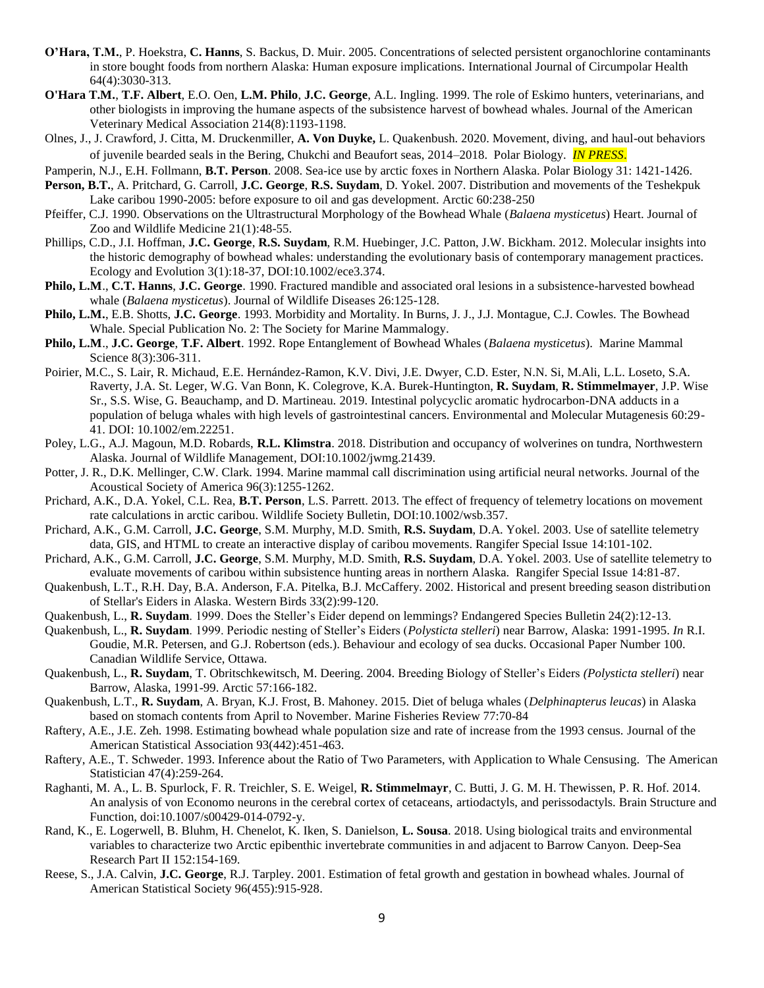- **O'Hara, T.M.**, P. Hoekstra, **C. Hanns**, S. Backus, D. Muir. 2005. Concentrations of selected persistent organochlorine contaminants in store bought foods from northern Alaska: Human exposure implications. International Journal of Circumpolar Health 64(4):3030-313.
- **O'Hara T.M.**, **T.F. Albert**, E.O. Oen, **L.M. Philo**, **J.C. George**, A.L. Ingling. 1999. The role of Eskimo hunters, veterinarians, and other biologists in improving the humane aspects of the subsistence harvest of bowhead whales. Journal of the American Veterinary Medical Association 214(8):1193-1198.
- Olnes, J., J. Crawford, J. Citta, M. Druckenmiller, **A. Von Duyke,** L. Quakenbush. 2020. Movement, diving, and haul-out behaviors of juvenile bearded seals in the Bering, Chukchi and Beaufort seas, 2014–2018. Polar Biology. *IN PRESS*.
- Pamperin, N.J., E.H. Follmann, **B.T. Person**. 2008. Sea-ice use by arctic foxes in Northern Alaska. Polar Biology 31: 1421-1426.
- **Person, B.T.**, A. Pritchard, G. Carroll, **J.C. George**, **R.S. Suydam**, D. Yokel. 2007. Distribution and movements of the Teshekpuk Lake caribou 1990-2005: before exposure to oil and gas development. Arctic 60:238-250
- Pfeiffer, C.J. 1990. Observations on the Ultrastructural Morphology of the Bowhead Whale (*Balaena mysticetus*) Heart. Journal of Zoo and Wildlife Medicine 21(1):48-55.
- Phillips, C.D., J.I. Hoffman, **J.C. George**, **R.S. Suydam**, R.M. Huebinger, J.C. Patton, J.W. Bickham. 2012. Molecular insights into the historic demography of bowhead whales: understanding the evolutionary basis of contemporary management practices. Ecology and Evolution 3(1):18-37, DOI:10.1002/ece3.374.
- **Philo, L.M**., **C.T. Hanns**, **J.C. George**. 1990. Fractured mandible and associated oral lesions in a subsistence-harvested bowhead whale (*Balaena mysticetus*). Journal of Wildlife Diseases 26:125-128.
- **Philo, L.M.**, E.B. Shotts, **J.C. George**. 1993. Morbidity and Mortality. In Burns, J. J., J.J. Montague, C.J. Cowles. The Bowhead Whale. Special Publication No. 2: The Society for Marine Mammalogy.
- **Philo, L.M**., **J.C. George**, **T.F. Albert**. 1992. Rope Entanglement of Bowhead Whales (*Balaena mysticetus*). Marine Mammal Science 8(3):306-311.
- Poirier, M.C., S. Lair, R. Michaud, E.E. Hernández-Ramon, K.V. Divi, J.E. Dwyer, C.D. Ester, N.N. Si, M.Ali, L.L. Loseto, S.A. Raverty, J.A. St. Leger, W.G. Van Bonn, K. Colegrove, K.A. Burek-Huntington, **R. Suydam**, **R. Stimmelmayer**, J.P. Wise Sr., S.S. Wise, G. Beauchamp, and D. Martineau. 2019. Intestinal polycyclic aromatic hydrocarbon-DNA adducts in a population of beluga whales with high levels of gastrointestinal cancers. Environmental and Molecular Mutagenesis 60:29- 41. DOI: 10.1002/em.22251.
- Poley, L.G., A.J. Magoun, M.D. Robards, **R.L. Klimstra**. 2018. Distribution and occupancy of wolverines on tundra, Northwestern Alaska. Journal of Wildlife Management, DOI:10.1002/jwmg.21439.
- Potter, J. R., D.K. Mellinger, C.W. Clark. 1994. Marine mammal call discrimination using artificial neural networks. Journal of the Acoustical Society of America 96(3):1255-1262.
- Prichard, A.K., D.A. Yokel, C.L. Rea, **B.T. Person**, L.S. Parrett. 2013. The effect of frequency of telemetry locations on movement rate calculations in arctic caribou. Wildlife Society Bulletin, DOI:10.1002/wsb.357.
- Prichard, A.K., G.M. Carroll, **J.C. George**, S.M. Murphy, M.D. Smith, **R.S. Suydam**, D.A. Yokel. 2003. Use of satellite telemetry data, GIS, and HTML to create an interactive display of caribou movements. Rangifer Special Issue 14:101-102.
- Prichard, A.K., G.M. Carroll, **J.C. George**, S.M. Murphy, M.D. Smith, **R.S. Suydam**, D.A. Yokel. 2003. Use of satellite telemetry to evaluate movements of caribou within subsistence hunting areas in northern Alaska. Rangifer Special Issue 14:81-87.
- Quakenbush, L.T., R.H. Day, B.A. Anderson, F.A. Pitelka, B.J. McCaffery. 2002. Historical and present breeding season distribution of Stellar's Eiders in Alaska. Western Birds 33(2):99-120.
- Quakenbush, L., **R. Suydam**. 1999. Does the Steller's Eider depend on lemmings? Endangered Species Bulletin 24(2):12-13.
- Quakenbush, L., **R. Suydam**. 1999. Periodic nesting of Steller's Eiders (*Polysticta stelleri*) near Barrow, Alaska: 1991-1995. *In* R.I. Goudie, M.R. Petersen, and G.J. Robertson (eds.). Behaviour and ecology of sea ducks. Occasional Paper Number 100. Canadian Wildlife Service, Ottawa.
- Quakenbush, L., **R. Suydam**, T. Obritschkewitsch, M. Deering. 2004. Breeding Biology of Steller's Eiders *(Polysticta stelleri*) near Barrow, Alaska, 1991-99. Arctic 57:166-182.
- Quakenbush, L.T., **R. Suydam**, A. Bryan, K.J. Frost, B. Mahoney. 2015. Diet of beluga whales (*Delphinapterus leucas*) in Alaska based on stomach contents from April to November. Marine Fisheries Review 77:70-84
- Raftery, A.E., J.E. Zeh. 1998. Estimating bowhead whale population size and rate of increase from the 1993 census. Journal of the American Statistical Association 93(442):451-463.
- Raftery, A.E., T. Schweder. 1993. Inference about the Ratio of Two Parameters, with Application to Whale Censusing. The American Statistician 47(4):259-264.
- Raghanti, M. A., L. B. Spurlock, F. R. Treichler, S. E. Weigel, **R. Stimmelmayr**, C. Butti, J. G. M. H. Thewissen, P. R. Hof. 2014. An analysis of von Economo neurons in the cerebral cortex of cetaceans, artiodactyls, and perissodactyls. Brain Structure and Function, doi:10.1007/s00429-014-0792-y.
- Rand, K., E. Logerwell, B. Bluhm, H. Chenelot, K. Iken, S. Danielson, **L. Sousa**. 2018. Using biological traits and environmental variables to characterize two Arctic epibenthic invertebrate communities in and adjacent to Barrow Canyon. Deep-Sea Research Part II 152:154-169.
- Reese, S., J.A. Calvin, **J.C. George**, R.J. Tarpley. 2001. Estimation of fetal growth and gestation in bowhead whales. Journal of American Statistical Society 96(455):915-928.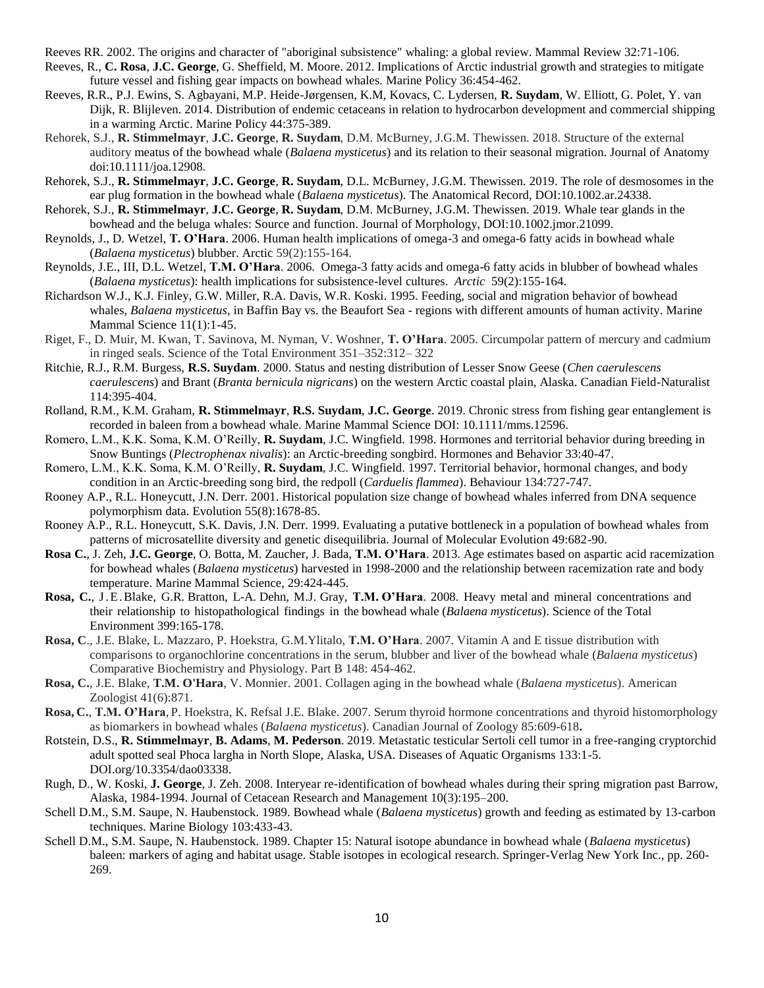- Reeves RR. 2002. The origins and character of "aboriginal subsistence" whaling: a global review. Mammal Review 32:71-106.
- Reeves, R., **C. Rosa**, **J.C. George**, G. Sheffield, M. Moore. 2012. Implications of Arctic industrial growth and strategies to mitigate future vessel and fishing gear impacts on bowhead whales. Marine Policy 36:454-462.
- Reeves, R.R., P.J. Ewins, S. Agbayani, M.P. Heide-Jørgensen, K.M, Kovacs, C. Lydersen, **R. Suydam**, W. Elliott, G. Polet, Y. van Dijk, R. Blijleven. 2014. Distribution of endemic cetaceans in relation to hydrocarbon development and commercial shipping in a warming Arctic. Marine Policy 44:375-389.
- Rehorek, S.J., **R. Stimmelmayr**, **J.C. George**, **R. Suydam**, D.M. McBurney, J.G.M. Thewissen. 2018. Structure of the external auditory meatus of the bowhead whale (*Balaena mysticetus*) and its relation to their seasonal migration. Journal of Anatomy doi:10.1111/joa.12908.
- Rehorek, S.J., **R. Stimmelmayr**, **J.C. George**, **R. Suydam**, D.L. McBurney, J.G.M. Thewissen. 2019. [The role of desmosomes in the](http://www.north-slope.org/assets/images/uploads/RehorekEAMpt22019.pdf)  [ear plug formation in the bowhead whale \(](http://www.north-slope.org/assets/images/uploads/RehorekEAMpt22019.pdf)*Balaena mysticetus*). The Anatomical Record, DOI:10.1002.ar.24338.
- Rehorek, S.J., **R. Stimmelmayr**, **J.C. George**, **R. Suydam**, D.M. McBurney, J.G.M. Thewissen. 2019. Whale tear [glands in the](http://www.north-slope.org/assets/images/uploads/RehorekWhaleTears2020.pdf)  [bowhead and the beluga whales: Source and function.](http://www.north-slope.org/assets/images/uploads/RehorekWhaleTears2020.pdf) Journal of Morphology, DOI:10.1002.jmor.21099.
- Reynolds, J., D. Wetzel, **T. O'Hara**. 2006. Human health implications of omega-3 and omega-6 fatty acids in bowhead whale (*Balaena mysticetus*) blubber. Arctic 59(2):155-164.
- Reynolds, J.E., III, D.L. Wetzel, **T.M. O'Hara**. 2006. Omega-3 fatty acids and omega-6 fatty acids in blubber of bowhead whales (*Balaena mysticetus*): health implications for subsistence-level cultures. *Arctic* 59(2):155-164.
- Richardson W.J., K.J. Finley, G.W. Miller, R.A. Davis, W.R. Koski. 1995. Feeding, social and migration behavior of bowhead whales, *Balaena mysticetus*, in Baffin Bay vs. the Beaufort Sea - regions with different amounts of human activity. Marine Mammal Science 11(1):1-45.
- Riget, F., D. Muir, M. Kwan, T. Savinova, M. Nyman, V. Woshner, **T. O'Hara**. 2005. Circumpolar pattern of mercury and cadmium in ringed seals. Science of the Total Environment 351–352:312– 322
- Ritchie, R.J., R.M. Burgess, **R.S. Suydam**. 2000. Status and nesting distribution of Lesser Snow Geese (*Chen caerulescens caerulescens*) and Brant (*Branta bernicula nigricans*) on the western Arctic coastal plain, Alaska. Canadian Field-Naturalist 114:395-404.
- Rolland, R.M., K.M. Graham, **R. Stimmelmayr**, **R.S. Suydam**, **J.C. George**. 2019. Chronic stress from fishing gear entanglement is recorded in baleen from a bowhead whale. Marine Mammal Science DOI: 10.1111/mms.12596.
- Romero, L.M., K.K. Soma, K.M. O'Reilly, **R. Suydam**, J.C. Wingfield. 1998. Hormones and territorial behavior during breeding in Snow Buntings (*Plectrophenax nivalis*): an Arctic-breeding songbird. Hormones and Behavior 33:40-47.
- Romero, L.M., K.K. Soma, K.M. O'Reilly, **R. Suydam**, J.C. Wingfield. 1997. Territorial behavior, hormonal changes, and body condition in an Arctic-breeding song bird, the redpoll (*Carduelis flammea*). Behaviour 134:727-747.
- Rooney A.P., R.L. Honeycutt, J.N. Derr. 2001. Historical population size change of bowhead whales inferred from DNA sequence polymorphism data. Evolution 55(8):1678-85.
- Rooney A.P., R.L. Honeycutt, S.K. Davis, J.N. Derr. 1999. Evaluating a putative bottleneck in a population of bowhead whales from patterns of microsatellite diversity and genetic disequilibria. Journal of Molecular Evolution 49:682-90.
- **Rosa C.**, J. Zeh, **J.C. George**, O. Botta, M. Zaucher, J. Bada, **T.M. O'Hara**. 2013. Age estimates based on aspartic acid racemization for bowhead whales (*Balaena mysticetus*) harvested in 1998-2000 and the relationship between racemization rate and body temperature. Marine Mammal Science, 29:424-445.
- **Rosa, C.**, J .E.Blake, G.R. Bratton, L-A. Dehn, M.J. Gray, **T.M. O'Hara**. 2008. Heavy metal and mineral concentrations and their relationship to histopathological findings in the bowhead whale (*Balaena mysticetus*). Science of the Total Environment 399:165-178.
- **Rosa, C**., J.E. Blake, L. Mazzaro, P. Hoekstra, G.M.Ylitalo, **T.M. O'Hara**. 2007. Vitamin A and E tissue distribution with comparisons to organochlorine concentrations in the serum, blubber and liver of the bowhead whale (*Balaena mysticetus*) Comparative Biochemistry and Physiology. Part B 148: 454-462.
- **Rosa, C.**, J.E. Blake, **T.M. O'Hara**, V. Monnier. 2001. Collagen aging in the bowhead whale (*Balaena mysticetus*). American Zoologist 41(6):871.
- **Rosa, C.**, **T.M. O'Hara**, P. Hoekstra, K. Refsal J.E. Blake. 2007. Serum thyroid hormone concentrations and thyroid histomorphology as biomarkers in bowhead whales (*Balaena mysticetus*). Canadian Journal of Zoology 85:609-618**.**
- Rotstein, D.S., **R. Stimmelmayr**, **B. Adams**, **M. Pederson**. 2019. Metastatic testicular Sertoli cell tumor in a free-ranging cryptorchid adult spotted seal Phoca largha in North Slope, Alaska, USA. Diseases of Aquatic Organisms 133:1-5. DOI.org/10.3354/dao03338.
- Rugh, D., W. Koski, **J. George**, J. Zeh. 2008. Interyear re-identification of bowhead whales during their spring migration past Barrow, Alaska, 1984-1994. Journal of Cetacean Research and Management 10(3):195–200.
- Schell D.M., S.M. Saupe, N. Haubenstock. 1989. Bowhead whale (*Balaena mysticetus*) growth and feeding as estimated by 13-carbon techniques. Marine Biology 103:433-43.
- Schell D.M., S.M. Saupe, N. Haubenstock. 1989. Chapter 15: Natural isotope abundance in bowhead whale (*Balaena mysticetus*) baleen: markers of aging and habitat usage. Stable isotopes in ecological research. Springer-Verlag New York Inc., pp. 260- 269.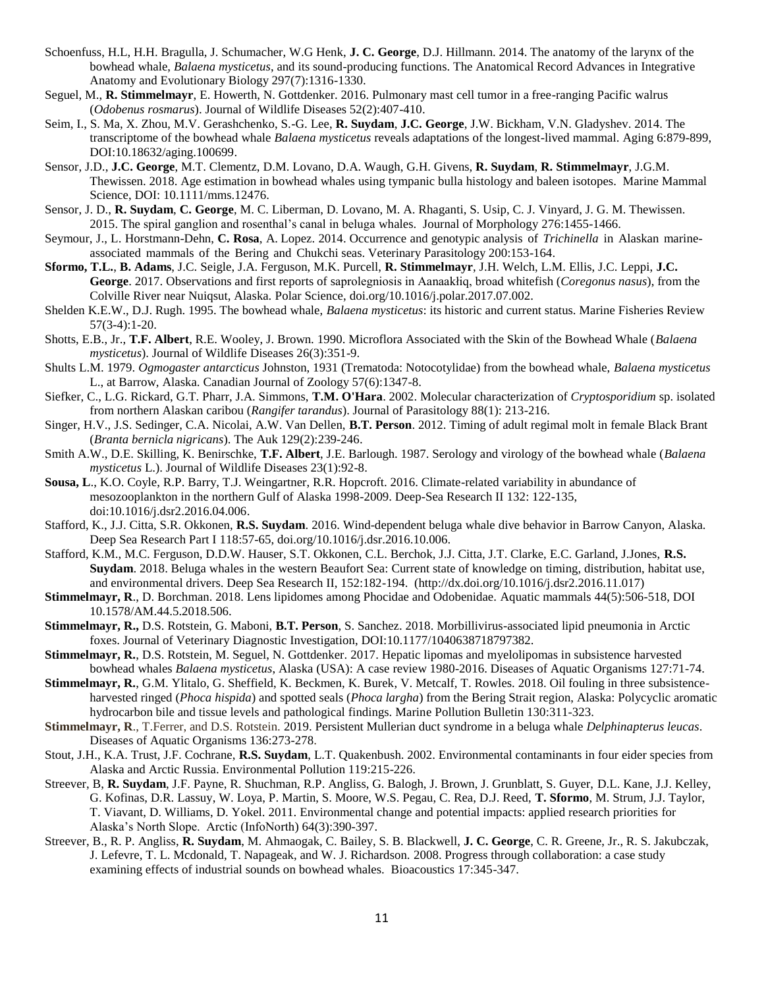- Schoenfuss, H.L, H.H. Bragulla, J. Schumacher, W.G Henk, **J. C. George**, D.J. Hillmann. 2014. The anatomy of the larynx of the bowhead whale, *Balaena mysticetus*, and its sound-producing functions. The Anatomical Record Advances in Integrative Anatomy and Evolutionary Biology 297(7):1316-1330.
- Seguel, M., **R. Stimmelmayr**, E. Howerth, N. Gottdenker. 2016. Pulmonary mast cell tumor in a free-ranging Pacific walrus (*Odobenus rosmarus*). Journal of Wildlife Diseases 52(2):407-410.
- Seim, I., S. Ma, X. Zhou, M.V. Gerashchenko, S.-G. Lee, **R. Suydam**, **J.C. George**, J.W. Bickham, V.N. Gladyshev. 2014. The transcriptome of the bowhead whale *Balaena mysticetus* reveals adaptations of the longest-lived mammal. Aging 6:879-899, DOI:10.18632/aging.100699.
- Sensor, J.D., **J.C. George**, M.T. Clementz, D.M. Lovano, D.A. Waugh, G.H. Givens, **R. Suydam**, **R. Stimmelmayr**, J.G.M. Thewissen. 2018. Age estimation in bowhead whales using tympanic bulla histology and baleen isotopes. Marine Mammal Science, DOI: 10.1111/mms.12476.
- Sensor, J. D., **R. Suydam**, **C. George**, M. C. Liberman, D. Lovano, M. A. Rhaganti, S. Usip, C. J. Vinyard, J. G. M. Thewissen. 2015. The spiral ganglion and rosenthal's canal in beluga whales. Journal of Morphology 276:1455-1466.
- Seymour, J., L. Horstmann-Dehn, **C. Rosa**, A. Lopez. 2014. Occurrence and genotypic analysis of *Trichinella* in Alaskan marineassociated mammals of the Bering and Chukchi seas. Veterinary Parasitology 200:153-164.
- **Sformo, T.L.**, **B. Adams**, J.C. Seigle, J.A. Ferguson, M.K. Purcell, **R. Stimmelmayr**, J.H. Welch, L.M. Ellis, J.C. Leppi, **J.C. George**. 2017. Observations and first reports of saprolegniosis in Aanaakłiq, broad whitefish (*Coregonus nasus*), from the Colville River near Nuiqsut, Alaska. Polar Science, doi.org/10.1016/j.polar.2017.07.002.
- Shelden K.E.W., D.J. Rugh. 1995. The bowhead whale, *Balaena mysticetus*: its historic and current status. Marine Fisheries Review 57(3-4):1-20.
- Shotts, E.B., Jr., **T.F. Albert**, R.E. Wooley, J. Brown. 1990. Microflora Associated with the Skin of the Bowhead Whale (*Balaena mysticetus*). Journal of Wildlife Diseases 26(3):351-9.
- Shults L.M. 1979. *Ogmogaster antarcticus* Johnston, 1931 (Trematoda: Notocotylidae) from the bowhead whale, *Balaena mysticetus* L., at Barrow, Alaska. Canadian Journal of Zoology 57(6):1347-8.
- Siefker, C., L.G. Rickard, G.T. Pharr, J.A. Simmons, **T.M. O'Hara**. 2002. Molecular characterization of *Cryptosporidium* sp. isolated from northern Alaskan caribou (*Rangifer tarandus*). Journal of Parasitology 88(1): 213-216.
- Singer, H.V., J.S. Sedinger, C.A. Nicolai, A.W. Van Dellen, **B.T. Person**. 2012. Timing of adult regimal molt in female Black Brant (*Branta bernicla nigricans*). The Auk 129(2):239-246.
- Smith A.W., D.E. Skilling, K. Benirschke, **T.F. Albert**, J.E. Barlough. 1987. Serology and virology of the bowhead whale (*Balaena mysticetus* L.). Journal of Wildlife Diseases 23(1):92-8.
- **Sousa, L**., K.O. Coyle, R.P. Barry, T.J. Weingartner, R.R. Hopcroft. 2016. Climate-related variability in abundance of mesozooplankton in the northern Gulf of Alaska 1998-2009. Deep-Sea Research II 132: 122-135, doi:10.1016/j.dsr2.2016.04.006.
- Stafford, K., J.J. Citta, S.R. Okkonen, **R.S. Suydam**. 2016. Wind-dependent beluga whale dive behavior in Barrow Canyon, Alaska. Deep Sea Research Part I 118:57-65, doi.org/10.1016/j.dsr.2016.10.006.
- Stafford, K.M., M.C. Ferguson, D.D.W. Hauser, S.T. Okkonen, C.L. Berchok, J.J. Citta, J.T. Clarke, E.C. Garland, J.Jones, **R.S. Suydam**. 2018. Beluga whales in the western Beaufort Sea: Current state of knowledge on timing, distribution, habitat use, and environmental drivers. Deep Sea Research II, 152:182-194. (http://dx.doi.org/10.1016/j.dsr2.2016.11.017)
- **Stimmelmayr, R**., D. Borchman. 2018. Lens lipidomes among Phocidae and Odobenidae. Aquatic mammals 44(5):506-518, DOI 10.1578/AM.44.5.2018.506.
- **Stimmelmayr, R.,** D.S. Rotstein, G. Maboni, **B.T. Person**, S. Sanchez. 2018. Morbillivirus-associated lipid pneumonia in Arctic foxes. Journal of Veterinary Diagnostic Investigation, DOI:10.1177/1040638718797382.
- **Stimmelmayr, R.**, D.S. Rotstein, M. Seguel, N. Gottdenker. 2017. Hepatic lipomas and myelolipomas in subsistence harvested bowhead whales *Balaena mysticetus*, Alaska (USA): A case review 1980-2016. Diseases of Aquatic Organisms 127:71-74.
- **Stimmelmayr, R.**, G.M. Ylitalo, G. Sheffield, K. Beckmen, K. Burek, V. Metcalf, T. Rowles. 2018. Oil fouling in three subsistenceharvested ringed (*Phoca hispida*) and spotted seals (*Phoca largha*) from the Bering Strait region, Alaska: Polycyclic aromatic hydrocarbon bile and tissue levels and pathological findings. Marine Pollution Bulletin 130:311-323.
- **Stimmelmayr, R**., T.Ferrer, and D.S. Rotstein. 2019. Persistent Mullerian duct syndrome in a beluga whale *Delphinapterus leucas*. Diseases of Aquatic Organisms 136:273-278.
- Stout, J.H., K.A. Trust, J.F. Cochrane, **R.S. Suydam**, L.T. Quakenbush. 2002. Environmental contaminants in four eider species from Alaska and Arctic Russia. Environmental Pollution 119:215-226.
- Streever, B, **R. Suydam**, J.F. Payne, R. Shuchman, R.P. Angliss, G. Balogh, J. Brown, J. Grunblatt, S. Guyer, D.L. Kane, J.J. Kelley, G. Kofinas, D.R. Lassuy, W. Loya, P. Martin, S. Moore, W.S. Pegau, C. Rea, D.J. Reed, **T. Sformo**, M. Strum, J.J. Taylor, T. Viavant, D. Williams, D. Yokel. 2011. Environmental change and potential impacts: applied research priorities for Alaska's North Slope. Arctic (InfoNorth) 64(3):390-397.
- Streever, B., R. P. Angliss, **R. Suydam**, M. Ahmaogak, C. Bailey, S. B. Blackwell, **J. C. George**, C. R. Greene, Jr., R. S. Jakubczak, J. Lefevre, T. L. Mcdonald, T. Napageak, and W. J. Richardson. 2008. Progress through collaboration: a case study examining effects of industrial sounds on bowhead whales. Bioacoustics 17:345-347.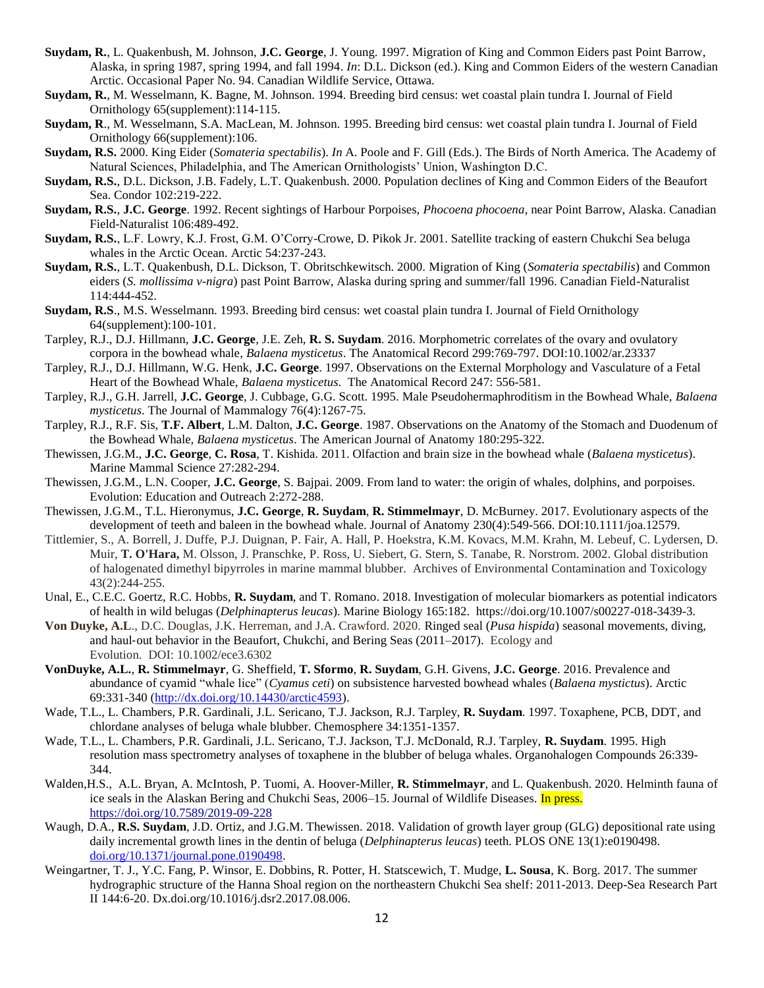- **Suydam, R.**, L. Quakenbush, M. Johnson, **J.C. George**, J. Young. 1997. Migration of King and Common Eiders past Point Barrow, Alaska, in spring 1987, spring 1994, and fall 1994. *In*: D.L. Dickson (ed.). King and Common Eiders of the western Canadian Arctic. Occasional Paper No. 94. Canadian Wildlife Service, Ottawa.
- **Suydam, R.**, M. Wesselmann, K. Bagne, M. Johnson. 1994. Breeding bird census: wet coastal plain tundra I. Journal of Field Ornithology 65(supplement):114-115.
- **Suydam, R**., M. Wesselmann, S.A. MacLean, M. Johnson. 1995. Breeding bird census: wet coastal plain tundra I. Journal of Field Ornithology 66(supplement):106.
- **Suydam, R.S.** 2000. King Eider (*Somateria spectabilis*). *In* A. Poole and F. Gill (Eds.). The Birds of North America. The Academy of Natural Sciences, Philadelphia, and The American Ornithologists' Union, Washington D.C.
- **Suydam, R.S.**, D.L. Dickson, J.B. Fadely, L.T. Quakenbush. 2000. Population declines of King and Common Eiders of the Beaufort Sea. Condor 102:219-222.
- **Suydam, R.S.**, **J.C. George**. 1992. Recent sightings of Harbour Porpoises, *Phocoena phocoena*, near Point Barrow, Alaska. Canadian Field-Naturalist 106:489-492.
- **Suydam, R.S.**, L.F. Lowry, K.J. Frost, G.M. O'Corry-Crowe, D. Pikok Jr. 2001. Satellite tracking of eastern Chukchi Sea beluga whales in the Arctic Ocean. Arctic 54:237-243.
- **Suydam, R.S.**, L.T. Quakenbush, D.L. Dickson, T. Obritschkewitsch. 2000. Migration of King (*Somateria spectabilis*) and Common eiders (*S. mollissima v-nigra*) past Point Barrow, Alaska during spring and summer/fall 1996. Canadian Field-Naturalist 114:444-452.
- **Suydam, R.S**., M.S. Wesselmann. 1993. Breeding bird census: wet coastal plain tundra I. Journal of Field Ornithology 64(supplement):100-101.
- Tarpley, R.J., D.J. Hillmann, **J.C. George**, J.E. Zeh, **R. S. Suydam**. 2016. Morphometric correlates of the ovary and ovulatory corpora in the bowhead whale, *Balaena mysticetus*. The Anatomical Record 299:769-797. DOI:10.1002/ar.23337
- Tarpley, R.J., D.J. Hillmann, W.G. Henk, **J.C. George**. 1997. Observations on the External Morphology and Vasculature of a Fetal Heart of the Bowhead Whale, *Balaena mysticetus*. The Anatomical Record 247: 556-581.
- Tarpley, R.J., G.H. Jarrell, **J.C. George**, J. Cubbage, G.G. Scott. 1995. Male Pseudohermaphroditism in the Bowhead Whale, *Balaena mysticetus*. The Journal of Mammalogy 76(4):1267-75.
- Tarpley, R.J., R.F. Sis, **T.F. Albert**, L.M. Dalton, **J.C. George**. 1987. Observations on the Anatomy of the Stomach and Duodenum of the Bowhead Whale, *Balaena mysticetus*. The American Journal of Anatomy 180:295-322.
- Thewissen, J.G.M., **J.C. George**, **C. Rosa**, T. Kishida. 2011. Olfaction and brain size in the bowhead whale (*Balaena mysticetus*). Marine Mammal Science 27:282-294.
- Thewissen, J.G.M., L.N. Cooper, **J.C. George**, S. Bajpai. 2009. From land to water: the origin of whales, dolphins, and porpoises. Evolution: Education and Outreach 2:272-288.
- Thewissen, J.G.M., T.L. Hieronymus, **J.C. George**, **R. Suydam**, **R. Stimmelmayr**, D. McBurney. 2017. Evolutionary aspects of the development of teeth and baleen in the bowhead whale. Journal of Anatomy 230(4):549-566. DOI:10.1111/joa.12579.
- Tittlemier, S., A. Borrell, J. Duffe, P.J. Duignan, P. Fair, A. Hall, P. Hoekstra, K.M. Kovacs, M.M. Krahn, M. Lebeuf, C. Lydersen, D. Muir, **T. O'Hara,** M. Olsson, J. Pranschke, P. Ross, U. Siebert, G. Stern, S. Tanabe, R. Norstrom. 2002. Global distribution of halogenated dimethyl bipyrroles in marine mammal blubber. Archives of Environmental Contamination and Toxicology 43(2):244-255.
- Unal, E., C.E.C. Goertz, R.C. Hobbs, **R. Suydam**, and T. Romano. 2018. Investigation of molecular biomarkers as potential indicators of health in wild belugas (*Delphinapterus leucas*). Marine Biology 165:182. https://doi.org/10.1007/s00227-018-3439-3.
- **Von Duyke, A.L**., D.C. Douglas, J.K. Herreman, and J.A. Crawford. 2020. Ringed seal (*Pusa hispida*) seasonal movements, diving, and haul‐out behavior in the Beaufort, Chukchi, and Bering Seas (2011–2017). Ecology and Evolution. DOI: 10.1002/ece3.6302
- **VonDuyke, A.L.**, **R. Stimmelmayr**, G. Sheffield, **T. Sformo**, **R. Suydam**, G.H. Givens, **J.C. George**. 2016. Prevalence and abundance of cyamid "whale lice" (*Cyamus ceti*) on subsistence harvested bowhead whales (*Balaena mystictus*). Arctic 69:331-340 [\(http://dx.doi.org/10.14430/arctic4593\)](http://dx.doi.org/10.14430/arctic4593).
- Wade, T.L., L. Chambers, P.R. Gardinali, J.L. Sericano, T.J. Jackson, R.J. Tarpley, **R. Suydam**. 1997. Toxaphene, PCB, DDT, and chlordane analyses of beluga whale blubber. Chemosphere 34:1351-1357.
- Wade, T.L., L. Chambers, P.R. Gardinali, J.L. Sericano, T.J. Jackson, T.J. McDonald, R.J. Tarpley, **R. Suydam**. 1995. High resolution mass spectrometry analyses of toxaphene in the blubber of beluga whales. Organohalogen Compounds 26:339- 344.
- Walden,H.S., A.L. Bryan, A. McIntosh, P. Tuomi, A. Hoover-Miller, **R. Stimmelmayr**, and L. Quakenbush. 2020. Helminth fauna of ice seals in the Alaskan Bering and Chukchi Seas, 2006–15. Journal of Wildlife Diseases. In press. <https://doi.org/10.7589/2019-09-228>
- Waugh, D.A., **R.S. Suydam**, J.D. Ortiz, and J.G.M. Thewissen. 2018. Validation of growth layer group (GLG) depositional rate using daily incremental growth lines in the dentin of beluga (*Delphinapterus leucas*) teeth. PLOS ONE 13(1):e0190498. [doi.org/10.1371/journal.pone.0190498.](https://doi.org/10.1371/journal.pone.0190498)
- Weingartner, T. J., Y.C. Fang, P. Winsor, E. Dobbins, R. Potter, H. Statscewich, T. Mudge, **L. Sousa**, K. Borg. 2017. The summer hydrographic structure of the Hanna Shoal region on the northeastern Chukchi Sea shelf: 2011-2013. Deep-Sea Research Part II 144:6-20. Dx.doi.org/10.1016/j.dsr2.2017.08.006.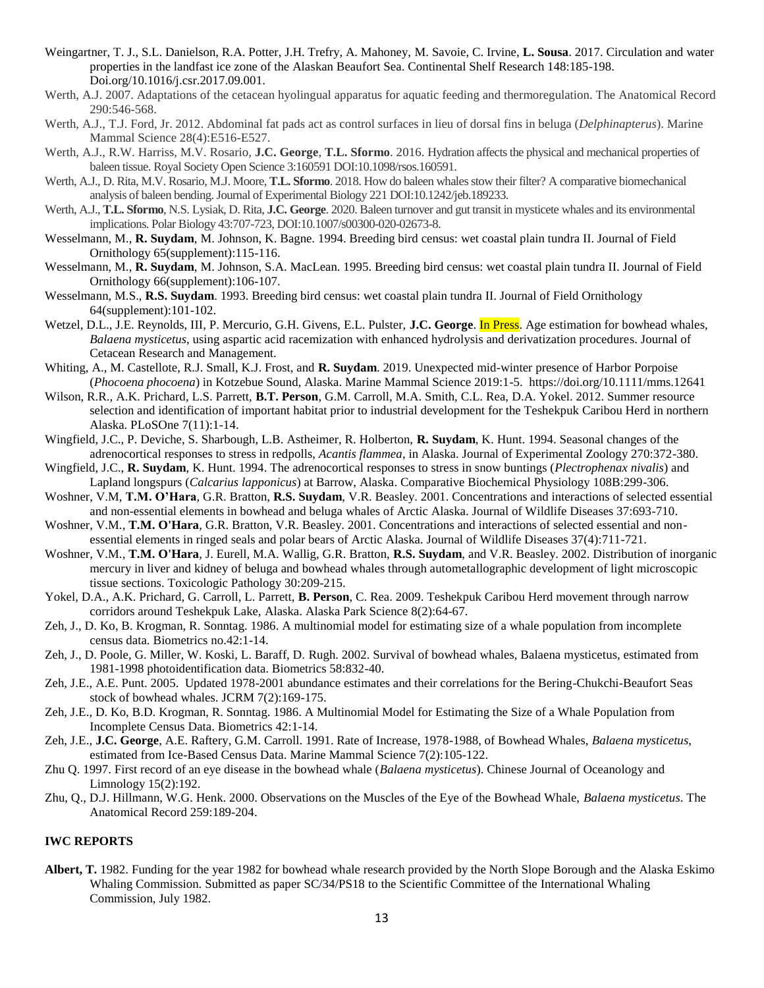- Weingartner, T. J., S.L. Danielson, R.A. Potter, J.H. Trefry, A. Mahoney, M. Savoie, C. Irvine, **L. Sousa**. 2017. Circulation and water properties in the landfast ice zone of the Alaskan Beaufort Sea. Continental Shelf Research 148:185-198. Doi.org/10.1016/j.csr.2017.09.001.
- Werth, A.J. 2007. Adaptations of the cetacean hyolingual apparatus for aquatic feeding and thermoregulation. The Anatomical Record 290:546-568.
- Werth, A.J., T.J. Ford, Jr. 2012. Abdominal fat pads act as control surfaces in lieu of dorsal fins in beluga (*Delphinapterus*). Marine Mammal Science 28(4):E516-E527.
- Werth, A.J., R.W. Harriss, M.V. Rosario, **J.C. George**, **T.L. Sformo**. 2016. Hydration affects the physical and mechanical properties of baleen tissue. Royal Society Open Science 3:160591 DOI:10.1098/rsos.160591.
- Werth, A.J., D. Rita, M.V. Rosario, M.J. Moore, **T.L. Sformo**. 2018. How do baleen whales stow their filter? A comparative biomechanical analysis of baleen bending. Journal of Experimental Biology 221 DOI:10.1242/jeb.189233.
- Werth, A.J., **T.L. Sformo**, N.S. Lysiak, D. Rita, **J.C. George**. 2020. Baleen turnover and gut transit in mysticete whales and its environmental implications. Polar Biology 43:707-723, DOI:10.1007/s00300-020-02673-8.
- Wesselmann, M., **R. Suydam**, M. Johnson, K. Bagne. 1994. Breeding bird census: wet coastal plain tundra II. Journal of Field Ornithology 65(supplement):115-116.
- Wesselmann, M., **R. Suydam**, M. Johnson, S.A. MacLean. 1995. Breeding bird census: wet coastal plain tundra II. Journal of Field Ornithology 66(supplement):106-107.
- Wesselmann, M.S., **R.S. Suydam**. 1993. Breeding bird census: wet coastal plain tundra II. Journal of Field Ornithology 64(supplement):101-102.
- Wetzel, D.L., J.E. Reynolds, III, P. Mercurio, G.H. Givens, E.L. Pulster, **J.C. George**. In Press. Age estimation for bowhead whales, *Balaena mysticetus*, using aspartic acid racemization with enhanced hydrolysis and derivatization procedures. Journal of Cetacean Research and Management.
- Whiting, A., M. Castellote, R.J. Small, K.J. Frost, and **R. Suydam**. 2019. Unexpected mid-winter presence of Harbor Porpoise (*Phocoena phocoena*) in Kotzebue Sound, Alaska. Marine Mammal Science 2019:1-5. https://doi.org/10.1111/mms.12641
- Wilson, R.R., A.K. Prichard, L.S. Parrett, **B.T. Person**, G.M. Carroll, M.A. Smith, C.L. Rea, D.A. Yokel. 2012. Summer resource selection and identification of important habitat prior to industrial development for the Teshekpuk Caribou Herd in northern Alaska. PLoSOne 7(11):1-14.
- Wingfield, J.C., P. Deviche, S. Sharbough, L.B. Astheimer, R. Holberton, **R. Suydam**, K. Hunt. 1994. Seasonal changes of the adrenocortical responses to stress in redpolls, *Acantis flammea*, in Alaska. Journal of Experimental Zoology 270:372-380.
- Wingfield, J.C., **R. Suydam**, K. Hunt. 1994. The adrenocortical responses to stress in snow buntings (*Plectrophenax nivalis*) and Lapland longspurs (*Calcarius lapponicus*) at Barrow, Alaska. Comparative Biochemical Physiology 108B:299-306.
- Woshner, V.M, **T.M. O'Hara**, G.R. Bratton, **R.S. Suydam**, V.R. Beasley. 2001. Concentrations and interactions of selected essential and non-essential elements in bowhead and beluga whales of Arctic Alaska. Journal of Wildlife Diseases 37:693-710.
- Woshner, V.M., **T.M. O'Hara**, G.R. Bratton, V.R. Beasley. 2001. Concentrations and interactions of selected essential and nonessential elements in ringed seals and polar bears of Arctic Alaska. Journal of Wildlife Diseases 37(4):711-721.
- Woshner, V.M., **T.M. O'Hara**, J. Eurell, M.A. Wallig, G.R. Bratton, **R.S. Suydam**, and V.R. Beasley. 2002. Distribution of inorganic mercury in liver and kidney of beluga and bowhead whales through autometallographic development of light microscopic tissue sections. Toxicologic Pathology 30:209-215.
- Yokel, D.A., A.K. Prichard, G. Carroll, L. Parrett, **B. Person**, C. Rea. 2009. Teshekpuk Caribou Herd movement through narrow corridors around Teshekpuk Lake, Alaska. Alaska Park Science 8(2):64-67.
- Zeh, J., D. Ko, B. Krogman, R. Sonntag. 1986. A multinomial model for estimating size of a whale population from incomplete census data. Biometrics no.42:1-14.
- Zeh, J., D. Poole, G. Miller, W. Koski, L. Baraff, D. Rugh. 2002. Survival of bowhead whales, Balaena mysticetus, estimated from 1981-1998 photoidentification data. Biometrics 58:832-40.
- Zeh, J.E., A.E. Punt. 2005. Updated 1978-2001 abundance estimates and their correlations for the Bering-Chukchi-Beaufort Seas stock of bowhead whales. JCRM 7(2):169-175.
- Zeh, J.E., D. Ko, B.D. Krogman, R. Sonntag. 1986. A Multinomial Model for Estimating the Size of a Whale Population from Incomplete Census Data. Biometrics 42:1-14.
- Zeh, J.E., **J.C. George**, A.E. Raftery, G.M. Carroll. 1991. Rate of Increase, 1978-1988, of Bowhead Whales, *Balaena mysticetus*, estimated from Ice-Based Census Data. Marine Mammal Science 7(2):105-122.
- Zhu Q. 1997. First record of an eye disease in the bowhead whale (*Balaena mysticetus*). Chinese Journal of Oceanology and Limnology 15(2):192.
- Zhu, Q., D.J. Hillmann, W.G. Henk. 2000. Observations on the Muscles of the Eye of the Bowhead Whale, *Balaena mysticetus*. The Anatomical Record 259:189-204.

# **IWC REPORTS**

**Albert, T.** 1982. Funding for the year 1982 for bowhead whale research provided by the North Slope Borough and the Alaska Eskimo Whaling Commission. Submitted as paper SC/34/PS18 to the Scientific Committee of the International Whaling Commission, July 1982.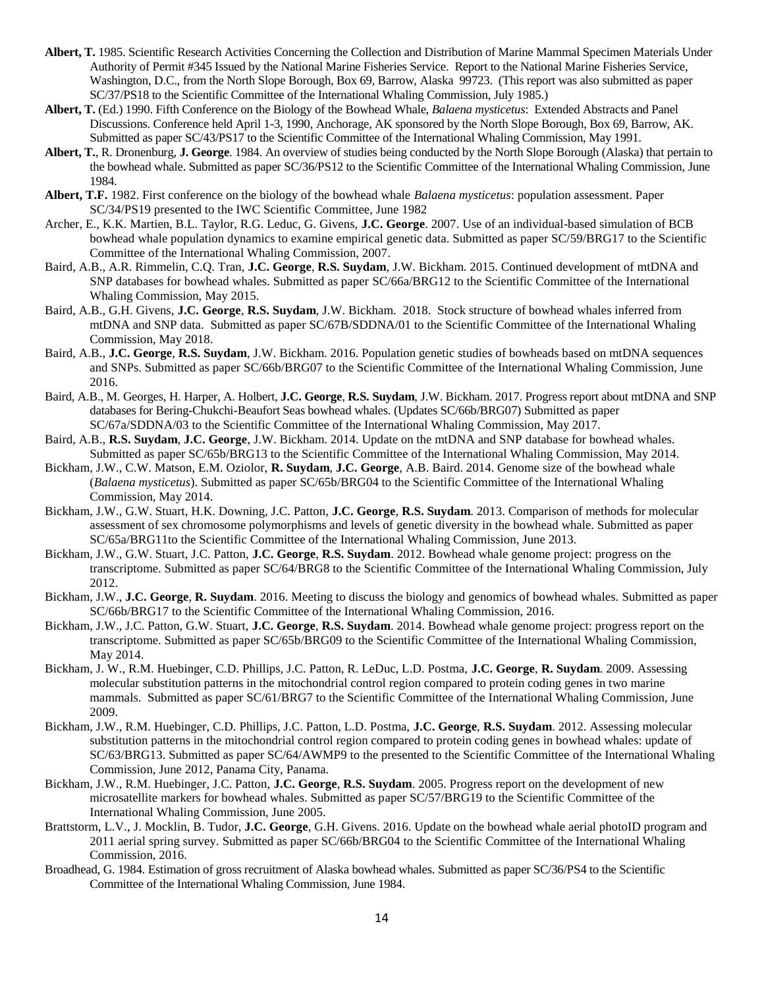- **Albert, T.** 1985. Scientific Research Activities Concerning the Collection and Distribution of Marine Mammal Specimen Materials Under Authority of Permit #345 Issued by the National Marine Fisheries Service. Report to the National Marine Fisheries Service, Washington, D.C., from the North Slope Borough, Box 69, Barrow, Alaska 99723. (This report was also submitted as paper SC/37/PS18 to the Scientific Committee of the International Whaling Commission, July 1985.)
- **Albert, T.** (Ed.) 1990. Fifth Conference on the Biology of the Bowhead Whale, *Balaena mysticetus*: Extended Abstracts and Panel Discussions. Conference held April 1-3, 1990, Anchorage, AK sponsored by the North Slope Borough, Box 69, Barrow, AK. Submitted as paper SC/43/PS17 to the Scientific Committee of the International Whaling Commission, May 1991.
- **Albert, T.**, R. Dronenburg, **J. George**. 1984. An overview of studies being conducted by the North Slope Borough (Alaska) that pertain to the bowhead whale. Submitted as paper SC/36/PS12 to the Scientific Committee of the International Whaling Commission, June 1984.
- **Albert, T.F.** 1982. First conference on the biology of the bowhead whale *Balaena mysticetus*: population assessment. Paper SC/34/PS19 presented to the IWC Scientific Committee, June 1982
- Archer, E., K.K. Martien, B.L. Taylor, R.G. Leduc, G. Givens, **J.C. George**. 2007. Use of an individual-based simulation of BCB bowhead whale population dynamics to examine empirical genetic data. Submitted as paper SC/59/BRG17 to the Scientific Committee of the International Whaling Commission, 2007.
- Baird, A.B., A.R. Rimmelin, C.Q. Tran, **J.C. George**, **R.S. Suydam**, J.W. Bickham. 2015. Continued development of mtDNA and SNP databases for bowhead whales. Submitted as paper SC/66a/BRG12 to the Scientific Committee of the International Whaling Commission, May 2015.
- Baird, A.B., G.H. Givens, **J.C. George**, **R.S. Suydam**, J.W. Bickham. 2018. Stock structure of bowhead whales inferred from mtDNA and SNP data. Submitted as paper SC/67B/SDDNA/01 to the Scientific Committee of the International Whaling Commission, May 2018.
- Baird, A.B., **J.C. George**, **R.S. Suydam**, J.W. Bickham. 2016. Population genetic studies of bowheads based on mtDNA sequences and SNPs. Submitted as paper SC/66b/BRG07 to the Scientific Committee of the International Whaling Commission, June 2016.
- Baird, A.B., M. Georges, H. Harper, A. Holbert, **J.C. George**, **R.S. Suydam**, J.W. Bickham. 2017. Progress report about mtDNA and SNP databases for Bering-Chukchi-Beaufort Seas bowhead whales. (Updates SC/66b/BRG07) Submitted as paper SC/67a/SDDNA/03 to the Scientific Committee of the International Whaling Commission, May 2017.
- Baird, A.B., **R.S. Suydam**, **J.C. George**, J.W. Bickham. 2014. Update on the mtDNA and SNP database for bowhead whales. Submitted as paper SC/65b/BRG13 to the Scientific Committee of the International Whaling Commission, May 2014.
- Bickham, J.W., C.W. Matson, E.M. Oziolor, **R. Suydam**, **J.C. George**, A.B. Baird. 2014. Genome size of the bowhead whale (*Balaena mysticetus*). Submitted as paper SC/65b/BRG04 to the Scientific Committee of the International Whaling Commission, May 2014.
- Bickham, J.W., G.W. Stuart, H.K. Downing, J.C. Patton, **J.C. George**, **R.S. Suydam**. 2013. Comparison of methods for molecular assessment of sex chromosome polymorphisms and levels of genetic diversity in the bowhead whale. Submitted as paper SC/65a/BRG11to the Scientific Committee of the International Whaling Commission, June 2013.
- Bickham, J.W., G.W. Stuart, J.C. Patton, **J.C. George**, **R.S. Suydam**. 2012. Bowhead whale genome project: progress on the transcriptome. Submitted as paper SC/64/BRG8 to the Scientific Committee of the International Whaling Commission, July 2012.
- Bickham, J.W., **J.C. George**, **R. Suydam**. 2016. Meeting to discuss the biology and genomics of bowhead whales. Submitted as paper SC/66b/BRG17 to the Scientific Committee of the International Whaling Commission, 2016.
- Bickham, J.W., J.C. Patton, G.W. Stuart, **J.C. George**, **R.S. Suydam**. 2014. Bowhead whale genome project: progress report on the transcriptome. Submitted as paper SC/65b/BRG09 to the Scientific Committee of the International Whaling Commission, May 2014.
- Bickham, J. W., R.M. Huebinger, C.D. Phillips, J.C. Patton, R. LeDuc, L.D. Postma, **J.C. George**, **R. Suydam**. 2009. Assessing molecular substitution patterns in the mitochondrial control region compared to protein coding genes in two marine mammals. Submitted as paper SC/61/BRG7 to the Scientific Committee of the International Whaling Commission, June 2009.
- Bickham, J.W., R.M. Huebinger, C.D. Phillips, J.C. Patton, L.D. Postma, **J.C. George**, **R.S. Suydam**. 2012. Assessing molecular substitution patterns in the mitochondrial control region compared to protein coding genes in bowhead whales: update of SC/63/BRG13. Submitted as paper SC/64/AWMP9 to the presented to the Scientific Committee of the International Whaling Commission, June 2012, Panama City, Panama.
- Bickham, J.W., R.M. Huebinger, J.C. Patton, **J.C. George**, **R.S. Suydam**. 2005. Progress report on the development of new microsatellite markers for bowhead whales. Submitted as paper SC/57/BRG19 to the Scientific Committee of the International Whaling Commission, June 2005.
- Brattstorm, L.V., J. Mocklin, B. Tudor, **J.C. George**, G.H. Givens. 2016. [Update on the bowhead whale aerial photoID program and](http://www.north-slope.org/assets/images/uploads/SC_66b_BRG_04.photoId.pdf)  [2011 aerial spring survey.](http://www.north-slope.org/assets/images/uploads/SC_66b_BRG_04.photoId.pdf) Submitted as paper SC/66b/BRG04 to the Scientific Committee of the International Whaling Commission, 2016.
- Broadhead, G. 1984. Estimation of gross recruitment of Alaska bowhead whales. Submitted as paper SC/36/PS4 to the Scientific Committee of the International Whaling Commission, June 1984.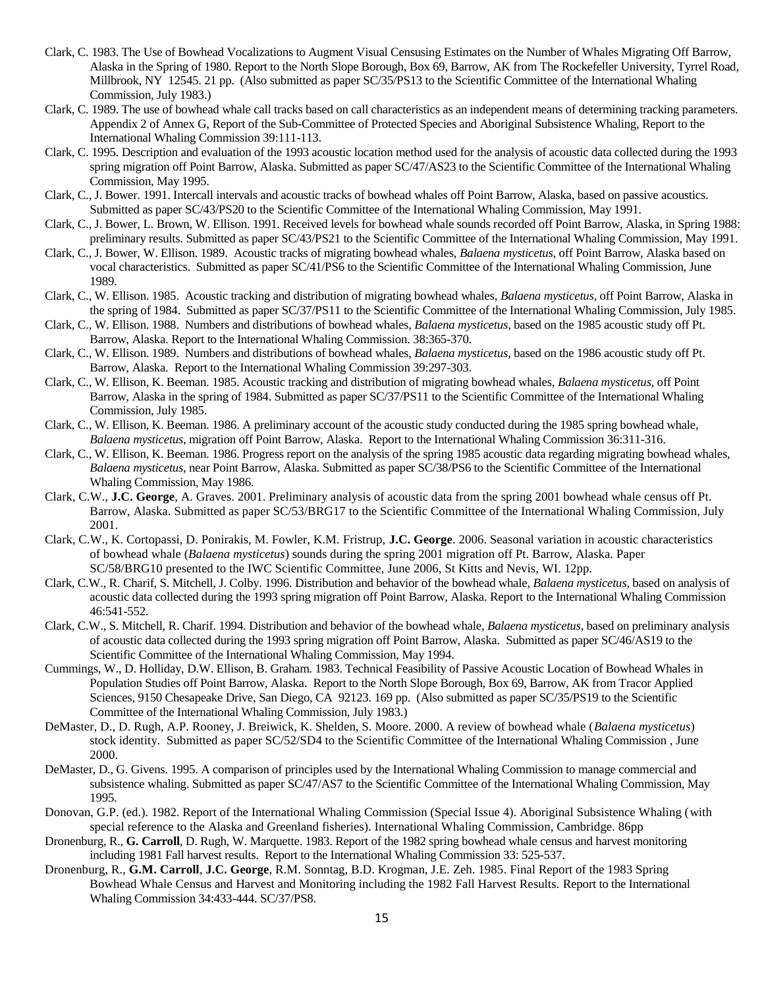- Clark, C. 1983. The Use of Bowhead Vocalizations to Augment Visual Censusing Estimates on the Number of Whales Migrating Off Barrow, Alaska in the Spring of 1980. Report to the North Slope Borough, Box 69, Barrow, AK from The Rockefeller University, Tyrrel Road, Millbrook, NY 12545. 21 pp. (Also submitted as paper SC/35/PS13 to the Scientific Committee of the International Whaling Commission, July 1983.)
- Clark, C. 1989. The use of bowhead whale call tracks based on call characteristics as an independent means of determining tracking parameters. Appendix 2 of Annex G, Report of the Sub-Committee of Protected Species and Aboriginal Subsistence Whaling, Report to the International Whaling Commission 39:111-113.
- Clark, C. 1995. Description and evaluation of the 1993 acoustic location method used for the analysis of acoustic data collected during the 1993 spring migration off Point Barrow, Alaska. Submitted as paper SC/47/AS23 to the Scientific Committee of the International Whaling Commission, May 1995.
- Clark, C., J. Bower. 1991. Intercall intervals and acoustic tracks of bowhead whales off Point Barrow, Alaska, based on passive acoustics. Submitted as paper SC/43/PS20 to the Scientific Committee of the International Whaling Commission, May 1991.
- Clark, C., J. Bower, L. Brown, W. Ellison. 1991. Received levels for bowhead whale sounds recorded off Point Barrow, Alaska, in Spring 1988: preliminary results. Submitted as paper SC/43/PS21 to the Scientific Committee of the International Whaling Commission, May 1991.
- Clark, C., J. Bower, W. Ellison. 1989. Acoustic tracks of migrating bowhead whales, *Balaena mysticetus*, off Point Barrow, Alaska based on vocal characteristics. Submitted as paper SC/41/PS6 to the Scientific Committee of the International Whaling Commission, June 1989.
- Clark, C., W. Ellison. 1985. Acoustic tracking and distribution of migrating bowhead whales, *Balaena mysticetus*, off Point Barrow, Alaska in the spring of 1984. Submitted as paper SC/37/PS11 to the Scientific Committee of the International Whaling Commission, July 1985.
- Clark, C., W. Ellison. 1988. Numbers and distributions of bowhead whales, *Balaena mysticetus*, based on the 1985 acoustic study off Pt. Barrow, Alaska. Report to the International Whaling Commission. 38:365-370.
- Clark, C., W. Ellison. 1989. Numbers and distributions of bowhead whales, *Balaena mysticetus*, based on the 1986 acoustic study off Pt. Barrow, Alaska. Report to the International Whaling Commission 39:297-303.
- Clark, C., W. Ellison, K. Beeman. 1985. Acoustic tracking and distribution of migrating bowhead whales, *Balaena mysticetus*, off Point Barrow, Alaska in the spring of 1984. Submitted as paper SC/37/PS11 to the Scientific Committee of the International Whaling Commission, July 1985.
- Clark, C., W. Ellison, K. Beeman. 1986. A preliminary account of the acoustic study conducted during the 1985 spring bowhead whale, *Balaena mysticetus*, migration off Point Barrow, Alaska. Report to the International Whaling Commission 36:311-316.
- Clark, C., W. Ellison, K. Beeman. 1986. Progress report on the analysis of the spring 1985 acoustic data regarding migrating bowhead whales, *Balaena mysticetus*, near Point Barrow, Alaska. Submitted as paper SC/38/PS6 to the Scientific Committee of the International Whaling Commission, May 1986.
- Clark, C.W., **J.C. George**, A. Graves. 2001. Preliminary analysis of acoustic data from the spring 2001 bowhead whale census off Pt. Barrow, Alaska. Submitted as paper SC/53/BRG17 to the Scientific Committee of the International Whaling Commission, July 2001.
- Clark, C.W., K. Cortopassi, D. Ponirakis, M. Fowler, K.M. Fristrup, **J.C. George**. 2006. Seasonal variation in acoustic characteristics of bowhead whale (*Balaena mysticetus*) sounds during the spring 2001 migration off Pt. Barrow, Alaska. Paper SC/58/BRG10 presented to the IWC Scientific Committee, June 2006, St Kitts and Nevis, WI. 12pp.
- Clark, C.W., R. Charif, S. Mitchell, J. Colby. 1996. Distribution and behavior of the bowhead whale, *Balaena mysticetus*, based on analysis of acoustic data collected during the 1993 spring migration off Point Barrow, Alaska. Report to the International Whaling Commission 46:541-552.
- Clark, C.W., S. Mitchell, R. Charif. 1994. Distribution and behavior of the bowhead whale, *Balaena mysticetus*, based on preliminary analysis of acoustic data collected during the 1993 spring migration off Point Barrow, Alaska. Submitted as paper SC/46/AS19 to the Scientific Committee of the International Whaling Commission, May 1994.
- Cummings, W., D. Holliday, D.W. Ellison, B. Graham. 1983. Technical Feasibility of Passive Acoustic Location of Bowhead Whales in Population Studies off Point Barrow, Alaska. Report to the North Slope Borough, Box 69, Barrow, AK from Tracor Applied Sciences, 9150 Chesapeake Drive, San Diego, CA 92123. 169 pp. (Also submitted as paper SC/35/PS19 to the Scientific Committee of the International Whaling Commission, July 1983.)
- DeMaster, D., D. Rugh, A.P. Rooney, J. Breiwick, K. Shelden, S. Moore. 2000. A review of bowhead whale (*Balaena mysticetus*) stock identity. Submitted as paper SC/52/SD4 to the Scientific Committee of the International Whaling Commission , June 2000.
- DeMaster, D., G. Givens. 1995. A comparison of principles used by the International Whaling Commission to manage commercial and subsistence whaling. Submitted as paper SC/47/AS7 to the Scientific Committee of the International Whaling Commission, May 1995.
- Donovan, G.P. (ed.). 1982. Report of the International Whaling Commission (Special Issue 4). Aboriginal Subsistence Whaling (with special reference to the Alaska and Greenland fisheries). International Whaling Commission, Cambridge. 86pp
- Dronenburg, R., **G. Carroll**, D. Rugh, W. Marquette. 1983. Report of the 1982 spring bowhead whale census and harvest monitoring including 1981 Fall harvest results. Report to the International Whaling Commission 33: 525-537.
- Dronenburg, R., **G.M. Carroll**, **J.C. George**, R.M. Sonntag, B.D. Krogman, J.E. Zeh. 1985. Final Report of the 1983 Spring Bowhead Whale Census and Harvest and Monitoring including the 1982 Fall Harvest Results. Report to the International Whaling Commission 34:433-444. SC/37/PS8.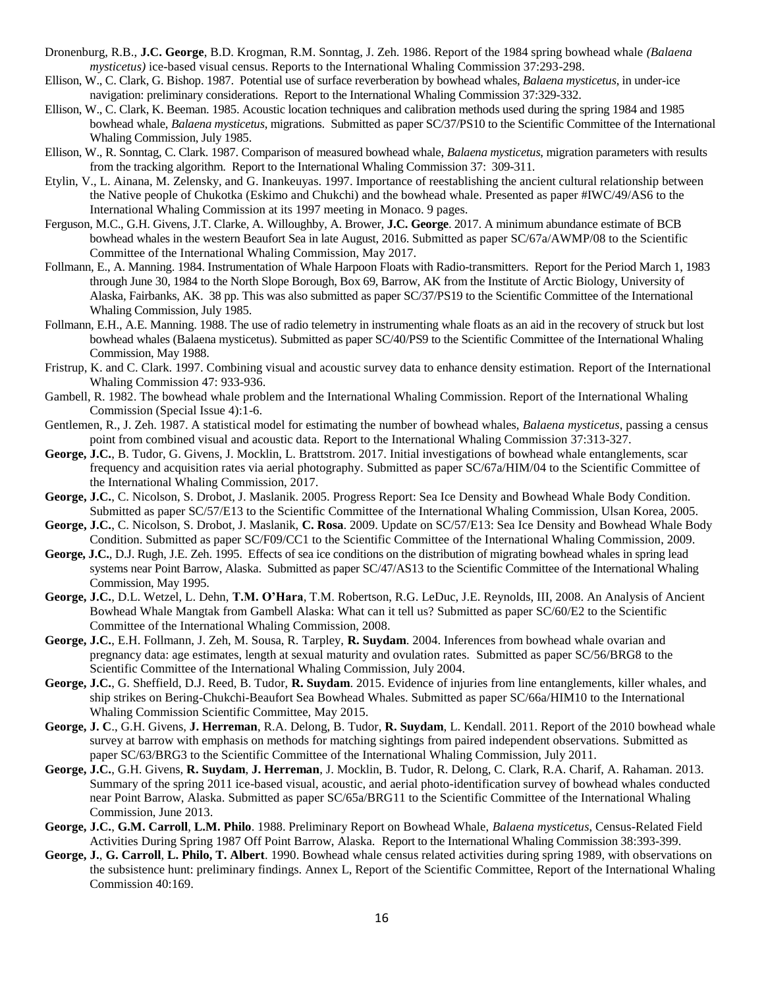- Dronenburg, R.B., **J.C. George**, B.D. Krogman, R.M. Sonntag, J. Zeh. 1986. Report of the 1984 spring bowhead whale *(Balaena mysticetus)* ice-based visual census. Reports to the International Whaling Commission 37:293-298.
- Ellison, W., C. Clark, G. Bishop. 1987. Potential use of surface reverberation by bowhead whales, *Balaena mysticetus*, in under-ice navigation: preliminary considerations. Report to the International Whaling Commission 37:329-332.
- Ellison, W., C. Clark, K. Beeman. 1985. Acoustic location techniques and calibration methods used during the spring 1984 and 1985 bowhead whale, *Balaena mysticetus*, migrations. Submitted as paper SC/37/PS10 to the Scientific Committee of the International Whaling Commission, July 1985.
- Ellison, W., R. Sonntag, C. Clark. 1987. Comparison of measured bowhead whale, *Balaena mysticetus*, migration parameters with results from the tracking algorithm. Report to the International Whaling Commission 37: 309-311.
- Etylin, V., L. Ainana, M. Zelensky, and G. Inankeuyas. 1997. Importance of reestablishing the ancient cultural relationship between the Native people of Chukotka (Eskimo and Chukchi) and the bowhead whale. Presented as paper #IWC/49/AS6 to the International Whaling Commission at its 1997 meeting in Monaco. 9 pages.
- Ferguson, M.C., G.H. Givens, J.T. Clarke, A. Willoughby, A. Brower, **J.C. George**. 2017. A minimum abundance estimate of BCB bowhead whales in the western Beaufort Sea in late August, 2016. Submitted as paper SC/67a/AWMP/08 to the Scientific Committee of the International Whaling Commission, May 2017.
- Follmann, E., A. Manning. 1984. Instrumentation of Whale Harpoon Floats with Radio-transmitters. Report for the Period March 1, 1983 through June 30, 1984 to the North Slope Borough, Box 69, Barrow, AK from the Institute of Arctic Biology, University of Alaska, Fairbanks, AK. 38 pp. This was also submitted as paper SC/37/PS19 to the Scientific Committee of the International Whaling Commission, July 1985.
- Follmann, E.H., A.E. Manning. 1988. The use of radio telemetry in instrumenting whale floats as an aid in the recovery of struck but lost bowhead whales (Balaena mysticetus). Submitted as paper SC/40/PS9 to the Scientific Committee of the International Whaling Commission, May 1988.
- Fristrup, K. and C. Clark. 1997. Combining visual and acoustic survey data to enhance density estimation. Report of the International Whaling Commission 47: 933-936.
- Gambell, R. 1982. The bowhead whale problem and the International Whaling Commission. Report of the International Whaling Commission (Special Issue 4):1-6.
- Gentlemen, R., J. Zeh. 1987. A statistical model for estimating the number of bowhead whales, *Balaena mysticetus*, passing a census point from combined visual and acoustic data. Report to the International Whaling Commission 37:313-327.
- **George, J.C.**, B. Tudor, G. Givens, J. Mocklin, L. Brattstrom. 2017. Initial investigations of bowhead whale entanglements, scar frequency and acquisition rates via aerial photography. Submitted as paper SC/67a/HIM/04 to the Scientific Committee of the International Whaling Commission, 2017.
- **George, J.C.**, C. Nicolson, S. Drobot, J. Maslanik. 2005. Progress Report: Sea Ice Density and Bowhead Whale Body Condition. Submitted as paper SC/57/E13 to the Scientific Committee of the International Whaling Commission, Ulsan Korea, 2005.
- **George, J.C.**, C. Nicolson, S. Drobot, J. Maslanik, **C. Rosa**. 2009. Update on SC/57/E13: Sea Ice Density and Bowhead Whale Body Condition. Submitted as paper SC/F09/CC1 to the Scientific Committee of the International Whaling Commission, 2009.
- George, J.C., D.J. Rugh, J.E. Zeh. 1995. Effects of sea ice conditions on the distribution of migrating bowhead whales in spring lead systems near Point Barrow, Alaska. Submitted as paper SC/47/AS13 to the Scientific Committee of the International Whaling Commission, May 1995.
- **George, J.C.**, D.L. Wetzel, L. Dehn, **T.M. O'Hara**, T.M. Robertson, R.G. LeDuc, J.E. Reynolds, III, 2008. An Analysis of Ancient Bowhead Whale Mangtak from Gambell Alaska: What can it tell us? Submitted as paper SC/60/E2 to the Scientific Committee of the International Whaling Commission, 2008.
- **George, J.C.**, E.H. Follmann, J. Zeh, M. Sousa, R. Tarpley, **R. Suydam**. 2004. Inferences from bowhead whale ovarian and pregnancy data: age estimates, length at sexual maturity and ovulation rates. Submitted as paper SC/56/BRG8 to the Scientific Committee of the International Whaling Commission, July 2004.
- **George, J.C.**, G. Sheffield, D.J. Reed, B. Tudor, **R. Suydam**. 2015. Evidence of injuries from line entanglements, killer whales, and ship strikes on Bering-Chukchi-Beaufort Sea Bowhead Whales. Submitted as paper SC/66a/HIM10 to the International Whaling Commission Scientific Committee, May 2015.
- **George, J. C**., G.H. Givens, **J. Herreman**, R.A. Delong, B. Tudor, **R. Suydam**, L. Kendall. 2011. Report of the 2010 bowhead whale survey at barrow with emphasis on methods for matching sightings from paired independent observations. Submitted as paper SC/63/BRG3 to the Scientific Committee of the International Whaling Commission, July 2011.
- **George, J.C.**, G.H. Givens, **R. Suydam**, **J. Herreman**, J. Mocklin, B. Tudor, R. Delong, C. Clark, R.A. Charif, A. Rahaman. 2013. Summary of the spring 2011 ice-based visual, acoustic, and aerial photo-identification survey of bowhead whales conducted near Point Barrow, Alaska. Submitted as paper SC/65a/BRG11 to the Scientific Committee of the International Whaling Commission, June 2013.
- **George, J.C.**, **G.M. Carroll**, **L.M. Philo**. 1988. Preliminary Report on Bowhead Whale, *Balaena mysticetus*, Census-Related Field Activities During Spring 1987 Off Point Barrow, Alaska. Report to the International Whaling Commission 38:393-399.
- **George, J.**, **G. Carroll**, **L. Philo, T. Albert**. 1990. Bowhead whale census related activities during spring 1989, with observations on the subsistence hunt: preliminary findings. Annex L, Report of the Scientific Committee, Report of the International Whaling Commission 40:169.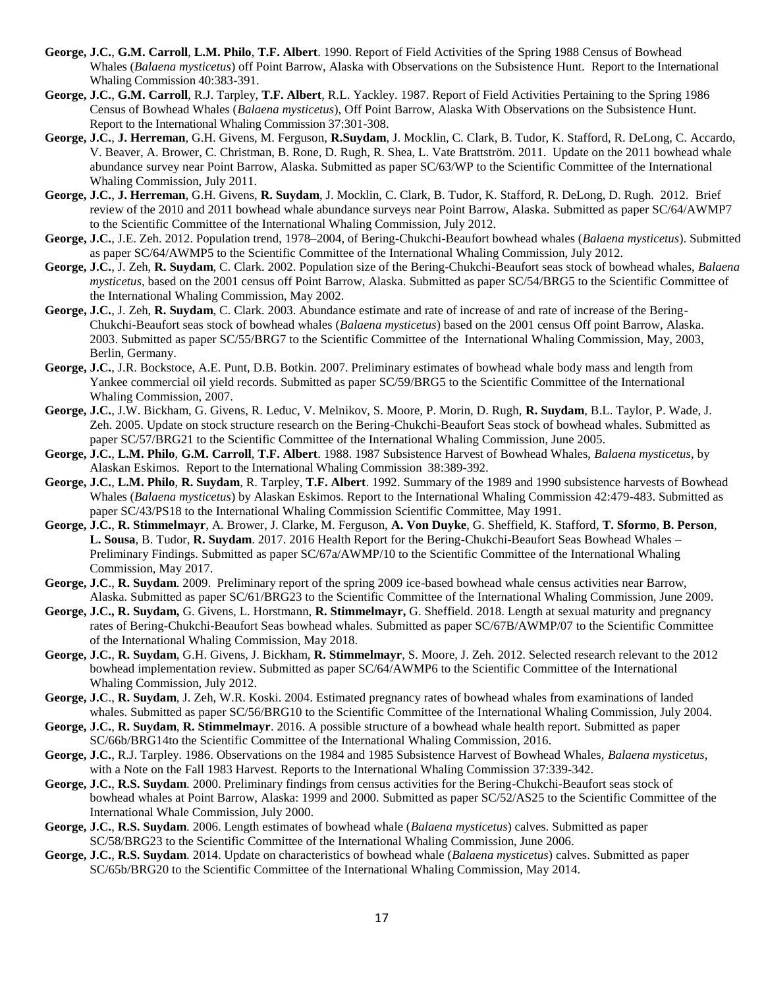- **George, J.C.**, **G.M. Carroll**, **L.M. Philo**, **T.F. Albert**. 1990. Report of Field Activities of the Spring 1988 Census of Bowhead Whales (*Balaena mysticetus*) off Point Barrow, Alaska with Observations on the Subsistence Hunt. Report to the International Whaling Commission 40:383-391.
- **George, J.C.**, **G.M. Carroll**, R.J. Tarpley, **T.F. Albert**, R.L. Yackley. 1987. Report of Field Activities Pertaining to the Spring 1986 Census of Bowhead Whales (*Balaena mysticetus*), Off Point Barrow, Alaska With Observations on the Subsistence Hunt. Report to the International Whaling Commission 37:301-308.
- **George, J.C.**, **J. Herreman**, G.H. Givens, M. Ferguson, **R.Suydam**, J. Mocklin, C. Clark, B. Tudor, K. Stafford, R. DeLong, C. Accardo, V. Beaver, A. Brower, C. Christman, B. Rone, D. Rugh, R. Shea, L. Vate Brattström. 2011. Update on the 2011 bowhead whale abundance survey near Point Barrow, Alaska. Submitted as paper SC/63/WP to the Scientific Committee of the International Whaling Commission, July 2011.
- **George, J.C.**, **J. Herreman**, G.H. Givens, **R. Suydam**, J. Mocklin, C. Clark, B. Tudor, K. Stafford, R. DeLong, D. Rugh. 2012. Brief review of the 2010 and 2011 bowhead whale abundance surveys near Point Barrow, Alaska. Submitted as paper SC/64/AWMP7 to the Scientific Committee of the International Whaling Commission, July 2012.
- **George, J.C.**, J.E. Zeh. 2012. Population trend, 1978–2004, of Bering-Chukchi-Beaufort bowhead whales (*Balaena mysticetus*). Submitted as paper SC/64/AWMP5 to the Scientific Committee of the International Whaling Commission, July 2012.
- **George, J.C.**, J. Zeh, **R. Suydam**, C. Clark. 2002. Population size of the Bering-Chukchi-Beaufort seas stock of bowhead whales, *Balaena mysticetus,* based on the 2001 census off Point Barrow, Alaska. Submitted as paper SC/54/BRG5 to the Scientific Committee of the International Whaling Commission, May 2002.
- **George, J.C.**, J. Zeh, **R. Suydam**, C. Clark. 2003. Abundance estimate and rate of increase of and rate of increase of the Bering-Chukchi-Beaufort seas stock of bowhead whales (*Balaena mysticetus*) based on the 2001 census Off point Barrow, Alaska. 2003. Submitted as paper SC/55/BRG7 to the Scientific Committee of the International Whaling Commission, May, 2003, Berlin, Germany.
- **George, J.C.**, J.R. Bockstoce, A.E. Punt, D.B. Botkin. 2007. Preliminary estimates of bowhead whale body mass and length from Yankee commercial oil yield records. Submitted as paper SC/59/BRG5 to the Scientific Committee of the International Whaling Commission, 2007.
- **George, J.C.**, J.W. Bickham, G. Givens, R. Leduc, V. Melnikov, S. Moore, P. Morin, D. Rugh, **R. Suydam**, B.L. Taylor, P. Wade, J. Zeh. 2005. Update on stock structure research on the Bering-Chukchi-Beaufort Seas stock of bowhead whales. Submitted as paper SC/57/BRG21 to the Scientific Committee of the International Whaling Commission, June 2005.
- **George, J.C.**, **L.M. Philo**, **G.M. Carroll**, **T.F. Albert**. 1988. 1987 Subsistence Harvest of Bowhead Whales, *Balaena mysticetus*, by Alaskan Eskimos. Report to the International Whaling Commission 38:389-392.
- **George, J.C.**, **L.M. Philo**, **R. Suydam**, R. Tarpley, **T.F. Albert**. 1992. Summary of the 1989 and 1990 subsistence harvests of Bowhead Whales (*Balaena mysticetus*) by Alaskan Eskimos. Report to the International Whaling Commission 42:479-483. Submitted as paper SC/43/PS18 to the International Whaling Commission Scientific Committee, May 1991.
- **George, J.C.**, **R. Stimmelmayr**, A. Brower, J. Clarke, M. Ferguson, **A. Von Duyke**, G. Sheffield, K. Stafford, **T. Sformo**, **B. Person**, **L. Sousa**, B. Tudor, **R. Suydam**. 2017. 2016 Health Report for the Bering-Chukchi-Beaufort Seas Bowhead Whales – Preliminary Findings. Submitted as paper SC/67a/AWMP/10 to the Scientific Committee of the International Whaling Commission, May 2017.
- **George, J.C**., **R. Suydam**. 2009. Preliminary report of the spring 2009 ice-based bowhead whale census activities near Barrow, Alaska. Submitted as paper SC/61/BRG23 to the Scientific Committee of the International Whaling Commission, June 2009.
- **George, J.C., R. Suydam,** G. Givens, L. Horstmann, **R. Stimmelmayr,** G. Sheffield. 2018. Length at sexual maturity and pregnancy rates of Bering-Chukchi-Beaufort Seas bowhead whales. Submitted as paper SC/67B/AWMP/07 to the Scientific Committee of the International Whaling Commission, May 2018.
- **George, J.C.**, **R. Suydam**, G.H. Givens, J. Bickham, **R. Stimmelmayr**, S. Moore, J. Zeh. 2012. Selected research relevant to the 2012 bowhead implementation review. Submitted as paper SC/64/AWMP6 to the Scientific Committee of the International Whaling Commission, July 2012.
- **George, J.C**., **R. Suydam**, J. Zeh, W.R. Koski. 2004. Estimated pregnancy rates of bowhead whales from examinations of landed whales. Submitted as paper SC/56/BRG10 to the Scientific Committee of the International Whaling Commission, July 2004.
- **George, J.C.**, **R. Suydam**, **R. Stimmelmayr**. 2016. A possible structure of a bowhead whale health report. Submitted as paper SC/66b/BRG14to the Scientific Committee of the International Whaling Commission, 2016.
- **George, J.C.**, R.J. Tarpley. 1986. Observations on the 1984 and 1985 Subsistence Harvest of Bowhead Whales, *Balaena mysticetus*, with a Note on the Fall 1983 Harvest. Reports to the International Whaling Commission 37:339-342.
- **George, J.C.**, **R.S. Suydam**. 2000. Preliminary findings from census activities for the Bering-Chukchi-Beaufort seas stock of bowhead whales at Point Barrow, Alaska: 1999 and 2000. Submitted as paper SC/52/AS25 to the Scientific Committee of the International Whale Commission, July 2000.
- **George, J.C.**, **R.S. Suydam**. 2006. Length estimates of bowhead whale (*Balaena mysticetus*) calves. Submitted as paper SC/58/BRG23 to the Scientific Committee of the International Whaling Commission, June 2006.
- **George, J.C.**, **R.S. Suydam**. 2014. Update on characteristics of bowhead whale (*Balaena mysticetus*) calves. Submitted as paper SC/65b/BRG20 to the Scientific Committee of the International Whaling Commission, May 2014.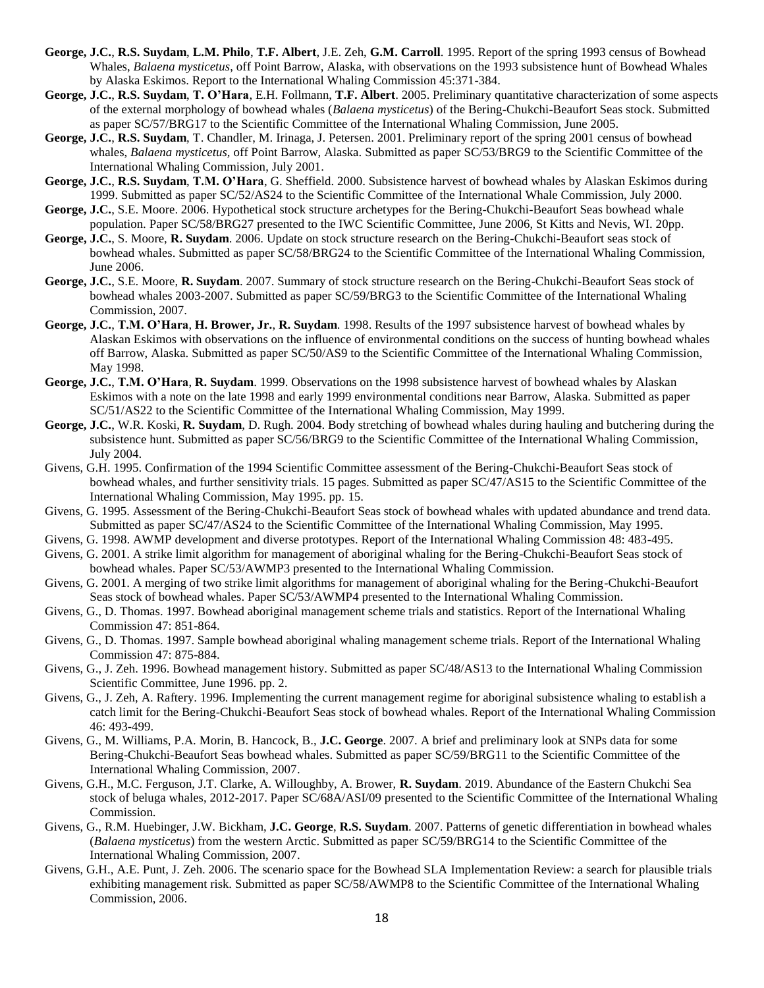- **George, J.C.**, **R.S. Suydam**, **L.M. Philo**, **T.F. Albert**, J.E. Zeh, **G.M. Carroll**. 1995. Report of the spring 1993 census of Bowhead Whales, *Balaena mysticetus*, off Point Barrow, Alaska, with observations on the 1993 subsistence hunt of Bowhead Whales by Alaska Eskimos. Report to the International Whaling Commission 45:371-384.
- **George, J.C.**, **R.S. Suydam**, **T. O'Hara**, E.H. Follmann, **T.F. Albert**. 2005. Preliminary quantitative characterization of some aspects of the external morphology of bowhead whales (*Balaena mysticetus*) of the Bering-Chukchi-Beaufort Seas stock. Submitted as paper SC/57/BRG17 to the Scientific Committee of the International Whaling Commission, June 2005.
- **George, J.C.**, **R.S. Suydam**, T. Chandler, M. Irinaga, J. Petersen. 2001. Preliminary report of the spring 2001 census of bowhead whales, *Balaena mysticetus,* off Point Barrow, Alaska. Submitted as paper SC/53/BRG9 to the Scientific Committee of the International Whaling Commission, July 2001.
- **George, J.C.**, **R.S. Suydam**, **T.M. O'Hara**, G. Sheffield. 2000. Subsistence harvest of bowhead whales by Alaskan Eskimos during 1999. Submitted as paper SC/52/AS24 to the Scientific Committee of the International Whale Commission, July 2000.
- **George, J.C.**, S.E. Moore. 2006. Hypothetical stock structure archetypes for the Bering-Chukchi-Beaufort Seas bowhead whale population. Paper SC/58/BRG27 presented to the IWC Scientific Committee, June 2006, St Kitts and Nevis, WI. 20pp.
- **George, J.C.**, S. Moore, **R. Suydam**. 2006. Update on stock structure research on the Bering-Chukchi-Beaufort seas stock of bowhead whales. Submitted as paper SC/58/BRG24 to the Scientific Committee of the International Whaling Commission, June 2006.
- **George, J.C.**, S.E. Moore, **R. Suydam**. 2007. Summary of stock structure research on the Bering-Chukchi-Beaufort Seas stock of bowhead whales 2003-2007. Submitted as paper SC/59/BRG3 to the Scientific Committee of the International Whaling Commission, 2007.
- **George, J.C.**, **T.M. O'Hara**, **H. Brower, Jr.**, **R. Suydam**. 1998. Results of the 1997 subsistence harvest of bowhead whales by Alaskan Eskimos with observations on the influence of environmental conditions on the success of hunting bowhead whales off Barrow, Alaska. Submitted as paper SC/50/AS9 to the Scientific Committee of the International Whaling Commission, May 1998.
- **George, J.C.**, **T.M. O'Hara**, **R. Suydam**. 1999. Observations on the 1998 subsistence harvest of bowhead whales by Alaskan Eskimos with a note on the late 1998 and early 1999 environmental conditions near Barrow, Alaska. Submitted as paper SC/51/AS22 to the Scientific Committee of the International Whaling Commission, May 1999.
- **George, J.C.**, W.R. Koski, **R. Suydam**, D. Rugh. 2004. Body stretching of bowhead whales during hauling and butchering during the subsistence hunt. Submitted as paper SC/56/BRG9 to the Scientific Committee of the International Whaling Commission, July 2004.
- Givens, G.H. 1995. Confirmation of the 1994 Scientific Committee assessment of the Bering-Chukchi-Beaufort Seas stock of bowhead whales, and further sensitivity trials. 15 pages. Submitted as paper SC/47/AS15 to the Scientific Committee of the International Whaling Commission, May 1995. pp. 15.
- Givens, G. 1995. Assessment of the Bering-Chukchi-Beaufort Seas stock of bowhead whales with updated abundance and trend data. Submitted as paper SC/47/AS24 to the Scientific Committee of the International Whaling Commission, May 1995.
- Givens, G. 1998. AWMP development and diverse prototypes. Report of the International Whaling Commission 48: 483-495.
- Givens, G. 2001. A strike limit algorithm for management of aboriginal whaling for the Bering-Chukchi-Beaufort Seas stock of bowhead whales. Paper SC/53/AWMP3 presented to the International Whaling Commission.
- Givens, G. 2001. A merging of two strike limit algorithms for management of aboriginal whaling for the Bering-Chukchi-Beaufort Seas stock of bowhead whales. Paper SC/53/AWMP4 presented to the International Whaling Commission.
- Givens, G., D. Thomas. 1997. Bowhead aboriginal management scheme trials and statistics. Report of the International Whaling Commission 47: 851-864.
- Givens, G., D. Thomas. 1997. Sample bowhead aboriginal whaling management scheme trials. Report of the International Whaling Commission 47: 875-884.
- Givens, G., J. Zeh. 1996. Bowhead management history. Submitted as paper SC/48/AS13 to the International Whaling Commission Scientific Committee, June 1996. pp. 2.
- Givens, G., J. Zeh, A. Raftery. 1996. Implementing the current management regime for aboriginal subsistence whaling to establish a catch limit for the Bering-Chukchi-Beaufort Seas stock of bowhead whales. Report of the International Whaling Commission 46: 493-499.
- Givens, G., M. Williams, P.A. Morin, B. Hancock, B., **J.C. George**. 2007. A brief and preliminary look at SNPs data for some Bering-Chukchi-Beaufort Seas bowhead whales. Submitted as paper SC/59/BRG11 to the Scientific Committee of the International Whaling Commission, 2007.
- Givens, G.H., M.C. Ferguson, J.T. Clarke, A. Willoughby, A. Brower, **R. Suydam**. 2019. Abundance of the Eastern Chukchi Sea stock of beluga whales, 2012-2017. Paper SC/68A/ASI/09 presented to the Scientific Committee of the International Whaling Commission.
- Givens, G., R.M. Huebinger, J.W. Bickham, **J.C. George**, **R.S. Suydam**. 2007. Patterns of genetic differentiation in bowhead whales (*Balaena mysticetus*) from the western Arctic. Submitted as paper SC/59/BRG14 to the Scientific Committee of the International Whaling Commission, 2007.
- Givens, G.H., A.E. Punt, J. Zeh. 2006. The scenario space for the Bowhead SLA Implementation Review: a search for plausible trials exhibiting management risk. Submitted as paper SC/58/AWMP8 to the Scientific Committee of the International Whaling Commission, 2006.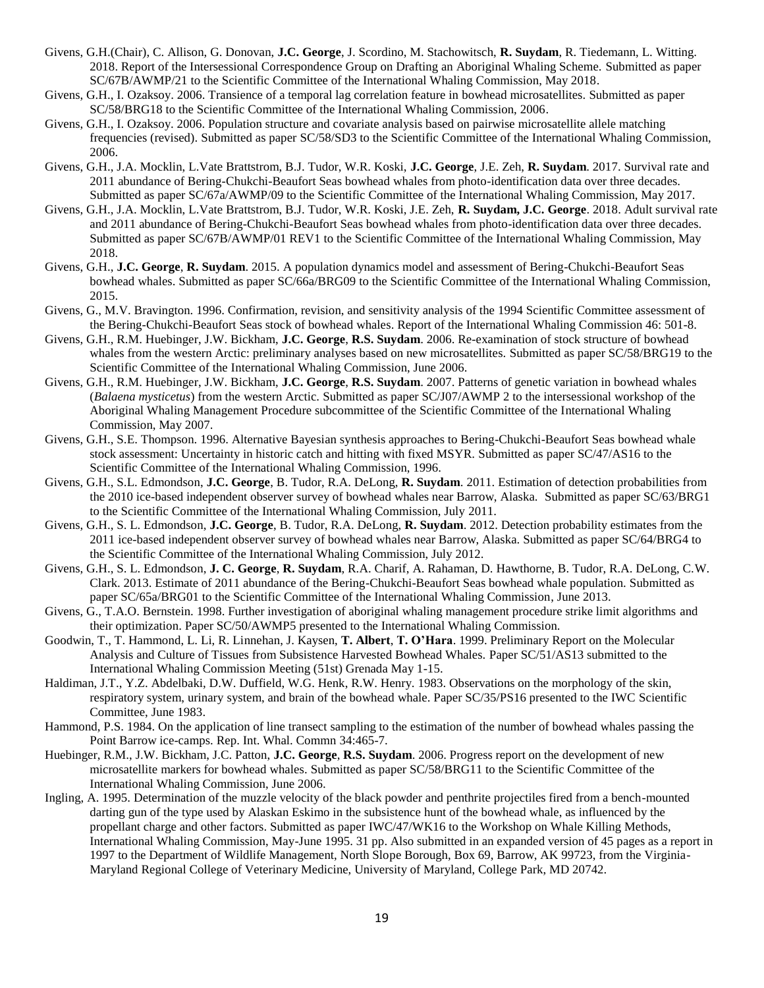- Givens, G.H.(Chair), C. Allison, G. Donovan, **J.C. George**, J. Scordino, M. Stachowitsch, **R. Suydam**, R. Tiedemann, L. Witting. 2018. Report of the Intersessional Correspondence Group on Drafting an Aboriginal Whaling Scheme. Submitted as paper SC/67B/AWMP/21 to the Scientific Committee of the International Whaling Commission, May 2018.
- Givens, G.H., I. Ozaksoy. 2006. Transience of a temporal lag correlation feature in bowhead microsatellites. Submitted as paper SC/58/BRG18 to the Scientific Committee of the International Whaling Commission, 2006.
- Givens, G.H., I. Ozaksoy. 2006. Population structure and covariate analysis based on pairwise microsatellite allele matching frequencies (revised). Submitted as paper SC/58/SD3 to the Scientific Committee of the International Whaling Commission, 2006.
- Givens, G.H., J.A. Mocklin, L.Vate Brattstrom, B.J. Tudor, W.R. Koski, **J.C. George**, J.E. Zeh, **R. Suydam**. 2017. Survival rate and 2011 abundance of Bering-Chukchi-Beaufort Seas bowhead whales from photo-identification data over three decades. Submitted as paper  $SC/67a/AWMP/09$  to the Scientific Committee of the International Whaling Commission, May 2017.
- Givens, G.H., J.A. Mocklin, L.Vate Brattstrom, B.J. Tudor, W.R. Koski, J.E. Zeh, **R. Suydam, J.C. George**. 2018. Adult survival rate and 2011 abundance of Bering-Chukchi-Beaufort Seas bowhead whales from photo-identification data over three decades. Submitted as paper SC/67B/AWMP/01 REV1 to the Scientific Committee of the International Whaling Commission, May 2018.
- Givens, G.H., **J.C. George**, **R. Suydam**. 2015. [A population dynamics model and assessment of Bering-Chukchi-Beaufort Seas](http://www.north-slope.org/assets/images/uploads/SC-66a-BRG09.givens.pdf)  [bowhead whales.](http://www.north-slope.org/assets/images/uploads/SC-66a-BRG09.givens.pdf) Submitted as paper SC/66a/BRG09 to the Scientific Committee of the International Whaling Commission, 2015.
- Givens, G., M.V. Bravington. 1996. Confirmation, revision, and sensitivity analysis of the 1994 Scientific Committee assessment of the Bering-Chukchi-Beaufort Seas stock of bowhead whales. Report of the International Whaling Commission 46: 501-8.
- Givens, G.H., R.M. Huebinger, J.W. Bickham, **J.C. George**, **R.S. Suydam**. 2006. Re-examination of stock structure of bowhead whales from the western Arctic: preliminary analyses based on new microsatellites. Submitted as paper SC/58/BRG19 to the Scientific Committee of the International Whaling Commission, June 2006.
- Givens, G.H., R.M. Huebinger, J.W. Bickham, **J.C. George**, **R.S. Suydam**. 2007. Patterns of genetic variation in bowhead whales (*Balaena mysticetus*) from the western Arctic. Submitted as paper SC/J07/AWMP 2 to the intersessional workshop of the Aboriginal Whaling Management Procedure subcommittee of the Scientific Committee of the International Whaling Commission, May 2007.
- Givens, G.H., S.E. Thompson. 1996. Alternative Bayesian synthesis approaches to Bering-Chukchi-Beaufort Seas bowhead whale stock assessment: Uncertainty in historic catch and hitting with fixed MSYR*.* Submitted as paper SC/47/AS16 to the Scientific Committee of the International Whaling Commission, 1996.
- Givens, G.H., S.L. Edmondson, **J.C. George**, B. Tudor, R.A. DeLong, **R. Suydam**. 2011. Estimation of detection probabilities from the 2010 ice-based independent observer survey of bowhead whales near Barrow, Alaska. Submitted as paper SC/63/BRG1 to the Scientific Committee of the International Whaling Commission, July 2011.
- Givens, G.H., S. L. Edmondson, **J.C. George**, B. Tudor, R.A. DeLong, **R. Suydam**. 2012. Detection probability estimates from the 2011 ice-based independent observer survey of bowhead whales near Barrow, Alaska. Submitted as paper SC/64/BRG4 to the Scientific Committee of the International Whaling Commission, July 2012.
- Givens, G.H., S. L. Edmondson, **J. C. George**, **R. Suydam**, R.A. Charif, A. Rahaman, D. Hawthorne, B. Tudor, R.A. DeLong, C.W. Clark. 2013. Estimate of 2011 abundance of the Bering-Chukchi-Beaufort Seas bowhead whale population. Submitted as paper SC/65a/BRG01 to the Scientific Committee of the International Whaling Commission, June 2013.
- Givens, G., T.A.O. Bernstein. 1998. Further investigation of aboriginal whaling management procedure strike limit algorithms and their optimization. Paper SC/50/AWMP5 presented to the International Whaling Commission.
- Goodwin, T., T. Hammond, L. Li, R. Linnehan, J. Kaysen, **T. Albert**, **T. O'Hara**. 1999. Preliminary Report on the Molecular Analysis and Culture of Tissues from Subsistence Harvested Bowhead Whales. Paper SC/51/AS13 submitted to the International Whaling Commission Meeting (51st) Grenada May 1-15.
- Haldiman, J.T., Y.Z. Abdelbaki, D.W. Duffield, W.G. Henk, R.W. Henry. 1983. Observations on the morphology of the skin, respiratory system, urinary system, and brain of the bowhead whale. Paper SC/35/PS16 presented to the IWC Scientific Committee, June 1983.
- Hammond, P.S. 1984. On the application of line transect sampling to the estimation of the number of bowhead whales passing the Point Barrow ice-camps. Rep. Int. Whal. Commn 34:465-7.
- Huebinger, R.M., J.W. Bickham, J.C. Patton, **J.C. George**, **R.S. Suydam**. 2006. Progress report on the development of new microsatellite markers for bowhead whales. Submitted as paper SC/58/BRG11 to the Scientific Committee of the International Whaling Commission, June 2006.
- Ingling, A. 1995. Determination of the muzzle velocity of the black powder and penthrite projectiles fired from a bench-mounted darting gun of the type used by Alaskan Eskimo in the subsistence hunt of the bowhead whale, as influenced by the propellant charge and other factors. Submitted as paper IWC/47/WK16 to the Workshop on Whale Killing Methods, International Whaling Commission, May-June 1995. 31 pp. Also submitted in an expanded version of 45 pages as a report in 1997 to the Department of Wildlife Management, North Slope Borough, Box 69, Barrow, AK 99723, from the Virginia-Maryland Regional College of Veterinary Medicine, University of Maryland, College Park, MD 20742.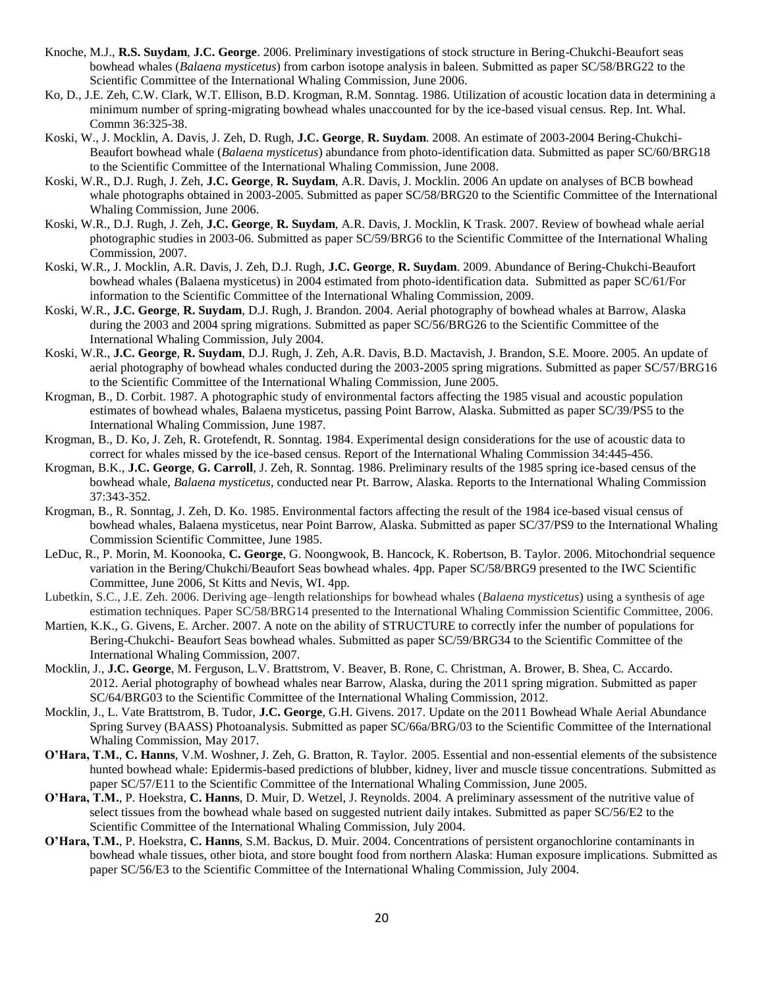- Knoche, M.J., **R.S. Suydam**, **J.C. George**. 2006. Preliminary investigations of stock structure in Bering-Chukchi-Beaufort seas bowhead whales (*Balaena mysticetus*) from carbon isotope analysis in baleen. Submitted as paper SC/58/BRG22 to the Scientific Committee of the International Whaling Commission, June 2006.
- Ko, D., J.E. Zeh, C.W. Clark, W.T. Ellison, B.D. Krogman, R.M. Sonntag. 1986. Utilization of acoustic location data in determining a minimum number of spring-migrating bowhead whales unaccounted for by the ice-based visual census. Rep. Int. Whal. Commn 36:325-38.
- Koski, W., J. Mocklin, A. Davis, J. Zeh, D. Rugh, **J.C. George**, **R. Suydam**. 2008. An estimate of 2003-2004 Bering-Chukchi-Beaufort bowhead whale (*Balaena mysticetus*) abundance from photo-identification data. Submitted as paper SC/60/BRG18 to the Scientific Committee of the International Whaling Commission, June 2008.
- Koski, W.R., D.J. Rugh, J. Zeh, **J.C. George**, **R. Suydam**, A.R. Davis, J. Mocklin. 2006 An update on analyses of BCB bowhead whale photographs obtained in 2003-2005. Submitted as paper SC/58/BRG20 to the Scientific Committee of the International Whaling Commission, June 2006.
- Koski, W.R., D.J. Rugh, J. Zeh, **J.C. George**, **R. Suydam**, A.R. Davis, J. Mocklin, K Trask. 2007. [Review of bowhead whale aerial](http://www.north-slope.org/assets/images/uploads/SC-59-BRG6%20koski%20photo%20studies.pdf)  [photographic studies in 2003-06.](http://www.north-slope.org/assets/images/uploads/SC-59-BRG6%20koski%20photo%20studies.pdf) Submitted as paper SC/59/BRG6 to the Scientific Committee of the International Whaling Commission, 2007.
- Koski, W.R., J. Mocklin, A.R. Davis, J. Zeh, D.J. Rugh, **J.C. George**, **R. Suydam**. 2009. [Abundance of Bering-Chukchi-Beaufort](http://www.north-slope.org/assets/images/uploads/koski%202004%20abundance%20photo%20ID%20master.pdf)  [bowhead whales \(Balaena mysticetus\) in 2004 estimated from photo-identification data.](http://www.north-slope.org/assets/images/uploads/koski%202004%20abundance%20photo%20ID%20master.pdf) Submitted as paper SC/61/For information to the Scientific Committee of the International Whaling Commission, 2009.
- Koski, W.R., **J.C. George**, **R. Suydam**, D.J. Rugh, J. Brandon. 2004. Aerial photography of bowhead whales at Barrow, Alaska during the 2003 and 2004 spring migrations. Submitted as paper SC/56/BRG26 to the Scientific Committee of the International Whaling Commission, July 2004.
- Koski, W.R., **J.C. George**, **R. Suydam**, D.J. Rugh, J. Zeh, A.R. Davis, B.D. Mactavish, J. Brandon, S.E. Moore. 2005. An update of aerial photography of bowhead whales conducted during the 2003-2005 spring migrations. Submitted as paper SC/57/BRG16 to the Scientific Committee of the International Whaling Commission, June 2005.
- Krogman, B., D. Corbit. 1987. A photographic study of environmental factors affecting the 1985 visual and acoustic population estimates of bowhead whales, Balaena mysticetus, passing Point Barrow, Alaska. Submitted as paper SC/39/PS5 to the International Whaling Commission, June 1987.
- Krogman, B., D. Ko, J. Zeh, R. Grotefendt, R. Sonntag. 1984. Experimental design considerations for the use of acoustic data to correct for whales missed by the ice-based census. Report of the International Whaling Commission 34:445-456.
- Krogman, B.K., **J.C. George**, **G. Carroll**, J. Zeh, R. Sonntag. 1986. Preliminary results of the 1985 spring ice-based census of the bowhead whale, *Balaena mysticetus*, conducted near Pt. Barrow, Alaska. Reports to the International Whaling Commission 37:343-352.
- Krogman, B., R. Sonntag, J. Zeh, D. Ko. 1985. Environmental factors affecting the result of the 1984 ice-based visual census of bowhead whales, Balaena mysticetus, near Point Barrow, Alaska. Submitted as paper SC/37/PS9 to the International Whaling Commission Scientific Committee, June 1985.
- LeDuc, R., P. Morin, M. Koonooka, **C. George**, G. Noongwook, B. Hancock, K. Robertson, B. Taylor. 2006. Mitochondrial sequence variation in the Bering/Chukchi/Beaufort Seas bowhead whales. 4pp. Paper SC/58/BRG9 presented to the IWC Scientific Committee, June 2006, St Kitts and Nevis, WI. 4pp.
- Lubetkin, S.C., J.E. Zeh. 2006. Deriving age–length relationships for bowhead whales (*Balaena mysticetus*) using a synthesis of age estimation techniques. Paper SC/58/BRG14 presented to the International Whaling Commission Scientific Committee, 2006.
- Martien, K.K., G. Givens, E. Archer. 2007. A note on the ability of STRUCTURE to correctly infer the number of populations for Bering-Chukchi- Beaufort Seas bowhead whales. Submitted as paper SC/59/BRG34 to the Scientific Committee of the International Whaling Commission, 2007.
- Mocklin, J., **J.C. George**, M. Ferguson, L.V. Brattstrom, V. Beaver, B. Rone, C. Christman, A. Brower, B. Shea, C. Accardo. 2012. [Aerial photography of bowhead whales near Barrow, Alaska, during the 2011 spring migration.](http://www.north-slope.org/assets/images/uploads/SC-64-BRG3.mocklin.pdf) Submitted as paper SC/64/BRG03 to the Scientific Committee of the International Whaling Commission, 2012.
- Mocklin, J., L. Vate Brattstrom, B. Tudor, **J.C. George**, G.H. Givens. 2017. Update on the 2011 Bowhead Whale Aerial Abundance Spring Survey (BAASS) Photoanalysis. Submitted as paper SC/66a/BRG/03 to the Scientific Committee of the International Whaling Commission, May 2017.
- **O'Hara, T.M.**, **C. Hanns**, V.M. Woshner,J. Zeh, G. Bratton, R. Taylor. 2005. Essential and non-essential elements of the subsistence hunted bowhead whale: Epidermis-based predictions of blubber, kidney, liver and muscle tissue concentrations. Submitted as paper SC/57/E11 to the Scientific Committee of the International Whaling Commission, June 2005.
- **O'Hara, T.M.**, P. Hoekstra, **C. Hanns**, D. Muir, D. Wetzel, J. Reynolds. 2004. A preliminary assessment of the nutritive value of select tissues from the bowhead whale based on suggested nutrient daily intakes. Submitted as paper SC/56/E2 to the Scientific Committee of the International Whaling Commission, July 2004.
- **O'Hara, T.M.**, P. Hoekstra, **C. Hanns**, S.M. Backus, D. Muir. 2004. Concentrations of persistent organochlorine contaminants in bowhead whale tissues, other biota, and store bought food from northern Alaska: Human exposure implications. Submitted as paper SC/56/E3 to the Scientific Committee of the International Whaling Commission, July 2004.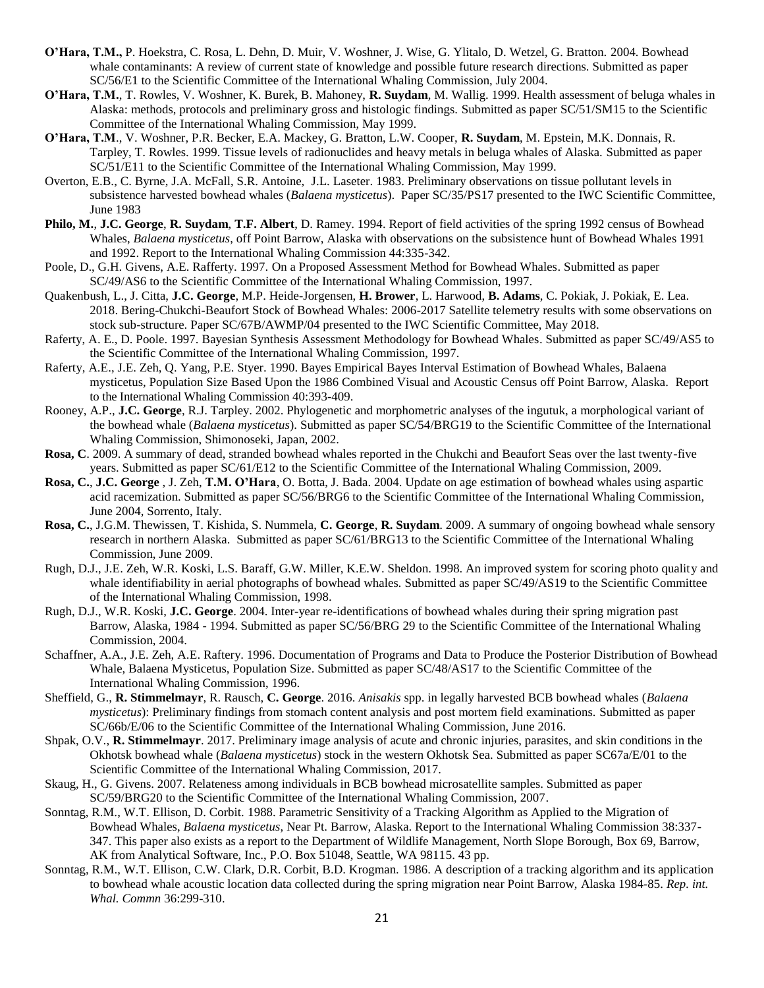- **O'Hara, T.M.,** P. Hoekstra, C. Rosa, L. Dehn, D. Muir, V. Woshner, J. Wise, G. Ylitalo, D. Wetzel, G. Bratton. 2004. Bowhead whale contaminants: A review of current state of knowledge and possible future research directions. Submitted as paper SC/56/E1 to the Scientific Committee of the International Whaling Commission, July 2004.
- **O'Hara, T.M.**, T. Rowles, V. Woshner, K. Burek, B. Mahoney, **R. Suydam**, M. Wallig. 1999. Health assessment of beluga whales in Alaska: methods, protocols and preliminary gross and histologic findings. Submitted as paper SC/51/SM15 to the Scientific Committee of the International Whaling Commission, May 1999.
- **O'Hara, T.M**., V. Woshner, P.R. Becker, E.A. Mackey, G. Bratton, L.W. Cooper, **R. Suydam**, M. Epstein, M.K. Donnais, R. Tarpley, T. Rowles. 1999. Tissue levels of radionuclides and heavy metals in beluga whales of Alaska. Submitted as paper SC/51/E11 to the Scientific Committee of the International Whaling Commission, May 1999.
- Overton, E.B., C. Byrne, J.A. McFall, S.R. Antoine, J.L. Laseter. 1983. Preliminary observations on tissue pollutant levels in subsistence harvested bowhead whales (*Balaena mysticetus*). Paper SC/35/PS17 presented to the IWC Scientific Committee, June 1983
- **Philo, M.**, **J.C. George**, **R. Suydam**, **T.F. Albert**, D. Ramey. 1994. Report of field activities of the spring 1992 census of Bowhead Whales, *Balaena mysticetus*, off Point Barrow, Alaska with observations on the subsistence hunt of Bowhead Whales 1991 and 1992. Report to the International Whaling Commission 44:335-342.
- Poole, D., G.H. Givens, A.E. Rafferty. 1997. On a Proposed Assessment Method for Bowhead Whales. Submitted as paper SC/49/AS6 to the Scientific Committee of the International Whaling Commission, 1997.
- Quakenbush, L., J. Citta, **J.C. George**, M.P. Heide-Jorgensen, **H. Brower**, L. Harwood, **B. Adams**, C. Pokiak, J. Pokiak, E. Lea. 2018. Bering-Chukchi-Beaufort Stock of Bowhead Whales: 2006-2017 Satellite telemetry results with some observations on stock sub-structure. Paper SC/67B/AWMP/04 presented to the IWC Scientific Committee, May 2018.
- Raferty, A. E., D. Poole. 1997. Bayesian Synthesis Assessment Methodology for Bowhead Whales. Submitted as paper SC/49/AS5 to the Scientific Committee of the International Whaling Commission, 1997.
- Raferty, A.E., J.E. Zeh, Q. Yang, P.E. Styer. 1990. Bayes Empirical Bayes Interval Estimation of Bowhead Whales, Balaena mysticetus, Population Size Based Upon the 1986 Combined Visual and Acoustic Census off Point Barrow, Alaska. Report to the International Whaling Commission 40:393-409.
- Rooney, A.P., **J.C. George**, R.J. Tarpley. 2002. Phylogenetic and morphometric analyses of the ingutuk, a morphological variant of the bowhead whale (*Balaena mysticetus*). Submitted as paper SC/54/BRG19 to the Scientific Committee of the International Whaling Commission, Shimonoseki, Japan, 2002.
- **Rosa, C**. 2009. A summary of dead, stranded bowhead whales reported in the Chukchi and Beaufort Seas over the last twenty-five years. Submitted as paper SC/61/E12 to the Scientific Committee of the International Whaling Commission, 2009.
- **Rosa, C.**, **J.C. George** , J. Zeh, **T.M. O'Hara**, O. Botta, J. Bada. 2004. Update on age estimation of bowhead whales using aspartic acid racemization. Submitted as paper SC/56/BRG6 to the Scientific Committee of the International Whaling Commission, June 2004, Sorrento, Italy.
- **Rosa, C.**, J.G.M. Thewissen, T. Kishida, S. Nummela, **C. George**, **R. Suydam**. 2009. A summary of ongoing bowhead whale sensory research in northern Alaska. Submitted as paper SC/61/BRG13 to the Scientific Committee of the International Whaling Commission, June 2009.
- Rugh, D.J., J.E. Zeh, W.R. Koski, L.S. Baraff, G.W. Miller, K.E.W. Sheldon. 1998. An improved system for scoring photo quality and whale identifiability in aerial photographs of bowhead whales*.* Submitted as paper SC/49/AS19 to the Scientific Committee of the International Whaling Commission, 1998.
- Rugh, D.J., W.R. Koski, **J.C. George**. 2004. Inter-year re-identifications of bowhead whales during their spring migration past Barrow, Alaska, 1984 - 1994. Submitted as paper SC/56/BRG 29 to the Scientific Committee of the International Whaling Commission, 2004.
- Schaffner, A.A., J.E. Zeh, A.E. Raftery. 1996. Documentation of Programs and Data to Produce the Posterior Distribution of Bowhead Whale, Balaena Mysticetus, Population Size. Submitted as paper SC/48/AS17 to the Scientific Committee of the International Whaling Commission, 1996.
- Sheffield, G., **R. Stimmelmayr**, R. Rausch, **C. George**. 2016. *Anisakis* spp. in legally harvested BCB bowhead whales (*Balaena mysticetus*): Preliminary findings from stomach content analysis and post mortem field examinations. Submitted as paper SC/66b/E/06 to the Scientific Committee of the International Whaling Commission, June 2016.
- Shpak, O.V., **R. Stimmelmayr**. 2017. Preliminary image analysis of acute and chronic injuries, parasites, and skin conditions in the Okhotsk bowhead whale (*Balaena mysticetus*) stock in the western Okhotsk Sea. Submitted as paper SC67a/E/01 to the Scientific Committee of the International Whaling Commission, 2017.
- Skaug, H., G. Givens. 2007. Relateness among individuals in BCB bowhead microsatellite samples. Submitted as paper SC/59/BRG20 to the Scientific Committee of the International Whaling Commission, 2007.
- Sonntag, R.M., W.T. Ellison, D. Corbit. 1988. Parametric Sensitivity of a Tracking Algorithm as Applied to the Migration of Bowhead Whales, *Balaena mysticetus*, Near Pt. Barrow, Alaska. Report to the International Whaling Commission 38:337- 347. This paper also exists as a report to the Department of Wildlife Management, North Slope Borough, Box 69, Barrow, AK from Analytical Software, Inc., P.O. Box 51048, Seattle, WA 98115. 43 pp.
- Sonntag, R.M., W.T. Ellison, C.W. Clark, D.R. Corbit, B.D. Krogman. 1986. A description of a tracking algorithm and its application to bowhead whale acoustic location data collected during the spring migration near Point Barrow, Alaska 1984-85. *Rep. int. Whal. Commn* 36:299-310.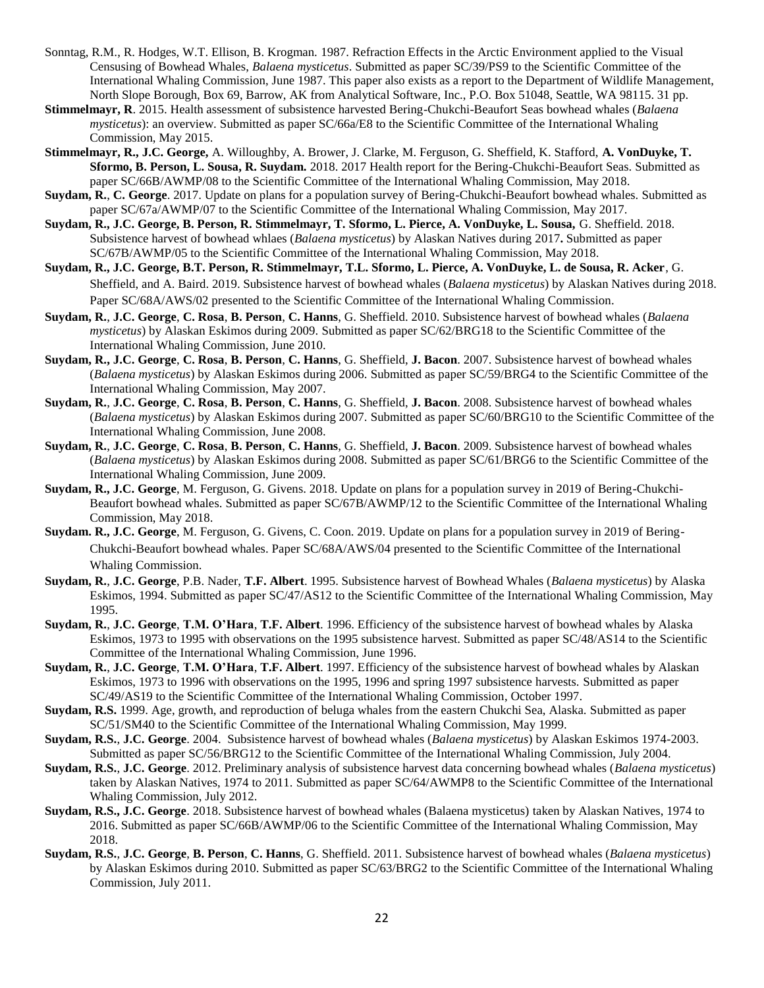- Sonntag, R.M., R. Hodges, W.T. Ellison, B. Krogman. 1987. Refraction Effects in the Arctic Environment applied to the Visual Censusing of Bowhead Whales, *Balaena mysticetus*. Submitted as paper SC/39/PS9 to the Scientific Committee of the International Whaling Commission, June 1987. This paper also exists as a report to the Department of Wildlife Management, North Slope Borough, Box 69, Barrow, AK from Analytical Software, Inc., P.O. Box 51048, Seattle, WA 98115. 31 pp.
- **Stimmelmayr, R**. 2015. Health assessment of subsistence harvested Bering-Chukchi-Beaufort Seas bowhead whales (*Balaena mysticetus*): an overview. Submitted as paper SC/66a/E8 to the Scientific Committee of the International Whaling Commission, May 2015.
- **Stimmelmayr, R., J.C. George,** A. Willoughby, A. Brower, J. Clarke, M. Ferguson, G. Sheffield, K. Stafford, **A. VonDuyke, T. Sformo, B. Person, L. Sousa, R. Suydam.** 2018. 2017 Health report for the Bering-Chukchi-Beaufort Seas. Submitted as paper SC/66B/AWMP/08 to the Scientific Committee of the International Whaling Commission, May 2018.
- **Suydam, R.**, **C. George**. 2017. Update on plans for a population survey of Bering-Chukchi-Beaufort bowhead whales. Submitted as paper SC/67a/AWMP/07 to the Scientific Committee of the International Whaling Commission, May 2017.
- **Suydam, R., J.C. George, B. Person, R. Stimmelmayr, T. Sformo, L. Pierce, A. VonDuyke, L. Sousa,** G. Sheffield. 2018. Subsistence harvest of bowhead whlaes (*Balaena mysticetus*) by Alaskan Natives during 2017**.** Submitted as paper SC/67B/AWMP/05 to the Scientific Committee of the International Whaling Commission, May 2018.
- **Suydam, R., J.C. George, B.T. Person, R. Stimmelmayr, T.L. Sformo, L. Pierce, A. VonDuyke, L. de Sousa, R. Acker**, G. Sheffield, and A. Baird. 2019. Subsistence harvest of bowhead whales (*Balaena mysticetus*) by Alaskan Natives during 2018. Paper SC/68A/AWS/02 presented to the Scientific Committee of the International Whaling Commission.
- **Suydam, R.**, **J.C. George**, **C. Rosa**, **B. Person**, **C. Hanns**, G. Sheffield. 2010. Subsistence harvest of bowhead whales (*Balaena mysticetus*) by Alaskan Eskimos during 2009. Submitted as paper SC/62/BRG18 to the Scientific Committee of the International Whaling Commission, June 2010.
- **Suydam, R., J.C. George**, **C. Rosa**, **B. Person**, **C. Hanns**, G. Sheffield, **J. Bacon**. 2007. Subsistence harvest of bowhead whales (*Balaena mysticetus*) by Alaskan Eskimos during 2006. Submitted as paper SC/59/BRG4 to the Scientific Committee of the International Whaling Commission, May 2007.
- **Suydam, R.**, **J.C. George**, **C. Rosa**, **B. Person**, **C. Hanns**, G. Sheffield, **J. Bacon**. 2008. Subsistence harvest of bowhead whales (*Balaena mysticetus*) by Alaskan Eskimos during 2007. Submitted as paper SC/60/BRG10 to the Scientific Committee of the International Whaling Commission, June 2008.
- **Suydam, R.**, **J.C. George**, **C. Rosa**, **B. Person**, **C. Hanns**, G. Sheffield, **J. Bacon**. 2009. Subsistence harvest of bowhead whales (*Balaena mysticetus*) by Alaskan Eskimos during 2008. Submitted as paper SC/61/BRG6 to the Scientific Committee of the International Whaling Commission, June 2009.
- **Suydam, R., J.C. George**, M. Ferguson, G. Givens. 2018. Update on plans for a population survey in 2019 of Bering-Chukchi-Beaufort bowhead whales. Submitted as paper SC/67B/AWMP/12 to the Scientific Committee of the International Whaling Commission, May 2018.
- **Suydam. R., J.C. George**, M. Ferguson, G. Givens, C. Coon. 2019. Update on plans for a population survey in 2019 of Bering-Chukchi-Beaufort bowhead whales. Paper SC/68A/AWS/04 presented to the Scientific Committee of the International Whaling Commission.
- **Suydam, R.**, **J.C. George**, P.B. Nader, **T.F. Albert**. 1995. Subsistence harvest of Bowhead Whales (*Balaena mysticetus*) by Alaska Eskimos, 1994. Submitted as paper SC/47/AS12 to the Scientific Committee of the International Whaling Commission, May 1995.
- **Suydam, R.**, **J.C. George**, **T.M. O'Hara**, **T.F. Albert**. 1996. Efficiency of the subsistence harvest of bowhead whales by Alaska Eskimos, 1973 to 1995 with observations on the 1995 subsistence harvest. Submitted as paper SC/48/AS14 to the Scientific Committee of the International Whaling Commission, June 1996.
- **Suydam, R.**, **J.C. George**, **T.M. O'Hara**, **T.F. Albert**. 1997. Efficiency of the subsistence harvest of bowhead whales by Alaskan Eskimos, 1973 to 1996 with observations on the 1995, 1996 and spring 1997 subsistence harvests. Submitted as paper SC/49/AS19 to the Scientific Committee of the International Whaling Commission, October 1997.
- **Suydam, R.S.** 1999. Age, growth, and reproduction of beluga whales from the eastern Chukchi Sea, Alaska. Submitted as paper SC/51/SM40 to the Scientific Committee of the International Whaling Commission, May 1999.
- **Suydam, R.S.**, **J.C. George**. 2004. Subsistence harvest of bowhead whales (*Balaena mysticetus*) by Alaskan Eskimos 1974-2003. Submitted as paper SC/56/BRG12 to the Scientific Committee of the International Whaling Commission, July 2004.
- **Suydam, R.S.**, **J.C. George**. 2012. Preliminary analysis of subsistence harvest data concerning bowhead whales (*Balaena mysticetus*) taken by Alaskan Natives, 1974 to 2011. Submitted as paper SC/64/AWMP8 to the Scientific Committee of the International Whaling Commission, July 2012.
- **Suydam, R.S., J.C. George**. 2018. Subsistence harvest of bowhead whales (Balaena mysticetus) taken by Alaskan Natives, 1974 to 2016. Submitted as paper SC/66B/AWMP/06 to the Scientific Committee of the International Whaling Commission, May 2018.
- **Suydam, R.S.**, **J.C. George**, **B. Person**, **C. Hanns**, G. Sheffield. 2011. Subsistence harvest of bowhead whales (*Balaena mysticetus*) by Alaskan Eskimos during 2010. Submitted as paper SC/63/BRG2 to the Scientific Committee of the International Whaling Commission, July 2011.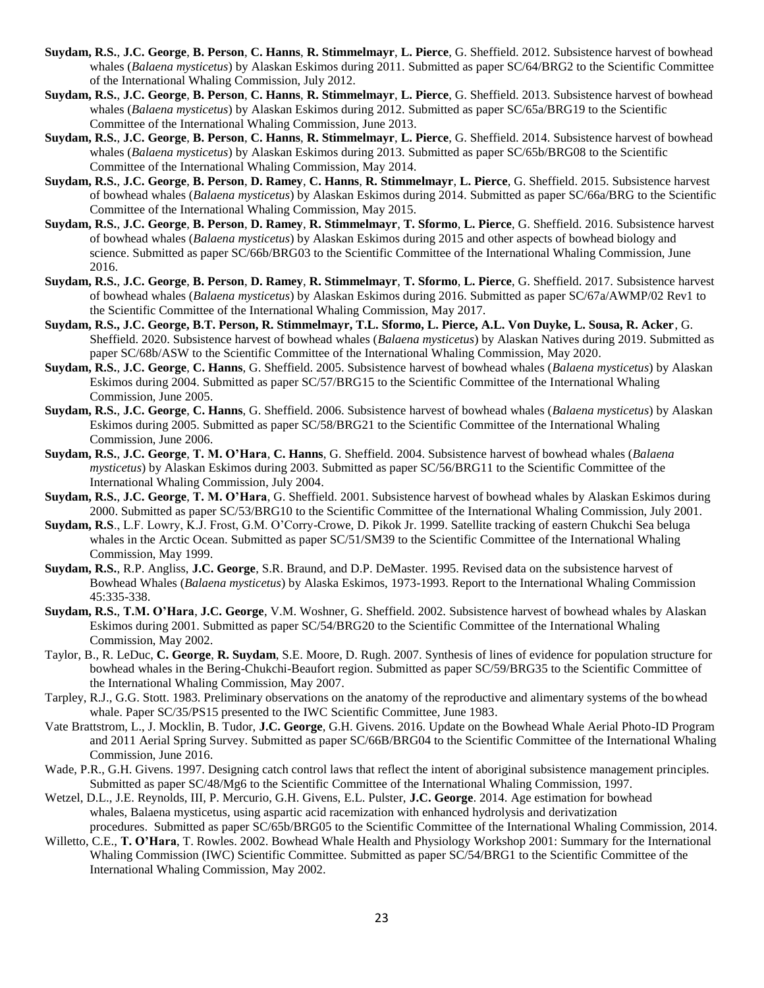- **Suydam, R.S.**, **J.C. George**, **B. Person**, **C. Hanns**, **R. Stimmelmayr**, **L. Pierce**, G. Sheffield. 2012. Subsistence harvest of bowhead whales (*Balaena mysticetus*) by Alaskan Eskimos during 2011. Submitted as paper SC/64/BRG2 to the Scientific Committee of the International Whaling Commission, July 2012.
- **Suydam, R.S.**, **J.C. George**, **B. Person**, **C. Hanns**, **R. Stimmelmayr**, **L. Pierce**, G. Sheffield. 2013. Subsistence harvest of bowhead whales (*Balaena mysticetus*) by Alaskan Eskimos during 2012. Submitted as paper SC/65a/BRG19 to the Scientific Committee of the International Whaling Commission, June 2013.
- **Suydam, R.S.**, **J.C. George**, **B. Person**, **C. Hanns**, **R. Stimmelmayr**, **L. Pierce**, G. Sheffield. 2014. Subsistence harvest of bowhead whales (*Balaena mysticetus*) by Alaskan Eskimos during 2013. Submitted as paper SC/65b/BRG08 to the Scientific Committee of the International Whaling Commission, May 2014.
- **Suydam, R.S.**, **J.C. George**, **B. Person**, **D. Ramey**, **C. Hanns**, **R. Stimmelmayr**, **L. Pierce**, G. Sheffield. 2015. Subsistence harvest of bowhead whales (*Balaena mysticetus*) by Alaskan Eskimos during 2014. Submitted as paper SC/66a/BRG to the Scientific Committee of the International Whaling Commission, May 2015.
- **Suydam, R.S.**, **J.C. George**, **B. Person**, **D. Ramey**, **R. Stimmelmayr**, **T. Sformo**, **L. Pierce**, G. Sheffield. 2016. Subsistence harvest of bowhead whales (*Balaena mysticetus*) by Alaskan Eskimos during 2015 and other aspects of bowhead biology and science. Submitted as paper SC/66b/BRG03 to the Scientific Committee of the International Whaling Commission, June 2016.
- **Suydam, R.S.**, **J.C. George**, **B. Person**, **D. Ramey**, **R. Stimmelmayr**, **T. Sformo**, **L. Pierce**, G. Sheffield. 2017. Subsistence harvest of bowhead whales (*Balaena mysticetus*) by Alaskan Eskimos during 2016. Submitted as paper SC/67a/AWMP/02 Rev1 to the Scientific Committee of the International Whaling Commission, May 2017.
- **Suydam, R.S., J.C. George, B.T. Person, R. Stimmelmayr, T.L. Sformo, L. Pierce, A.L. Von Duyke, L. Sousa, R. Acker**, G. Sheffield. 2020. Subsistence harvest of bowhead whales (*Balaena mysticetus*) by Alaskan Natives during 2019. Submitted as paper SC/68b/ASW to the Scientific Committee of the International Whaling Commission, May 2020.
- **Suydam, R.S.**, **J.C. George**, **C. Hanns**, G. Sheffield. 2005. Subsistence harvest of bowhead whales (*Balaena mysticetus*) by Alaskan Eskimos during 2004. Submitted as paper SC/57/BRG15 to the Scientific Committee of the International Whaling Commission, June 2005.
- **Suydam, R.S.**, **J.C. George**, **C. Hanns**, G. Sheffield. 2006. Subsistence harvest of bowhead whales (*Balaena mysticetus*) by Alaskan Eskimos during 2005. Submitted as paper SC/58/BRG21 to the Scientific Committee of the International Whaling Commission, June 2006.
- **Suydam, R.S.**, **J.C. George**, **T. M. O'Hara**, **C. Hanns**, G. Sheffield. 2004. Subsistence harvest of bowhead whales (*Balaena mysticetus*) by Alaskan Eskimos during 2003. Submitted as paper SC/56/BRG11 to the Scientific Committee of the International Whaling Commission, July 2004.
- **Suydam, R.S.**, **J.C. George**, **T. M. O'Hara**, G. Sheffield. 2001. Subsistence harvest of bowhead whales by Alaskan Eskimos during 2000. Submitted as paper SC/53/BRG10 to the Scientific Committee of the International Whaling Commission, July 2001.
- **Suydam, R.S**., L.F. Lowry, K.J. Frost, G.M. O'Corry-Crowe, D. Pikok Jr. 1999. Satellite tracking of eastern Chukchi Sea beluga whales in the Arctic Ocean. Submitted as paper  $SC/51/SM39$  to the Scientific Committee of the International Whaling Commission, May 1999.
- **Suydam, R.S.**, R.P. Angliss, **J.C. George**, S.R. Braund, and D.P. DeMaster. 1995. Revised data on the subsistence harvest of Bowhead Whales (*Balaena mysticetus*) by Alaska Eskimos, 1973-1993. Report to the International Whaling Commission 45:335-338.
- **Suydam, R.S.**, **T.M. O'Hara**, **J.C. George**, V.M. Woshner, G. Sheffield. 2002. Subsistence harvest of bowhead whales by Alaskan Eskimos during 2001. Submitted as paper SC/54/BRG20 to the Scientific Committee of the International Whaling Commission, May 2002.
- Taylor, B., R. LeDuc, **C. George**, **R. Suydam**, S.E. Moore, D. Rugh. 2007. Synthesis of lines of evidence for population structure for bowhead whales in the Bering-Chukchi-Beaufort region. Submitted as paper SC/59/BRG35 to the Scientific Committee of the International Whaling Commission, May 2007.
- Tarpley, R.J., G.G. Stott. 1983. Preliminary observations on the anatomy of the reproductive and alimentary systems of the bowhead whale. Paper SC/35/PS15 presented to the IWC Scientific Committee, June 1983.
- Vate Brattstrom, L., J. Mocklin, B. Tudor, **J.C. George**, G.H. Givens. 2016. Update on the Bowhead Whale Aerial Photo-ID Program and 2011 Aerial Spring Survey. Submitted as paper SC/66B/BRG04 to the Scientific Committee of the International Whaling Commission, June 2016.
- Wade, P.R., G.H. Givens. 1997. Designing catch control laws that reflect the intent of aboriginal subsistence management principles*.* Submitted as paper SC/48/Mg6 to the Scientific Committee of the International Whaling Commission, 1997.
- Wetzel, D.L., J.E. Reynolds, III, P. Mercurio, G.H. Givens, E.L. Pulster, **J.C. George**. 2014. [Age estimation for bowhead](http://www.north-slope.org/assets/images/uploads/SC-65b-BRG05.wetzel.age.pdf)  whales, [Balaena mysticetus, using aspartic acid racemization with enhanced hydrolysis and derivatization](http://www.north-slope.org/assets/images/uploads/SC-65b-BRG05.wetzel.age.pdf)  [procedures.](http://www.north-slope.org/assets/images/uploads/SC-65b-BRG05.wetzel.age.pdf) Submitted as paper SC/65b/BRG05 to the Scientific Committee of the International Whaling Commission, 2014.
- Willetto, C.E., **T. O'Hara**, T. Rowles. 2002. Bowhead Whale Health and Physiology Workshop 2001: Summary for the International Whaling Commission (IWC) Scientific Committee. Submitted as paper SC/54/BRG1 to the Scientific Committee of the International Whaling Commission, May 2002.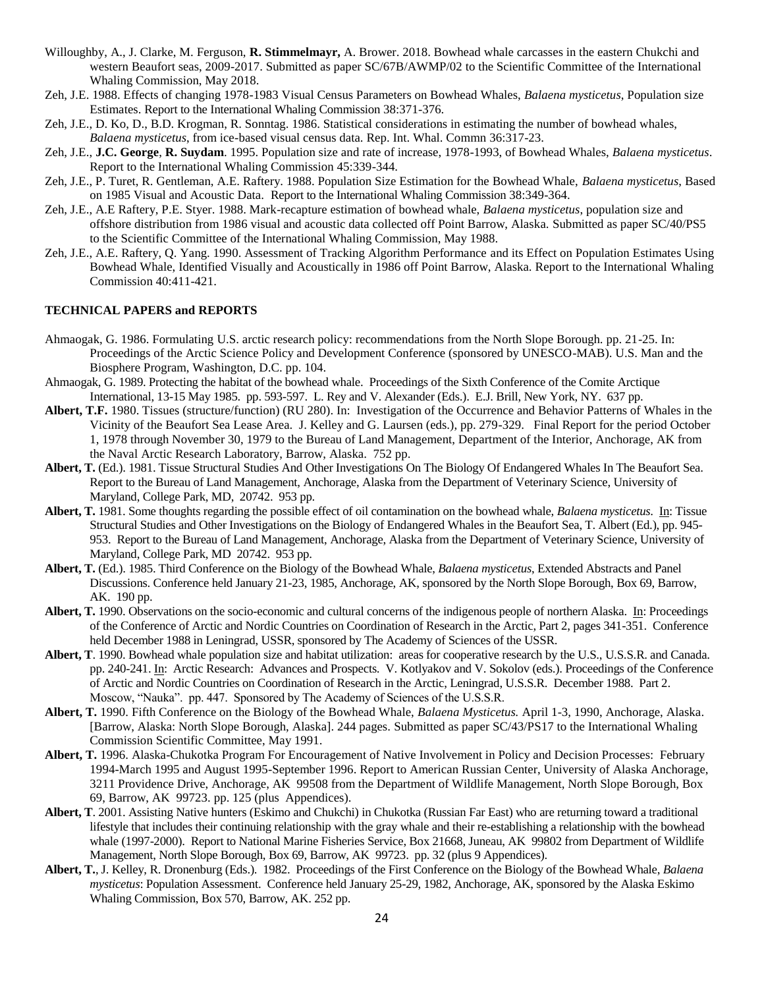- Willoughby, A., J. Clarke, M. Ferguson, **R. Stimmelmayr,** A. Brower. 2018. Bowhead whale carcasses in the eastern Chukchi and western Beaufort seas, 2009-2017. Submitted as paper SC/67B/AWMP/02 to the Scientific Committee of the International Whaling Commission, May 2018.
- Zeh, J.E. 1988. Effects of changing 1978-1983 Visual Census Parameters on Bowhead Whales, *Balaena mysticetus*, Population size Estimates. Report to the International Whaling Commission 38:371-376.
- Zeh, J.E., D. Ko, D., B.D. Krogman, R. Sonntag. 1986. Statistical considerations in estimating the number of bowhead whales, *Balaena mysticetus*, from ice-based visual census data. Rep. Int. Whal. Commn 36:317-23.
- Zeh, J.E., **J.C. George**, **R. Suydam**. 1995. Population size and rate of increase, 1978-1993, of Bowhead Whales, *Balaena mysticetus*. Report to the International Whaling Commission 45:339-344.
- Zeh, J.E., P. Turet, R. Gentleman, A.E. Raftery. 1988. Population Size Estimation for the Bowhead Whale, *Balaena mysticetus*, Based on 1985 Visual and Acoustic Data. Report to the International Whaling Commission 38:349-364.
- Zeh, J.E., A.E Raftery, P.E. Styer. 1988. Mark-recapture estimation of bowhead whale, *Balaena mysticetus*, population size and offshore distribution from 1986 visual and acoustic data collected off Point Barrow, Alaska. Submitted as paper SC/40/PS5 to the Scientific Committee of the International Whaling Commission, May 1988.
- Zeh, J.E., A.E. Raftery, Q. Yang. 1990. Assessment of Tracking Algorithm Performance and its Effect on Population Estimates Using Bowhead Whale, Identified Visually and Acoustically in 1986 off Point Barrow, Alaska. Report to the International Whaling Commission 40:411-421.

#### **TECHNICAL PAPERS and REPORTS**

- Ahmaogak, G. 1986. Formulating U.S. arctic research policy: recommendations from the North Slope Borough. pp. 21-25. In: Proceedings of the Arctic Science Policy and Development Conference (sponsored by UNESCO-MAB). U.S. Man and the Biosphere Program, Washington, D.C. pp. 104.
- Ahmaogak, G. 1989. Protecting the habitat of the bowhead whale. Proceedings of the Sixth Conference of the Comite Arctique International, 13-15 May 1985. pp. 593-597. L. Rey and V. Alexander (Eds.). E.J. Brill, New York, NY. 637 pp.
- **Albert, T.F.** 1980. Tissues (structure/function) (RU 280). In: Investigation of the Occurrence and Behavior Patterns of Whales in the Vicinity of the Beaufort Sea Lease Area. J. Kelley and G. Laursen (eds.), pp. 279-329. Final Report for the period October 1, 1978 through November 30, 1979 to the Bureau of Land Management, Department of the Interior, Anchorage, AK from the Naval Arctic Research Laboratory, Barrow, Alaska. 752 pp.
- **Albert, T.** (Ed.). 1981. Tissue Structural Studies And Other Investigations On The Biology Of Endangered Whales In The Beaufort Sea. Report to the Bureau of Land Management, Anchorage, Alaska from the Department of Veterinary Science, University of Maryland, College Park, MD, 20742. 953 pp.
- **Albert, T.** 1981. Some thoughts regarding the possible effect of oil contamination on the bowhead whale, *Balaena mysticetus*. In: Tissue Structural Studies and Other Investigations on the Biology of Endangered Whales in the Beaufort Sea, T. Albert (Ed.), pp. 945- 953. Report to the Bureau of Land Management, Anchorage, Alaska from the Department of Veterinary Science, University of Maryland, College Park, MD 20742. 953 pp.
- **Albert, T.** (Ed.). 1985. Third Conference on the Biology of the Bowhead Whale, *Balaena mysticetus*, Extended Abstracts and Panel Discussions. Conference held January 21-23, 1985, Anchorage, AK, sponsored by the North Slope Borough, Box 69, Barrow, AK. 190 pp.
- **Albert, T.** 1990. Observations on the socio-economic and cultural concerns of the indigenous people of northern Alaska. In: Proceedings of the Conference of Arctic and Nordic Countries on Coordination of Research in the Arctic, Part 2, pages 341-351. Conference held December 1988 in Leningrad, USSR, sponsored by The Academy of Sciences of the USSR.
- **Albert, T**. 1990. Bowhead whale population size and habitat utilization: areas for cooperative research by the U.S., U.S.S.R. and Canada. pp. 240-241. In: Arctic Research: Advances and Prospects. V. Kotlyakov and V. Sokolov (eds.). Proceedings of the Conference of Arctic and Nordic Countries on Coordination of Research in the Arctic, Leningrad, U.S.S.R. December 1988. Part 2. Moscow, "Nauka". pp. 447. Sponsored by The Academy of Sciences of the U.S.S.R.
- **Albert, T.** 1990. Fifth Conference on the Biology of the Bowhead Whale, *Balaena Mysticetus.* April 1-3, 1990, Anchorage, Alaska. [Barrow, Alaska: North Slope Borough, Alaska]. 244 pages. Submitted as paper SC/43/PS17 to the International Whaling Commission Scientific Committee, May 1991.
- **Albert, T.** 1996. Alaska-Chukotka Program For Encouragement of Native Involvement in Policy and Decision Processes: February 1994-March 1995 and August 1995-September 1996. Report to American Russian Center, University of Alaska Anchorage, 3211 Providence Drive, Anchorage, AK 99508 from the Department of Wildlife Management, North Slope Borough, Box 69, Barrow, AK 99723. pp. 125 (plus Appendices).
- **Albert, T**. 2001. Assisting Native hunters (Eskimo and Chukchi) in Chukotka (Russian Far East) who are returning toward a traditional lifestyle that includes their continuing relationship with the gray whale and their re-establishing a relationship with the bowhead whale (1997-2000). Report to National Marine Fisheries Service, Box 21668, Juneau, AK 99802 from Department of Wildlife Management, North Slope Borough, Box 69, Barrow, AK 99723. pp. 32 (plus 9 Appendices).
- **Albert, T.**, J. Kelley, R. Dronenburg (Eds.). 1982. Proceedings of the First Conference on the Biology of the Bowhead Whale, *Balaena mysticetus*: Population Assessment. Conference held January 25-29, 1982, Anchorage, AK, sponsored by the Alaska Eskimo Whaling Commission, Box 570, Barrow, AK. 252 pp.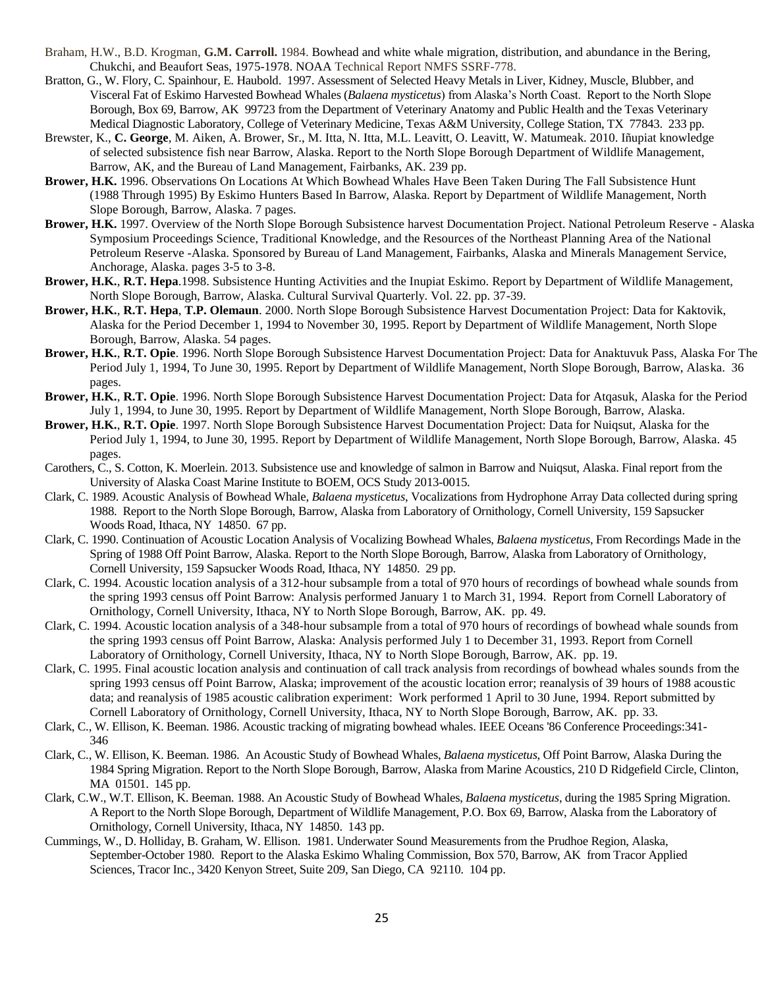- Braham, H.W., B.D. Krogman, **G.M. Carroll.** 1984. [Bowhead and white whale migration, distribution, and abundance in the Bering,](http://www.north-slope.org/assets/images/uploads/Braham%20et%20al%201984_bowhead%20beluga%20migration%20distribution%20abundance.pdf)  [Chukchi, and Beaufort Seas, 1975-1978.](http://www.north-slope.org/assets/images/uploads/Braham%20et%20al%201984_bowhead%20beluga%20migration%20distribution%20abundance.pdf) NOAA Technical Report NMFS SSRF-778.
- Bratton, G., W. Flory, C. Spainhour, E. Haubold. 1997. Assessment of Selected Heavy Metals in Liver, Kidney, Muscle, Blubber, and Visceral Fat of Eskimo Harvested Bowhead Whales (*Balaena mysticetus*) from Alaska's North Coast. Report to the North Slope Borough, Box 69, Barrow, AK 99723 from the Department of Veterinary Anatomy and Public Health and the Texas Veterinary Medical Diagnostic Laboratory, College of Veterinary Medicine, Texas A&M University, College Station, TX 77843. 233 pp.
- Brewster, K., **C. George**, M. Aiken, A. Brower, Sr., M. Itta, N. Itta, M.L. Leavitt, O. Leavitt, W. Matumeak. 2010. Iñupiat knowledge of selected subsistence fish near Barrow, Alaska. Report to the North Slope Borough Department of Wildlife Management, Barrow, AK, and the Bureau of Land Management, Fairbanks, AK. 239 pp.
- **Brower, H.K.** 1996. Observations On Locations At Which Bowhead Whales Have Been Taken During The Fall Subsistence Hunt (1988 Through 1995) By Eskimo Hunters Based In Barrow, Alaska. Report by Department of Wildlife Management, North Slope Borough, Barrow, Alaska. 7 pages.
- **Brower, H.K.** 1997. Overview of the North Slope Borough Subsistence harvest Documentation Project. National Petroleum Reserve Alaska Symposium Proceedings Science, Traditional Knowledge, and the Resources of the Northeast Planning Area of the National Petroleum Reserve -Alaska. Sponsored by Bureau of Land Management, Fairbanks, Alaska and Minerals Management Service, Anchorage, Alaska. pages 3-5 to 3-8.
- **Brower, H.K.**, **R.T. Hepa**.1998. Subsistence Hunting Activities and the Inupiat Eskimo. Report by Department of Wildlife Management, North Slope Borough, Barrow, Alaska. Cultural Survival Quarterly. Vol. 22. pp. 37-39.
- **Brower, H.K.**, **R.T. Hepa**, **T.P. Olemaun**. 2000. North Slope Borough Subsistence Harvest Documentation Project: Data for Kaktovik, Alaska for the Period December 1, 1994 to November 30, 1995. Report by Department of Wildlife Management, North Slope Borough, Barrow, Alaska. 54 pages.
- **Brower, H.K.**, **R.T. Opie**. 1996. North Slope Borough Subsistence Harvest Documentation Project: Data for Anaktuvuk Pass, Alaska For The Period July 1, 1994, To June 30, 1995. Report by Department of Wildlife Management, North Slope Borough, Barrow, Alaska. 36 pages.
- **Brower, H.K.**, **R.T. Opie**. 1996. North Slope Borough Subsistence Harvest Documentation Project: Data for Atqasuk, Alaska for the Period July 1, 1994, to June 30, 1995. Report by Department of Wildlife Management, North Slope Borough, Barrow, Alaska.
- **Brower, H.K.**, **R.T. Opie**. 1997. North Slope Borough Subsistence Harvest Documentation Project: Data for Nuiqsut, Alaska for the Period July 1, 1994, to June 30, 1995. Report by Department of Wildlife Management, North Slope Borough, Barrow, Alaska. 45 pages.
- Carothers, C., S. Cotton, K. Moerlein. 2013. Subsistence use and knowledge of salmon in Barrow and Nuiqsut, Alaska. Final report from the University of Alaska Coast Marine Institute to BOEM, OCS Study 2013-0015.
- Clark, C. 1989. Acoustic Analysis of Bowhead Whale, *Balaena mysticetus*, Vocalizations from Hydrophone Array Data collected during spring 1988. Report to the North Slope Borough, Barrow, Alaska from Laboratory of Ornithology, Cornell University, 159 Sapsucker Woods Road, Ithaca, NY 14850. 67 pp.
- Clark, C. 1990. Continuation of Acoustic Location Analysis of Vocalizing Bowhead Whales, *Balaena mysticetus*, From Recordings Made in the Spring of 1988 Off Point Barrow, Alaska. Report to the North Slope Borough, Barrow, Alaska from Laboratory of Ornithology, Cornell University, 159 Sapsucker Woods Road, Ithaca, NY 14850. 29 pp.
- Clark, C. 1994. Acoustic location analysis of a 312-hour subsample from a total of 970 hours of recordings of bowhead whale sounds from the spring 1993 census off Point Barrow: Analysis performed January 1 to March 31, 1994. Report from Cornell Laboratory of Ornithology, Cornell University, Ithaca, NY to North Slope Borough, Barrow, AK. pp. 49.
- Clark, C. 1994. Acoustic location analysis of a 348-hour subsample from a total of 970 hours of recordings of bowhead whale sounds from the spring 1993 census off Point Barrow, Alaska: Analysis performed July 1 to December 31, 1993. Report from Cornell Laboratory of Ornithology, Cornell University, Ithaca, NY to North Slope Borough, Barrow, AK. pp. 19.
- Clark, C. 1995. Final acoustic location analysis and continuation of call track analysis from recordings of bowhead whales sounds from the spring 1993 census off Point Barrow, Alaska; improvement of the acoustic location error; reanalysis of 39 hours of 1988 acoustic data; and reanalysis of 1985 acoustic calibration experiment: Work performed 1 April to 30 June, 1994. Report submitted by Cornell Laboratory of Ornithology, Cornell University, Ithaca, NY to North Slope Borough, Barrow, AK. pp. 33.
- Clark, C., W. Ellison, K. Beeman. 1986. Acoustic tracking of migrating bowhead whales. IEEE Oceans '86 Conference Proceedings:341- 346
- Clark, C., W. Ellison, K. Beeman. 1986. An Acoustic Study of Bowhead Whales, *Balaena mysticetus*, Off Point Barrow, Alaska During the 1984 Spring Migration. Report to the North Slope Borough, Barrow, Alaska from Marine Acoustics, 210 D Ridgefield Circle, Clinton, MA 01501. 145 pp.
- Clark, C.W., W.T. Ellison, K. Beeman. 1988. An Acoustic Study of Bowhead Whales, *Balaena mysticetus*, during the 1985 Spring Migration. A Report to the North Slope Borough, Department of Wildlife Management, P.O. Box 69, Barrow, Alaska from the Laboratory of Ornithology, Cornell University, Ithaca, NY 14850. 143 pp.
- Cummings, W., D. Holliday, B. Graham, W. Ellison. 1981. Underwater Sound Measurements from the Prudhoe Region, Alaska, September-October 1980. Report to the Alaska Eskimo Whaling Commission, Box 570, Barrow, AK from Tracor Applied Sciences, Tracor Inc., 3420 Kenyon Street, Suite 209, San Diego, CA 92110. 104 pp.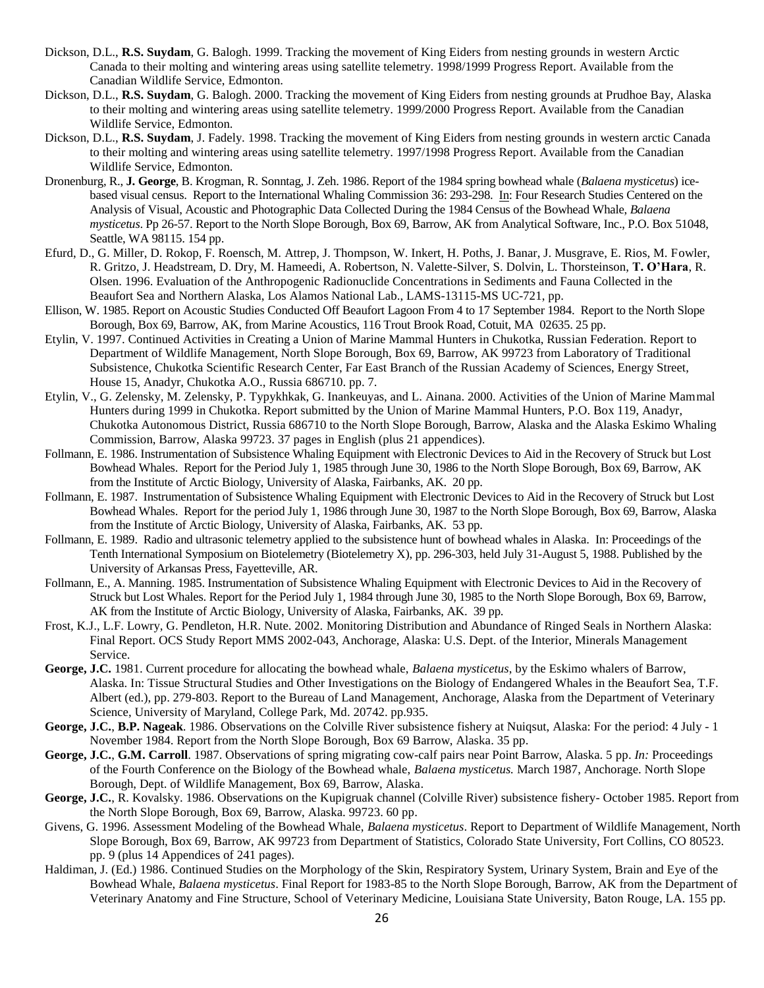- Dickson, D.L., **R.S. Suydam**, G. Balogh. 1999. Tracking the movement of King Eiders from nesting grounds in western Arctic Canada to their molting and wintering areas using satellite telemetry. 1998/1999 Progress Report. Available from the Canadian Wildlife Service, Edmonton.
- Dickson, D.L., **R.S. Suydam**, G. Balogh. 2000. Tracking the movement of King Eiders from nesting grounds at Prudhoe Bay, Alaska to their molting and wintering areas using satellite telemetry. 1999/2000 Progress Report. Available from the Canadian Wildlife Service, Edmonton.
- Dickson, D.L., **R.S. Suydam**, J. Fadely. 1998. Tracking the movement of King Eiders from nesting grounds in western arctic Canada to their molting and wintering areas using satellite telemetry. 1997/1998 Progress Report. Available from the Canadian Wildlife Service, Edmonton.
- Dronenburg, R., **J. George**, B. Krogman, R. Sonntag, J. Zeh. 1986. Report of the 1984 spring bowhead whale (*Balaena mysticetus*) icebased visual census. Report to the International Whaling Commission 36: 293-298. In: Four Research Studies Centered on the Analysis of Visual, Acoustic and Photographic Data Collected During the 1984 Census of the Bowhead Whale, *Balaena mysticetus*. Pp 26-57. Report to the North Slope Borough, Box 69, Barrow, AK from Analytical Software, Inc., P.O. Box 51048, Seattle, WA 98115. 154 pp.
- Efurd, D., G. Miller, D. Rokop, F. Roensch, M. Attrep, J. Thompson, W. Inkert, H. Poths, J. Banar, J. Musgrave, E. Rios, M. Fowler, R. Gritzo, J. Headstream, D. Dry, M. Hameedi, A. Robertson, N. Valette-Silver, S. Dolvin, L. Thorsteinson, **T. O'Hara**, R. Olsen. 1996. Evaluation of the Anthropogenic Radionuclide Concentrations in Sediments and Fauna Collected in the Beaufort Sea and Northern Alaska, Los Alamos National Lab., LAMS-13115-MS UC-721, pp.
- Ellison, W. 1985. Report on Acoustic Studies Conducted Off Beaufort Lagoon From 4 to 17 September 1984. Report to the North Slope Borough, Box 69, Barrow, AK, from Marine Acoustics, 116 Trout Brook Road, Cotuit, MA 02635. 25 pp.
- Etylin, V. 1997. Continued Activities in Creating a Union of Marine Mammal Hunters in Chukotka, Russian Federation. Report to Department of Wildlife Management, North Slope Borough, Box 69, Barrow, AK 99723 from Laboratory of Traditional Subsistence, Chukotka Scientific Research Center, Far East Branch of the Russian Academy of Sciences, Energy Street, House 15, Anadyr, Chukotka A.O., Russia 686710. pp. 7.
- Etylin, V., G. Zelensky, M. Zelensky, P. Typykhkak, G. Inankeuyas, and L. Ainana. 2000. Activities of the Union of Marine Mammal Hunters during 1999 in Chukotka. Report submitted by the Union of Marine Mammal Hunters, P.O. Box 119, Anadyr, Chukotka Autonomous District, Russia 686710 to the North Slope Borough, Barrow, Alaska and the Alaska Eskimo Whaling Commission, Barrow, Alaska 99723. 37 pages in English (plus 21 appendices).
- Follmann, E. 1986. Instrumentation of Subsistence Whaling Equipment with Electronic Devices to Aid in the Recovery of Struck but Lost Bowhead Whales. Report for the Period July 1, 1985 through June 30, 1986 to the North Slope Borough, Box 69, Barrow, AK from the Institute of Arctic Biology, University of Alaska, Fairbanks, AK. 20 pp.
- Follmann, E. 1987. Instrumentation of Subsistence Whaling Equipment with Electronic Devices to Aid in the Recovery of Struck but Lost Bowhead Whales. Report for the period July 1, 1986 through June 30, 1987 to the North Slope Borough, Box 69, Barrow, Alaska from the Institute of Arctic Biology, University of Alaska, Fairbanks, AK. 53 pp.
- Follmann, E. 1989. Radio and ultrasonic telemetry applied to the subsistence hunt of bowhead whales in Alaska. In: Proceedings of the Tenth International Symposium on Biotelemetry (Biotelemetry X), pp. 296-303, held July 31-August 5, 1988. Published by the University of Arkansas Press, Fayetteville, AR.
- Follmann, E., A. Manning. 1985. Instrumentation of Subsistence Whaling Equipment with Electronic Devices to Aid in the Recovery of Struck but Lost Whales. Report for the Period July 1, 1984 through June 30, 1985 to the North Slope Borough, Box 69, Barrow, AK from the Institute of Arctic Biology, University of Alaska, Fairbanks, AK. 39 pp.
- Frost, K.J., L.F. Lowry, G. Pendleton, H.R. Nute. 2002. Monitoring Distribution and Abundance of Ringed Seals in Northern Alaska: Final Report. OCS Study Report MMS 2002-043, Anchorage, Alaska: U.S. Dept. of the Interior, Minerals Management Service.
- **George, J.C.** 1981. Current procedure for allocating the bowhead whale, *Balaena mysticetus*, by the Eskimo whalers of Barrow, Alaska. In: Tissue Structural Studies and Other Investigations on the Biology of Endangered Whales in the Beaufort Sea, T.F. Albert (ed.), pp. 279-803. Report to the Bureau of Land Management, Anchorage, Alaska from the Department of Veterinary Science, University of Maryland, College Park, Md. 20742. pp.935.
- **George, J.C.**, **B.P. Nageak**. 1986. Observations on the Colville River subsistence fishery at Nuiqsut, Alaska: For the period: 4 July 1 November 1984. Report from the North Slope Borough, Box 69 Barrow, Alaska. 35 pp.
- **George, J.C.**, **G.M. Carroll**. 1987. Observations of spring migrating cow-calf pairs near Point Barrow, Alaska. 5 pp. *In:* Proceedings of the Fourth Conference on the Biology of the Bowhead whale, *Balaena mysticetus.* March 1987, Anchorage. North Slope Borough, Dept. of Wildlife Management, Box 69, Barrow, Alaska.
- **George, J.C.**, R. Kovalsky. 1986. Observations on the Kupigruak channel (Colville River) subsistence fishery- October 1985. Report from the North Slope Borough, Box 69, Barrow, Alaska. 99723. 60 pp.
- Givens, G. 1996. Assessment Modeling of the Bowhead Whale, *Balaena mysticetus*. Report to Department of Wildlife Management, North Slope Borough, Box 69, Barrow, AK 99723 from Department of Statistics, Colorado State University, Fort Collins, CO 80523. pp. 9 (plus 14 Appendices of 241 pages).
- Haldiman, J. (Ed.) 1986. Continued Studies on the Morphology of the Skin, Respiratory System, Urinary System, Brain and Eye of the Bowhead Whale, *Balaena mysticetus*. Final Report for 1983-85 to the North Slope Borough, Barrow, AK from the Department of Veterinary Anatomy and Fine Structure, School of Veterinary Medicine, Louisiana State University, Baton Rouge, LA. 155 pp.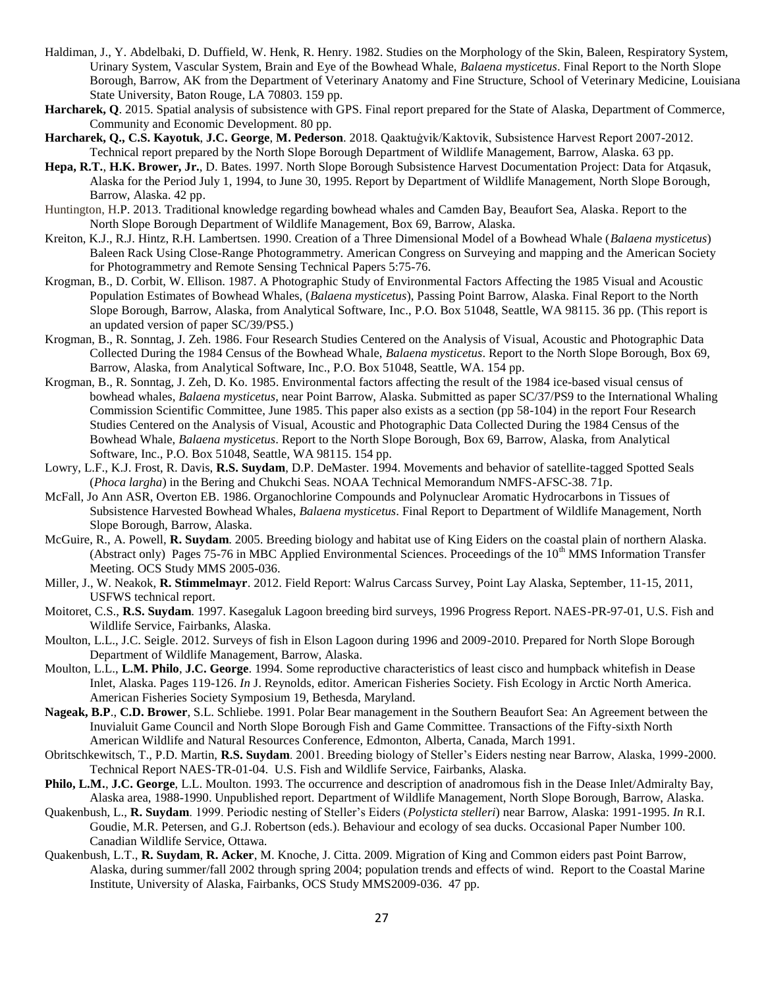- Haldiman, J., Y. Abdelbaki, D. Duffield, W. Henk, R. Henry. 1982. Studies on the Morphology of the Skin, Baleen, Respiratory System, Urinary System, Vascular System, Brain and Eye of the Bowhead Whale, *Balaena mysticetus*. Final Report to the North Slope Borough, Barrow, AK from the Department of Veterinary Anatomy and Fine Structure, School of Veterinary Medicine, Louisiana State University, Baton Rouge, LA 70803. 159 pp.
- **Harcharek, Q**. 2015. Spatial analysis of subsistence with GPS. Final report prepared for the State of Alaska, Department of Commerce, Community and Economic Development. 80 pp.
- **Harcharek, Q., C.S. Kayotuk**, **J.C. George**, **M. Pederson**. 2018. Qaaktuġvik/Kaktovik, Subsistence Harvest Report 2007-2012. Technical report prepared by the North Slope Borough Department of Wildlife Management, Barrow, Alaska. 63 pp.
- **Hepa, R.T.**, **H.K. Brower, Jr.**, D. Bates. 1997. North Slope Borough Subsistence Harvest Documentation Project: Data for Atqasuk, Alaska for the Period July 1, 1994, to June 30, 1995. Report by Department of Wildlife Management, North Slope Borough, Barrow, Alaska. 42 pp.
- Huntington, H.P. 2013. [Traditional knowledge regarding bowhead whales and Camden Bay, Beaufort Sea, Alaska.](http://www.north-slope.org/assets/images/uploads/Camden_Bay_TK_Report_FINAL.pdf) Report to the North Slope Borough Department of Wildlife Management, Box 69, Barrow, Alaska.
- Kreiton, K.J., R.J. Hintz, R.H. Lambertsen. 1990. Creation of a Three Dimensional Model of a Bowhead Whale (*Balaena mysticetus*) Baleen Rack Using Close-Range Photogrammetry. American Congress on Surveying and mapping and the American Society for Photogrammetry and Remote Sensing Technical Papers 5:75-76.
- Krogman, B., D. Corbit, W. Ellison. 1987. A Photographic Study of Environmental Factors Affecting the 1985 Visual and Acoustic Population Estimates of Bowhead Whales, (*Balaena mysticetus*), Passing Point Barrow, Alaska. Final Report to the North Slope Borough, Barrow, Alaska, from Analytical Software, Inc., P.O. Box 51048, Seattle, WA 98115. 36 pp. (This report is an updated version of paper SC/39/PS5.)
- Krogman, B., R. Sonntag, J. Zeh. 1986. Four Research Studies Centered on the Analysis of Visual, Acoustic and Photographic Data Collected During the 1984 Census of the Bowhead Whale, *Balaena mysticetus*. Report to the North Slope Borough, Box 69, Barrow, Alaska, from Analytical Software, Inc., P.O. Box 51048, Seattle, WA. 154 pp.
- Krogman, B., R. Sonntag, J. Zeh, D. Ko. 1985. Environmental factors affecting the result of the 1984 ice-based visual census of bowhead whales, *Balaena mysticetus*, near Point Barrow, Alaska. Submitted as paper SC/37/PS9 to the International Whaling Commission Scientific Committee, June 1985. This paper also exists as a section (pp 58-104) in the report Four Research Studies Centered on the Analysis of Visual, Acoustic and Photographic Data Collected During the 1984 Census of the Bowhead Whale, *Balaena mysticetus*. Report to the North Slope Borough, Box 69, Barrow, Alaska, from Analytical Software, Inc., P.O. Box 51048, Seattle, WA 98115. 154 pp.
- Lowry, L.F., K.J. Frost, R. Davis, **R.S. Suydam**, D.P. DeMaster. 1994. Movements and behavior of satellite-tagged Spotted Seals (*Phoca largha*) in the Bering and Chukchi Seas. NOAA Technical Memorandum NMFS-AFSC-38. 71p.
- McFall, Jo Ann ASR, Overton EB. 1986. Organochlorine Compounds and Polynuclear Aromatic Hydrocarbons in Tissues of Subsistence Harvested Bowhead Whales, *Balaena mysticetus*. Final Report to Department of Wildlife Management, North Slope Borough, Barrow, Alaska.
- McGuire, R., A. Powell, **R. Suydam**. 2005. Breeding biology and habitat use of King Eiders on the coastal plain of northern Alaska. (Abstract only) Pages 75-76 in MBC Applied Environmental Sciences. Proceedings of the  $10<sup>th</sup> MMS$  Information Transfer Meeting. OCS Study MMS 2005-036.
- Miller, J., W. Neakok, **R. Stimmelmayr**. 2012. Field Report: Walrus Carcass Survey, Point Lay Alaska, September, 11-15, 2011, USFWS technical report.
- Moitoret, C.S., **R.S. Suydam**. 1997. Kasegaluk Lagoon breeding bird surveys, 1996 Progress Report. NAES-PR-97-01, U.S. Fish and Wildlife Service, Fairbanks, Alaska.
- Moulton, L.L., J.C. Seigle. 2012. Surveys of fish in Elson Lagoon during 1996 and 2009-2010. Prepared for North Slope Borough Department of Wildlife Management, Barrow, Alaska.
- Moulton, L.L., **L.M. Philo**, **J.C. George**. 1994. Some reproductive characteristics of least cisco and humpback whitefish in Dease Inlet, Alaska. Pages 119-126. *In* J. Reynolds, editor. American Fisheries Society. Fish Ecology in Arctic North America. American Fisheries Society Symposium 19, Bethesda, Maryland.
- **Nageak, B.P**., **C.D. Brower**, S.L. Schliebe. 1991. Polar Bear management in the Southern Beaufort Sea: An Agreement between the Inuvialuit Game Council and North Slope Borough Fish and Game Committee. Transactions of the Fifty-sixth North American Wildlife and Natural Resources Conference, Edmonton, Alberta, Canada, March 1991.
- Obritschkewitsch, T., P.D. Martin, **R.S. Suydam**. 2001. Breeding biology of Steller's Eiders nesting near Barrow, Alaska, 1999-2000. Technical Report NAES-TR-01-04. U.S. Fish and Wildlife Service, Fairbanks, Alaska.
- **Philo, L.M.**, **J.C. George**, L.L. Moulton. 1993. The occurrence and description of anadromous fish in the Dease Inlet/Admiralty Bay, Alaska area, 1988-1990. Unpublished report. Department of Wildlife Management, North Slope Borough, Barrow, Alaska.
- Quakenbush, L., **R. Suydam**. 1999. Periodic nesting of Steller's Eiders (*Polysticta stelleri*) near Barrow, Alaska: 1991-1995. *In* R.I. Goudie, M.R. Petersen, and G.J. Robertson (eds.). Behaviour and ecology of sea ducks. Occasional Paper Number 100. Canadian Wildlife Service, Ottawa.
- Quakenbush, L.T., **R. Suydam**, **R. Acker**, M. Knoche, J. Citta. 2009. Migration of King and Common eiders past Point Barrow, Alaska, during summer/fall 2002 through spring 2004; population trends and effects of wind. Report to the Coastal Marine Institute, University of Alaska, Fairbanks, OCS Study MMS2009-036. 47 pp.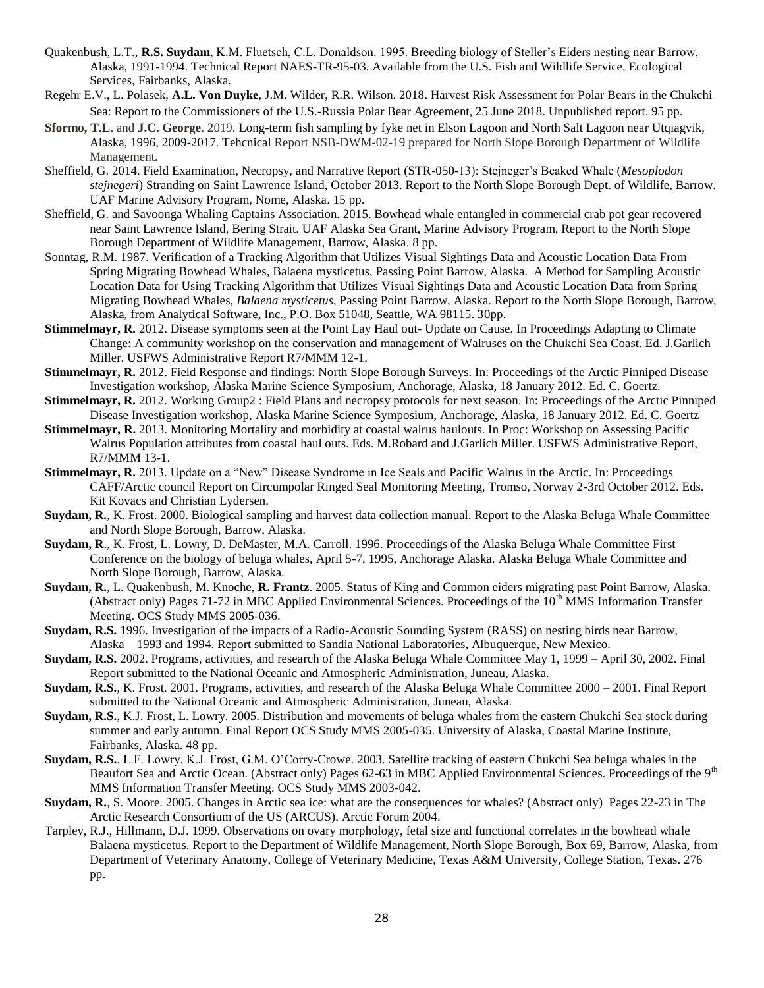- Quakenbush, L.T., **R.S. Suydam**, K.M. Fluetsch, C.L. Donaldson. 1995. Breeding biology of Steller's Eiders nesting near Barrow, Alaska, 1991-1994. Technical Report NAES-TR-95-03. Available from the U.S. Fish and Wildlife Service, Ecological Services, Fairbanks, Alaska.
- Regehr E.V., L. Polasek, **A.L. Von Duyke**, J.M. Wilder, R.R. Wilson. 2018. Harvest Risk Assessment for Polar Bears in the Chukchi Sea: Report to the Commissioners of the U.S.-Russia Polar Bear Agreement, 25 June 2018. Unpublished report. 95 pp.
- **Sformo, T.L**. and **J.C. George**. 2019. Long-term fish sampling by fyke net in Elson Lagoon and North Salt Lagoon near Utqiagvik, Alaska, 1996, 2009-2017. Tehcnical Report NSB-DWM-02-19 prepared for North Slope Borough Department of Wildlife Management.
- Sheffield, G. 2014. Field Examination, Necropsy, and Narrative Report (STR-050-13): Stejneger's Beaked Whale (*Mesoplodon stejnegeri*) Stranding on Saint Lawrence Island, October 2013. Report to the North Slope Borough Dept. of Wildlife, Barrow. UAF Marine Advisory Program, Nome, Alaska. 15 pp.
- Sheffield, G. and Savoonga Whaling Captains Association. 2015. Bowhead whale entangled in commercial crab pot gear recovered near Saint Lawrence Island, Bering Strait. UAF Alaska Sea Grant, Marine Advisory Program, Report to the North Slope Borough Department of Wildlife Management, Barrow, Alaska. 8 pp.
- Sonntag, R.M. 1987. Verification of a Tracking Algorithm that Utilizes Visual Sightings Data and Acoustic Location Data From Spring Migrating Bowhead Whales, Balaena mysticetus, Passing Point Barrow, Alaska. A Method for Sampling Acoustic Location Data for Using Tracking Algorithm that Utilizes Visual Sightings Data and Acoustic Location Data from Spring Migrating Bowhead Whales, *Balaena mysticetus*, Passing Point Barrow, Alaska. Report to the North Slope Borough, Barrow, Alaska, from Analytical Software, Inc., P.O. Box 51048, Seattle, WA 98115. 30pp.
- **Stimmelmayr, R.** 2012. Disease symptoms seen at the Point Lay Haul out- Update on Cause. In Proceedings Adapting to Climate Change: A community workshop on the conservation and management of Walruses on the Chukchi Sea Coast. Ed. J.Garlich Miller. USFWS Administrative Report R7/MMM 12-1.
- **Stimmelmayr, R.** 2012. Field Response and findings: North Slope Borough Surveys. In: Proceedings of the Arctic Pinniped Disease Investigation workshop, Alaska Marine Science Symposium, Anchorage, Alaska, 18 January 2012. Ed. C. Goertz.
- **Stimmelmayr, R.** 2012. Working Group2 : Field Plans and necropsy protocols for next season. In: Proceedings of the Arctic Pinniped Disease Investigation workshop, Alaska Marine Science Symposium, Anchorage, Alaska, 18 January 2012. Ed. C. Goertz
- **Stimmelmayr, R.** 2013. Monitoring Mortality and morbidity at coastal walrus haulouts. In Proc: Workshop on Assessing Pacific Walrus Population attributes from coastal haul outs. Eds. M.Robard and J.Garlich Miller. USFWS Administrative Report, R7/MMM 13-1.
- **Stimmelmayr, R.** 2013. Update on a "New" Disease Syndrome in Ice Seals and Pacific Walrus in the Arctic. In: Proceedings CAFF/Arctic council Report on Circumpolar Ringed Seal Monitoring Meeting, Tromso, Norway 2-3rd October 2012. Eds. Kit Kovacs and Christian Lydersen.
- **Suydam, R.**, K. Frost. 2000. Biological sampling and harvest data collection manual. Report to the Alaska Beluga Whale Committee and North Slope Borough, Barrow, Alaska.
- **Suydam, R**., K. Frost, L. Lowry, D. DeMaster, M.A. Carroll. 1996. Proceedings of the Alaska Beluga Whale Committee First Conference on the biology of beluga whales, April 5-7, 1995, Anchorage Alaska. Alaska Beluga Whale Committee and North Slope Borough, Barrow, Alaska.
- **Suydam, R.**, L. Quakenbush, M. Knoche, **R. Frantz**. 2005. Status of King and Common eiders migrating past Point Barrow, Alaska. (Abstract only) Pages 71-72 in MBC Applied Environmental Sciences. Proceedings of the  $10<sup>th</sup>$  MMS Information Transfer Meeting. OCS Study MMS 2005-036.
- **Suydam, R.S.** 1996. Investigation of the impacts of a Radio-Acoustic Sounding System (RASS) on nesting birds near Barrow, Alaska—1993 and 1994. Report submitted to Sandia National Laboratories, Albuquerque, New Mexico.
- **Suydam, R.S.** 2002. Programs, activities, and research of the Alaska Beluga Whale Committee May 1, 1999 April 30, 2002. Final Report submitted to the National Oceanic and Atmospheric Administration, Juneau, Alaska.
- **Suydam, R.S.**, K. Frost. 2001. Programs, activities, and research of the Alaska Beluga Whale Committee 2000 2001. Final Report submitted to the National Oceanic and Atmospheric Administration, Juneau, Alaska.
- **Suydam, R.S.**, K.J. Frost, L. Lowry. 2005. Distribution and movements of beluga whales from the eastern Chukchi Sea stock during summer and early autumn. Final Report OCS Study MMS 2005-035. University of Alaska, Coastal Marine Institute, Fairbanks, Alaska. 48 pp.
- **Suydam, R.S.**, L.F. Lowry, K.J. Frost, G.M. O'Corry-Crowe. 2003. Satellite tracking of eastern Chukchi Sea beluga whales in the Beaufort Sea and Arctic Ocean. (Abstract only) Pages 62-63 in MBC Applied Environmental Sciences. Proceedings of the 9<sup>th</sup> MMS Information Transfer Meeting. OCS Study MMS 2003-042.
- **Suydam, R.**, S. Moore. 2005. Changes in Arctic sea ice: what are the consequences for whales? (Abstract only) Pages 22-23 in The Arctic Research Consortium of the US (ARCUS). Arctic Forum 2004.
- Tarpley, R.J., Hillmann, D.J. 1999. Observations on ovary morphology, fetal size and functional correlates in the bowhead whale Balaena mysticetus. Report to the Department of Wildlife Management, North Slope Borough, Box 69, Barrow, Alaska, from Department of Veterinary Anatomy, College of Veterinary Medicine, Texas A&M University, College Station, Texas. 276 pp.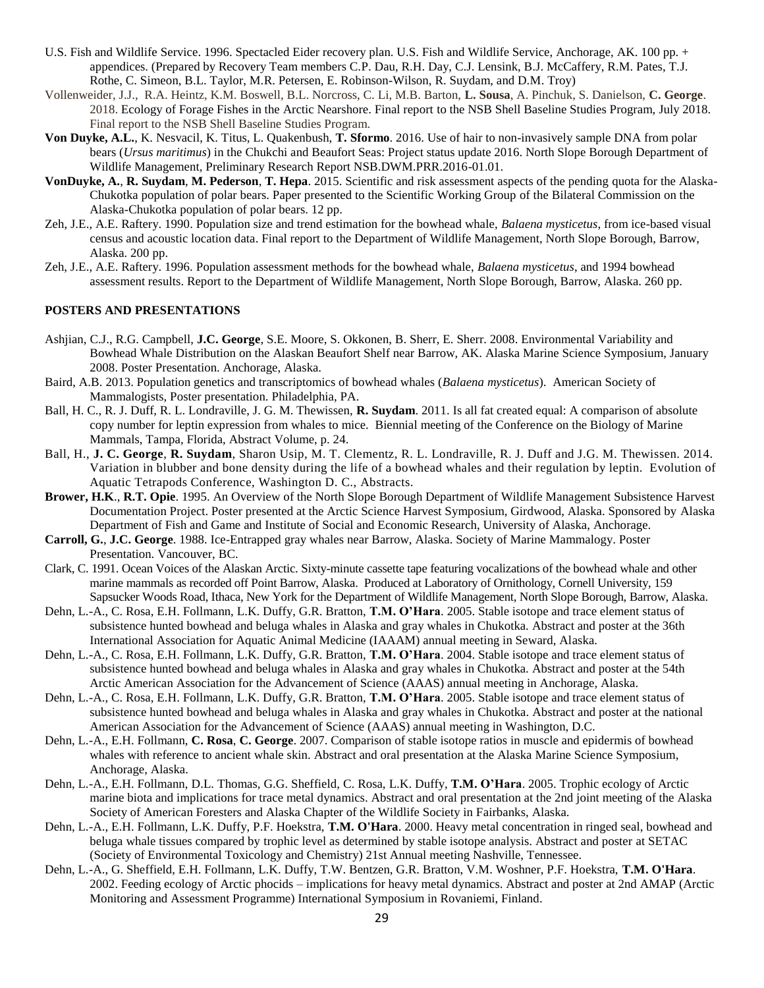- U.S. Fish and Wildlife Service. 1996. Spectacled Eider recovery plan. U.S. Fish and Wildlife Service, Anchorage, AK. 100 pp. + appendices. (Prepared by Recovery Team members C.P. Dau, R.H. Day, C.J. Lensink, B.J. McCaffery, R.M. Pates, T.J. Rothe, C. Simeon, B.L. Taylor, M.R. Petersen, E. Robinson-Wilson, R. Suydam, and D.M. Troy)
- Vollenweider, J.J., R.A. Heintz, K.M. Boswell, B.L. Norcross, C. Li, M.B. Barton, **L. Sousa**, A. Pinchuk, S. Danielson, **C. George**. 2018. Ecology of Forage Fishes in the Arctic Nearshore. Final report to the NSB Shell Baseline Studies Program, July 2018. Final report to the NSB Shell Baseline Studies Program.
- **Von Duyke, A.L.**, K. Nesvacil, K. Titus, L. Quakenbush, **T. Sformo**. 2016. Use of hair to non-invasively sample DNA from polar bears (*Ursus maritimus*) in the Chukchi and Beaufort Seas: Project status update 2016. North Slope Borough Department of Wildlife Management, Preliminary Research Report NSB.DWM.PRR.2016-01.01.
- **VonDuyke, A.**, **R. Suydam**, **M. Pederson**, **T. Hepa**. 2015. Scientific and risk assessment aspects of the pending quota for the Alaska-Chukotka population of polar bears. Paper presented to the Scientific Working Group of the Bilateral Commission on the Alaska-Chukotka population of polar bears. 12 pp.
- Zeh, J.E., A.E. Raftery. 1990. [Population size and trend estimation for the bowhead whale,](http://www.north-slope.org/assets/images/uploads/1990_Zeh_Raftery_Population_size__trend_estimation_for_the_bowhead_whale,_from_ice_based_visual_census__acoustic_location_data.pdf) *Balaena mysticetus*, from ice-based visual [census and acoustic location data.](http://www.north-slope.org/assets/images/uploads/1990_Zeh_Raftery_Population_size__trend_estimation_for_the_bowhead_whale,_from_ice_based_visual_census__acoustic_location_data.pdf) Final report to the Department of Wildlife Management, North Slope Borough, Barrow, Alaska. 200 pp.
- Zeh, J.E., A.E. Raftery. 1996. [Population assessment methods for the bowhead whale,](http://www.north-slope.org/assets/images/uploads/1996_Zeh__Raftery_Population_Assessment_Methods_for_the_Bowhead__1994_Results.pdf) *Balaena mysticetus*, and 1994 bowhead [assessment results.](http://www.north-slope.org/assets/images/uploads/1996_Zeh__Raftery_Population_Assessment_Methods_for_the_Bowhead__1994_Results.pdf) Report to the Department of Wildlife Management, North Slope Borough, Barrow, Alaska. 260 pp.

# **POSTERS AND PRESENTATIONS**

- Ashjian, C.J., R.G. Campbell, **J.C. George**, S.E. Moore, S. Okkonen, B. Sherr, E. Sherr. 2008. Environmental Variability and Bowhead Whale Distribution on the Alaskan Beaufort Shelf near Barrow, AK. Alaska Marine Science Symposium, January 2008. Poster Presentation. Anchorage, Alaska.
- Baird, A.B. 2013. Population genetics and transcriptomics of bowhead whales (*Balaena mysticetus*). American Society of Mammalogists, Poster presentation. Philadelphia, PA.
- Ball, H. C., R. J. Duff, R. L. Londraville, J. G. M. Thewissen, **R. Suydam**. 2011. Is all fat created equal: A comparison of absolute copy number for leptin expression from whales to mice. Biennial meeting of the Conference on the Biology of Marine Mammals, Tampa, Florida, Abstract Volume, p. 24.
- Ball, H., **J. C. George**, **R. Suydam**, Sharon Usip, M. T. Clementz, R. L. Londraville, R. J. Duff and J.G. M. Thewissen. 2014. Variation in blubber and bone density during the life of a bowhead whales and their regulation by leptin. Evolution of Aquatic Tetrapods Conference, Washington D. C., Abstracts.
- **Brower, H.K**., **R.T. Opie**. 1995. An Overview of the North Slope Borough Department of Wildlife Management Subsistence Harvest Documentation Project. Poster presented at the Arctic Science Harvest Symposium, Girdwood, Alaska. Sponsored by Alaska Department of Fish and Game and Institute of Social and Economic Research, University of Alaska, Anchorage.
- **Carroll, G.**, **J.C. George**. 1988. Ice-Entrapped gray whales near Barrow, Alaska. Society of Marine Mammalogy. Poster Presentation. Vancouver, BC.
- Clark, C. 1991. Ocean Voices of the Alaskan Arctic. Sixty-minute cassette tape featuring vocalizations of the bowhead whale and other marine mammals as recorded off Point Barrow, Alaska. Produced at Laboratory of Ornithology, Cornell University, 159 Sapsucker Woods Road, Ithaca, New York for the Department of Wildlife Management, North Slope Borough, Barrow, Alaska.
- Dehn, L.-A., C. Rosa, E.H. Follmann, L.K. Duffy, G.R. Bratton, **T.M. O'Hara**. 2005. Stable isotope and trace element status of subsistence hunted bowhead and beluga whales in Alaska and gray whales in Chukotka. Abstract and poster at the 36th International Association for Aquatic Animal Medicine (IAAAM) annual meeting in Seward, Alaska.
- Dehn, L.-A., C. Rosa, E.H. Follmann, L.K. Duffy, G.R. Bratton, **T.M. O'Hara**. 2004. Stable isotope and trace element status of subsistence hunted bowhead and beluga whales in Alaska and gray whales in Chukotka. Abstract and poster at the 54th Arctic American Association for the Advancement of Science (AAAS) annual meeting in Anchorage, Alaska.
- Dehn, L.-A., C. Rosa, E.H. Follmann, L.K. Duffy, G.R. Bratton, **T.M. O'Hara**. 2005. Stable isotope and trace element status of subsistence hunted bowhead and beluga whales in Alaska and gray whales in Chukotka. Abstract and poster at the national American Association for the Advancement of Science (AAAS) annual meeting in Washington, D.C.
- Dehn, L.-A., E.H. Follmann, **C. Rosa**, **C. George**. 2007. Comparison of stable isotope ratios in muscle and epidermis of bowhead whales with reference to ancient whale skin. Abstract and oral presentation at the Alaska Marine Science Symposium, Anchorage, Alaska.
- Dehn, L.-A., E.H. Follmann, D.L. Thomas, G.G. Sheffield, C. Rosa, L.K. Duffy, **T.M. O'Hara**. 2005. Trophic ecology of Arctic marine biota and implications for trace metal dynamics. Abstract and oral presentation at the 2nd joint meeting of the Alaska Society of American Foresters and Alaska Chapter of the Wildlife Society in Fairbanks, Alaska.
- Dehn, L.-A., E.H. Follmann, L.K. Duffy, P.F. Hoekstra, **T.M. O'Hara**. 2000. Heavy metal concentration in ringed seal, bowhead and beluga whale tissues compared by trophic level as determined by stable isotope analysis. Abstract and poster at SETAC (Society of Environmental Toxicology and Chemistry) 21st Annual meeting Nashville, Tennessee.
- Dehn, L.-A., G. Sheffield, E.H. Follmann, L.K. Duffy, T.W. Bentzen, G.R. Bratton, V.M. Woshner, P.F. Hoekstra, **T.M. O'Hara**. 2002. Feeding ecology of Arctic phocids – implications for heavy metal dynamics. Abstract and poster at 2nd AMAP (Arctic Monitoring and Assessment Programme) International Symposium in Rovaniemi, Finland.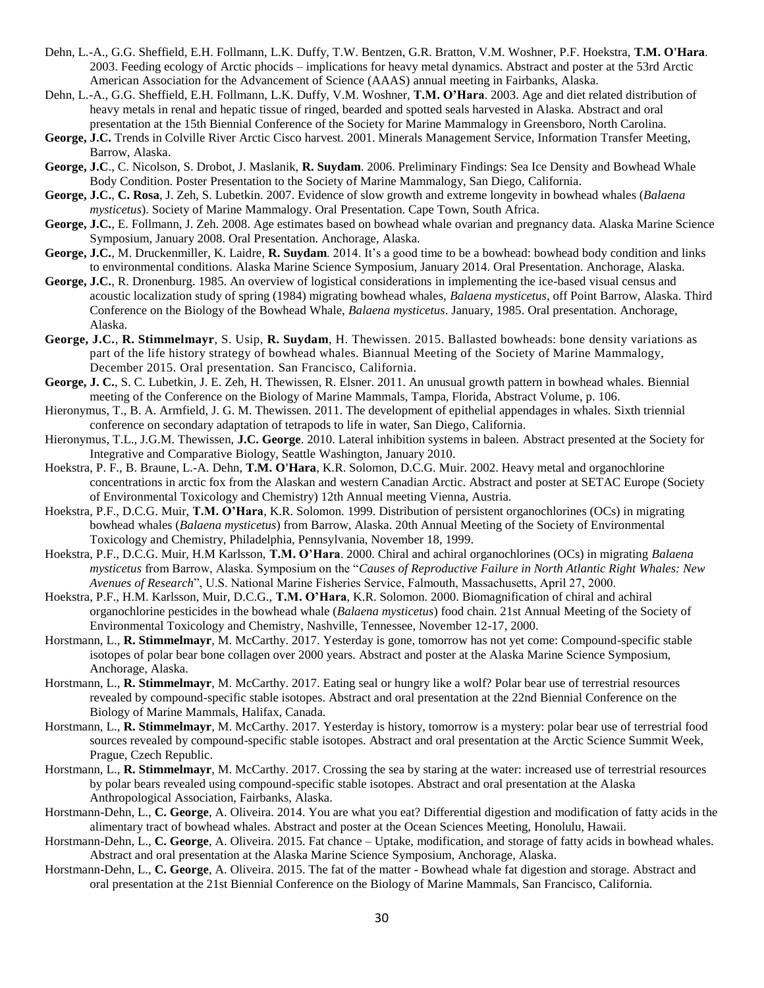- Dehn, L.-A., G.G. Sheffield, E.H. Follmann, L.K. Duffy, T.W. Bentzen, G.R. Bratton, V.M. Woshner, P.F. Hoekstra, **T.M. O'Hara**. 2003. Feeding ecology of Arctic phocids – implications for heavy metal dynamics. Abstract and poster at the 53rd Arctic American Association for the Advancement of Science (AAAS) annual meeting in Fairbanks, Alaska.
- Dehn, L.-A., G.G. Sheffield, E.H. Follmann, L.K. Duffy, V.M. Woshner, **T.M. O'Hara**. 2003. Age and diet related distribution of heavy metals in renal and hepatic tissue of ringed, bearded and spotted seals harvested in Alaska. Abstract and oral presentation at the 15th Biennial Conference of the Society for Marine Mammalogy in Greensboro, North Carolina.
- **George, J.C.** Trends in Colville River Arctic Cisco harvest. 2001. Minerals Management Service, Information Transfer Meeting, Barrow, Alaska.
- **George, J.C**., C. Nicolson, S. Drobot, J. Maslanik, **R. Suydam**. 2006. Preliminary Findings: Sea Ice Density and Bowhead Whale Body Condition. Poster Presentation to the Society of Marine Mammalogy, San Diego, California.
- **George, J.C.**, **C. Rosa**, J. Zeh, S. Lubetkin. 2007. Evidence of slow growth and extreme longevity in bowhead whales (*Balaena mysticetus*). Society of Marine Mammalogy. Oral Presentation. Cape Town, South Africa.
- **George, J.C.**, E. Follmann, J. Zeh. 2008. Age estimates based on bowhead whale ovarian and pregnancy data. Alaska Marine Science Symposium, January 2008. Oral Presentation. Anchorage, Alaska.
- **George, J.C.**, M. Druckenmiller, K. Laidre, **R. Suydam**. 2014. It's a good time to be a bowhead: bowhead body condition and links to environmental conditions. Alaska Marine Science Symposium, January 2014. Oral Presentation. Anchorage, Alaska.
- **George, J.C.**, R. Dronenburg. 1985. An overview of logistical considerations in implementing the ice-based visual census and acoustic localization study of spring (1984) migrating bowhead whales, *Balaena mysticetus*, off Point Barrow, Alaska. Third Conference on the Biology of the Bowhead Whale, *Balaena mysticetus*. January, 1985. Oral presentation. Anchorage, Alaska.
- **George, J.C.**, **R. Stimmelmayr**, S. Usip, **R. Suydam**, H. Thewissen. 2015. Ballasted bowheads: bone density variations as part of the life history strategy of bowhead whales. Biannual Meeting of the Society of Marine Mammalogy, December 2015. Oral presentation. San Francisco, California.
- **George, J. C.**, S. C. Lubetkin, J. E. Zeh, H. Thewissen, R. Elsner. 2011. An unusual growth pattern in bowhead whales. Biennial meeting of the Conference on the Biology of Marine Mammals, Tampa, Florida, Abstract Volume, p. 106.
- Hieronymus, T., B. A. Armfield, J. G. M. Thewissen. 2011. The development of epithelial appendages in whales. Sixth triennial conference on secondary adaptation of tetrapods to life in water, San Diego, California.
- Hieronymus, T.L., J.G.M. Thewissen, **J.C. George**. 2010. Lateral inhibition systems in baleen. Abstract presented at the Society for Integrative and Comparative Biology, Seattle Washington, January 2010.
- Hoekstra, P. F., B. Braune, L.-A. Dehn, **T.M. O'Hara**, K.R. Solomon, D.C.G. Muir. 2002. Heavy metal and organochlorine concentrations in arctic fox from the Alaskan and western Canadian Arctic. Abstract and poster at SETAC Europe (Society of Environmental Toxicology and Chemistry) 12th Annual meeting Vienna, Austria.
- Hoekstra, P.F., D.C.G. Muir, **T.M. O'Hara**, K.R. Solomon. 1999. Distribution of persistent organochlorines (OCs) in migrating bowhead whales (*Balaena mysticetus*) from Barrow, Alaska. 20th Annual Meeting of the Society of Environmental Toxicology and Chemistry, Philadelphia, Pennsylvania, November 18, 1999.
- Hoekstra, P.F., D.C.G. Muir, H.M Karlsson, **T.M. O'Hara**. 2000. Chiral and achiral organochlorines (OCs) in migrating *Balaena mysticetus* from Barrow, Alaska. Symposium on the "*Causes of Reproductive Failure in North Atlantic Right Whales: New Avenues of Research*", U.S. National Marine Fisheries Service, Falmouth, Massachusetts, April 27, 2000.
- Hoekstra, P.F., H.M. Karlsson, Muir, D.C.G., **T.M. O'Hara**, K.R. Solomon. 2000. Biomagnification of chiral and achiral organochlorine pesticides in the bowhead whale (*Balaena mysticetus*) food chain. 21st Annual Meeting of the Society of Environmental Toxicology and Chemistry, Nashville, Tennessee, November 12-17, 2000.
- Horstmann, L., **R. Stimmelmayr**, M. McCarthy. 2017. Yesterday is gone, tomorrow has not yet come: Compound-specific stable isotopes of polar bear bone collagen over 2000 years. Abstract and poster at the Alaska Marine Science Symposium, Anchorage, Alaska.
- Horstmann, L., **R. Stimmelmayr**, M. McCarthy. 2017. Eating seal or hungry like a wolf? Polar bear use of terrestrial resources revealed by compound-specific stable isotopes. Abstract and oral presentation at the 22nd Biennial Conference on the Biology of Marine Mammals, Halifax, Canada.
- Horstmann, L., **R. Stimmelmayr**, M. McCarthy. 2017. Yesterday is history, tomorrow is a mystery: polar bear use of terrestrial food sources revealed by compound-specific stable isotopes. Abstract and oral presentation at the Arctic Science Summit Week, Prague, Czech Republic.
- Horstmann, L., **R. Stimmelmayr**, M. McCarthy. 2017. Crossing the sea by staring at the water: increased use of terrestrial resources by polar bears revealed using compound-specific stable isotopes. Abstract and oral presentation at the Alaska Anthropological Association, Fairbanks, Alaska.
- Horstmann-Dehn, L., **C. George**, A. Oliveira. 2014. You are what you eat? Differential digestion and modification of fatty acids in the alimentary tract of bowhead whales. Abstract and poster at the Ocean Sciences Meeting, Honolulu, Hawaii.
- Horstmann-Dehn, L., **C. George**, A. Oliveira. 2015. Fat chance Uptake, modification, and storage of fatty acids in bowhead whales. Abstract and oral presentation at the Alaska Marine Science Symposium, Anchorage, Alaska.
- Horstmann-Dehn, L., **C. George**, A. Oliveira. 2015. The fat of the matter Bowhead whale fat digestion and storage. Abstract and oral presentation at the 21st Biennial Conference on the Biology of Marine Mammals, San Francisco, California.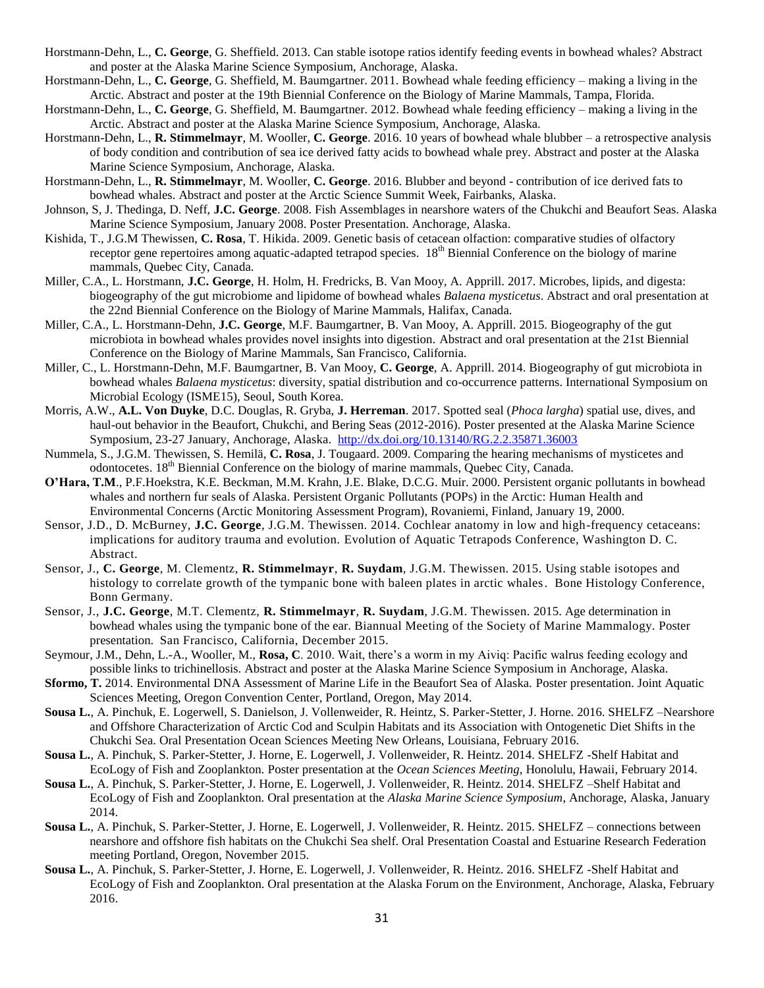- Horstmann-Dehn, L., **C. George**, G. Sheffield. 2013. Can stable isotope ratios identify feeding events in bowhead whales? Abstract and poster at the Alaska Marine Science Symposium, Anchorage, Alaska.
- Horstmann-Dehn, L., **C. George**, G. Sheffield, M. Baumgartner. 2011. Bowhead whale feeding efficiency making a living in the Arctic. Abstract and poster at the 19th Biennial Conference on the Biology of Marine Mammals, Tampa, Florida.
- Horstmann-Dehn, L., **C. George**, G. Sheffield, M. Baumgartner. 2012. Bowhead whale feeding efficiency making a living in the Arctic. Abstract and poster at the Alaska Marine Science Symposium, Anchorage, Alaska.
- Horstmann-Dehn, L., **R. Stimmelmayr**, M. Wooller, **C. George**. 2016. 10 years of bowhead whale blubber a retrospective analysis of body condition and contribution of sea ice derived fatty acids to bowhead whale prey. Abstract and poster at the Alaska Marine Science Symposium, Anchorage, Alaska.
- Horstmann-Dehn, L., **R. Stimmelmayr**, M. Wooller, **C. George**. 2016. Blubber and beyond contribution of ice derived fats to bowhead whales. Abstract and poster at the Arctic Science Summit Week, Fairbanks, Alaska.
- Johnson, S, J. Thedinga, D. Neff, **J.C. George**. 2008. Fish Assemblages in nearshore waters of the Chukchi and Beaufort Seas. Alaska Marine Science Symposium, January 2008. Poster Presentation. Anchorage, Alaska.
- Kishida, T., J.G.M Thewissen, **C. Rosa**, T. Hikida. 2009. Genetic basis of cetacean olfaction: comparative studies of olfactory receptor gene repertoires among aquatic-adapted tetrapod species. 18<sup>th</sup> Biennial Conference on the biology of marine mammals, Quebec City, Canada.
- Miller, C.A., L. Horstmann, **J.C. George**, H. Holm, H. Fredricks, B. Van Mooy, A. Apprill. 2017. Microbes, lipids, and digesta: biogeography of the gut microbiome and lipidome of bowhead whales *Balaena mysticetus*. Abstract and oral presentation at the 22nd Biennial Conference on the Biology of Marine Mammals, Halifax, Canada.
- Miller, C.A., L. Horstmann-Dehn, **J.C. George**, M.F. Baumgartner, B. Van Mooy, A. Apprill. 2015. Biogeography of the gut microbiota in bowhead whales provides novel insights into digestion. Abstract and oral presentation at the 21st Biennial Conference on the Biology of Marine Mammals, San Francisco, California.
- Miller, C., L. Horstmann-Dehn, M.F. Baumgartner, B. Van Mooy, **C. George**, A. Apprill. 2014. Biogeography of gut microbiota in bowhead whales *Balaena mysticetus*: diversity, spatial distribution and co-occurrence patterns. International Symposium on Microbial Ecology (ISME15), Seoul, South Korea.
- Morris, A.W., **A.L. Von Duyke**, D.C. Douglas, R. Gryba, **J. Herreman**. 2017. Spotted seal (*Phoca largha*) spatial use, dives, and haul-out behavior in the Beaufort, Chukchi, and Bering Seas (2012-2016). Poster presented at the Alaska Marine Science Symposium, 23-27 January, Anchorage, Alaska. <http://dx.doi.org/10.13140/RG.2.2.35871.36003>
- Nummela, S., J.G.M. Thewissen, S. Hemilä, **C. Rosa**, J. Tougaard. 2009. Comparing the hearing mechanisms of mysticetes and odontocetes. 18<sup>th</sup> Biennial Conference on the biology of marine mammals, Quebec City, Canada.
- **O'Hara, T.M**., P.F.Hoekstra, K.E. Beckman, M.M. Krahn, J.E. Blake, D.C.G. Muir. 2000. Persistent organic pollutants in bowhead whales and northern fur seals of Alaska. Persistent Organic Pollutants (POPs) in the Arctic: Human Health and Environmental Concerns (Arctic Monitoring Assessment Program), Rovaniemi, Finland, January 19, 2000.
- Sensor, J.D., D. McBurney, **J.C. George**, J.G.M. Thewissen. 2014. Cochlear anatomy in low and high-frequency cetaceans: implications for auditory trauma and evolution. Evolution of Aquatic Tetrapods Conference, Washington D. C. Abstract.
- Sensor, J., **C. George**, M. Clementz, **R. Stimmelmayr**, **R. Suydam**, J.G.M. Thewissen. 2015. Using stable isotopes and histology to correlate growth of the tympanic bone with baleen plates in arctic whales. Bone Histology Conference, Bonn Germany.
- Sensor, J., **J.C. George**, M.T. Clementz, **R. Stimmelmayr**, **R. Suydam**, J.G.M. Thewissen. 2015. Age determination in bowhead whales using the tympanic bone of the ear. Biannual Meeting of the Society of Marine Mammalogy. Poster presentation. San Francisco, California, December 2015.
- Seymour, J.M., Dehn, L.-A., Wooller, M., **Rosa, C**. 2010. Wait, there's a worm in my Aiviq: Pacific walrus feeding ecology and possible links to trichinellosis. Abstract and poster at the Alaska Marine Science Symposium in Anchorage, Alaska.
- **Sformo, T.** 2014. Environmental DNA Assessment of Marine Life in the Beaufort Sea of Alaska. Poster presentation. Joint Aquatic Sciences Meeting, Oregon Convention Center, Portland, Oregon, May 2014.
- **Sousa L.**, A. Pinchuk, E. Logerwell, S. Danielson, J. Vollenweider, R. Heintz, S. Parker-Stetter, J. Horne. 2016. SHELFZ –Nearshore and Offshore Characterization of Arctic Cod and Sculpin Habitats and its Association with Ontogenetic Diet Shifts in the Chukchi Sea. Oral Presentation Ocean Sciences Meeting New Orleans, Louisiana, February 2016.
- **Sousa L.**, A. Pinchuk, S. Parker-Stetter, J. Horne, E. Logerwell, J. Vollenweider, R. Heintz. 2014. SHELFZ -Shelf Habitat and EcoLogy of Fish and Zooplankton. Poster presentation at the *Ocean Sciences Meeting*, Honolulu, Hawaii, February 2014.
- **Sousa L.**, A. Pinchuk, S. Parker-Stetter, J. Horne, E. Logerwell, J. Vollenweider, R. Heintz. 2014. SHELFZ –Shelf Habitat and EcoLogy of Fish and Zooplankton. Oral presentation at the *Alaska Marine Science Symposium*, Anchorage, Alaska, January 2014.
- **Sousa L.**, A. Pinchuk, S. Parker-Stetter, J. Horne, E. Logerwell, J. Vollenweider, R. Heintz. 2015. SHELFZ connections between nearshore and offshore fish habitats on the Chukchi Sea shelf. Oral Presentation Coastal and Estuarine Research Federation meeting Portland, Oregon, November 2015.
- **Sousa L.**, A. Pinchuk, S. Parker-Stetter, J. Horne, E. Logerwell, J. Vollenweider, R. Heintz. 2016. SHELFZ -Shelf Habitat and EcoLogy of Fish and Zooplankton. Oral presentation at the Alaska Forum on the Environment, Anchorage, Alaska, February 2016.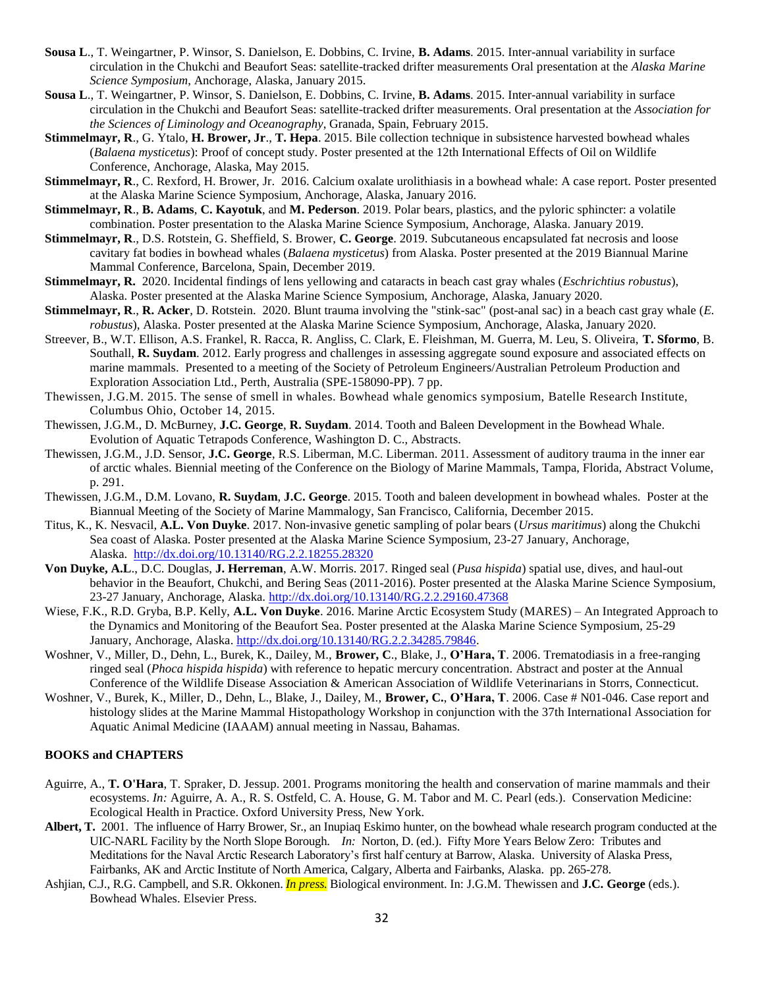- **Sousa L**., T. Weingartner, P. Winsor, S. Danielson, E. Dobbins, C. Irvine, **B. Adams**. 2015. Inter-annual variability in surface circulation in the Chukchi and Beaufort Seas: satellite-tracked drifter measurements Oral presentation at the *Alaska Marine Science Symposium*, Anchorage, Alaska, January 2015.
- **Sousa L**., T. Weingartner, P. Winsor, S. Danielson, E. Dobbins, C. Irvine, **B. Adams**. 2015. Inter-annual variability in surface circulation in the Chukchi and Beaufort Seas: satellite-tracked drifter measurements. Oral presentation at the *Association for the Sciences of Liminology and Oceanography*, Granada, Spain, February 2015.
- **Stimmelmayr, R**., G. Ytalo, **H. Brower, Jr**., **T. Hepa**. 2015. [Bile collection technique in subsistence harvested bowhead whales](http://www.north-slope.org/assets/images/uploads/Bileacidcollection_bowhead_RST_EWOS2015_final.pdf)  (*Balaena mysticetus*[\): Proof of concept study.](http://www.north-slope.org/assets/images/uploads/Bileacidcollection_bowhead_RST_EWOS2015_final.pdf) Poster presented at the 12th International Effects of Oil on Wildlife Conference, Anchorage, Alaska, May 2015.
- **Stimmelmayr, R**., C. Rexford, H. Brower, Jr. 2016. [Calcium oxalate urolithiasis in a bowhead whale: A case report.](http://www.north-slope.org/assets/images/uploads/Kidney_stone_AMSS2016_RSTdraft.pdf) Poster presented at the Alaska Marine Science Symposium, Anchorage, Alaska, January 2016.
- **Stimmelmayr, R**., **B. Adams**, **C. Kayotuk**, and **M. Pederson**. 2019. Polar bears, plastics, and the pyloric sphincter: a volatile combination. Poster presentation to the Alaska Marine Science Symposium, Anchorage, Alaska. January 2019.
- **Stimmelmayr, R**., D.S. Rotstein, G. Sheffield, S. Brower, **C. George**. 2019. Subcutaneous encapsulated fat necrosis and loose cavitary fat bodies in bowhead whales (*Balaena mysticetus*) from Alaska. Poster presented at the 2019 Biannual Marine Mammal Conference, Barcelona, Spain, December 2019.
- **Stimmelmayr, R.** 2020. [Incidental findings of lens yellowing and cataracts in beach cast gray whales \(](http://www.north-slope.org/assets/images/uploads/gray_whale_Cataract_1123_2019_final.pdf)*Eschrichtius robustus*), [Alaska.](http://www.north-slope.org/assets/images/uploads/gray_whale_Cataract_1123_2019_final.pdf) Poster presented at the Alaska Marine Science Symposium, Anchorage, Alaska, January 2020.
- **Stimmelmayr, R**., **R. Acker**, D. Rotstein. 2020. [Blunt trauma involving the "stink-sac" \(post-anal sac\) in a beach cast gray whale \(](http://www.north-slope.org/assets/images/uploads/gray_whale_Stinksack_1123_2019_final.pdf)*E. robustus*[\), Alaska.](http://www.north-slope.org/assets/images/uploads/gray_whale_Stinksack_1123_2019_final.pdf) Poster presented at the Alaska Marine Science Symposium, Anchorage, Alaska, January 2020.
- Streever, B., W.T. Ellison, A.S. Frankel, R. Racca, R. Angliss, C. Clark, E. Fleishman, M. Guerra, M. Leu, S. Oliveira, **T. Sformo**, B. Southall, **R. Suydam**. 2012. Early progress and challenges in assessing aggregate sound exposure and associated effects on marine mammals. Presented to a meeting of the Society of Petroleum Engineers/Australian Petroleum Production and Exploration Association Ltd., Perth, Australia (SPE-158090-PP). 7 pp.
- Thewissen, J.G.M. 2015. The sense of smell in whales. Bowhead whale genomics symposium, Batelle Research Institute, Columbus Ohio, October 14, 2015.
- Thewissen, J.G.M., D. McBurney, **J.C. George**, **R. Suydam**. 2014. Tooth and Baleen Development in the Bowhead Whale. Evolution of Aquatic Tetrapods Conference, Washington D. C., Abstracts.
- Thewissen, J.G.M., J.D. Sensor, **J.C. George**, R.S. Liberman, M.C. Liberman. 2011. Assessment of auditory trauma in the inner ear of arctic whales. Biennial meeting of the Conference on the Biology of Marine Mammals, Tampa, Florida, Abstract Volume, p. 291.
- Thewissen, J.G.M., D.M. Lovano, **R. Suydam**, **J.C. George**. 2015. Tooth and baleen development in bowhead whales. Poster at the Biannual Meeting of the Society of Marine Mammalogy, San Francisco, California, December 2015.
- Titus, K., K. Nesvacil, **A.L. Von Duyke**. 2017. Non-invasive genetic sampling of polar bears (*Ursus maritimus*) along the Chukchi Sea coast of Alaska. Poster presented at the Alaska Marine Science Symposium, 23-27 January, Anchorage, Alaska. <http://dx.doi.org/10.13140/RG.2.2.18255.28320>
- **Von Duyke, A.L**., D.C. Douglas, **J. Herreman**, A.W. Morris. 2017. Ringed seal (*Pusa hispida*) spatial use, dives, and haul-out behavior in the Beaufort, Chukchi, and Bering Seas (2011-2016). Poster presented at the Alaska Marine Science Symposium, 23-27 January, Anchorage, Alaska.<http://dx.doi.org/10.13140/RG.2.2.29160.47368>
- Wiese, F.K., R.D. Gryba, B.P. Kelly, **A.L. Von Duyke**. 2016. Marine Arctic Ecosystem Study (MARES) An Integrated Approach to the Dynamics and Monitoring of the Beaufort Sea. Poster presented at the Alaska Marine Science Symposium, 25-29 January, Anchorage, Alaska. [http://dx.doi.org/10.13140/RG.2.2.34285.79846.](http://dx.doi.org/10.13140/RG.2.2.34285.79846)
- Woshner, V., Miller, D., Dehn, L., Burek, K., Dailey, M., **Brower, C**., Blake, J., **O'Hara, T**. 2006. Trematodiasis in a free-ranging ringed seal (*Phoca hispida hispida*) with reference to hepatic mercury concentration. Abstract and poster at the Annual Conference of the Wildlife Disease Association & American Association of Wildlife Veterinarians in Storrs, Connecticut.
- Woshner, V., Burek, K., Miller, D., Dehn, L., Blake, J., Dailey, M., **Brower, C.**, **O'Hara, T**. 2006. Case # N01-046. Case report and histology slides at the Marine Mammal Histopathology Workshop in conjunction with the 37th International Association for Aquatic Animal Medicine (IAAAM) annual meeting in Nassau, Bahamas.

### **BOOKS and CHAPTERS**

- Aguirre, A., **T. O'Hara**, T. Spraker, D. Jessup. 2001. Programs monitoring the health and conservation of marine mammals and their ecosystems. *In:* Aguirre, A. A., R. S. Ostfeld, C. A. House, G. M. Tabor and M. C. Pearl (eds.). Conservation Medicine: Ecological Health in Practice. Oxford University Press, New York.
- **Albert, T.** 2001. The influence of Harry Brower, Sr., an Inupiaq Eskimo hunter, on the bowhead whale research program conducted at the UIC-NARL Facility by the North Slope Borough. *In:* Norton, D. (ed.). Fifty More Years Below Zero: Tributes and Meditations for the Naval Arctic Research Laboratory's first half century at Barrow, Alaska. University of Alaska Press, Fairbanks, AK and Arctic Institute of North America, Calgary, Alberta and Fairbanks, Alaska. pp. 265-278.
- Ashjian, C.J., R.G. Campbell, and S.R. Okkonen. *In press.* Biological environment. In: J.G.M. Thewissen and **J.C. George** (eds.). Bowhead Whales. Elsevier Press.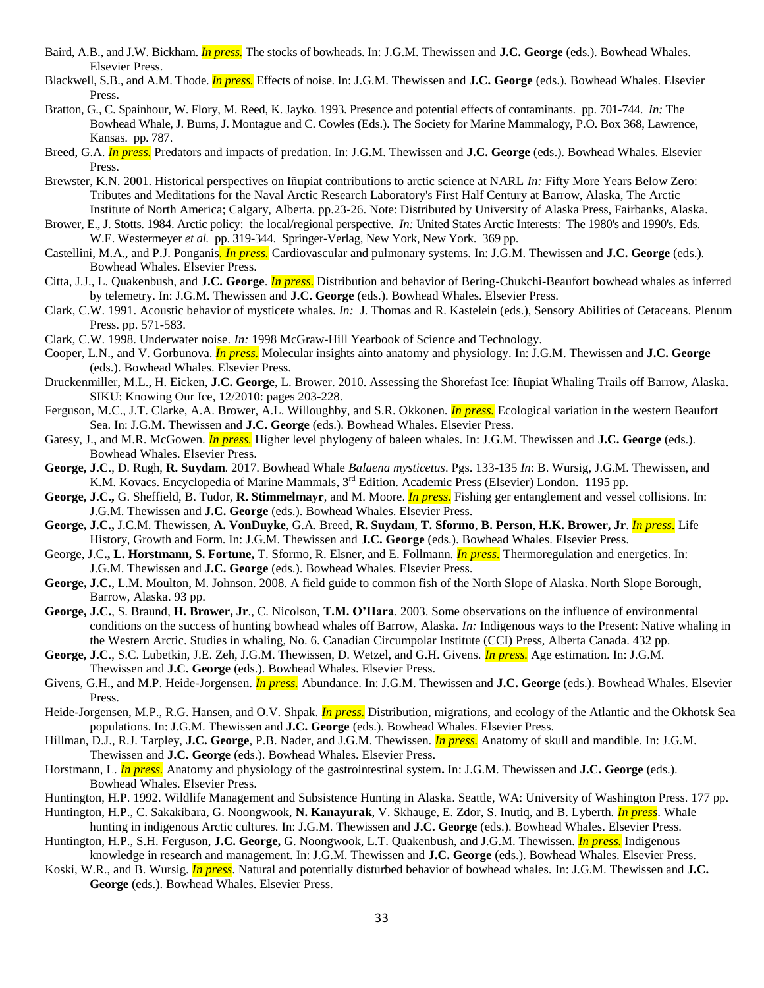- Baird, A.B., and J.W. Bickham. *In press.* The stocks of bowheads. In: J.G.M. Thewissen and **J.C. George** (eds.). Bowhead Whales. Elsevier Press.
- Blackwell, S.B., and A.M. Thode. *In press.* Effects of noise. In: J.G.M. Thewissen and **J.C. George** (eds.). Bowhead Whales. Elsevier Press.
- Bratton, G., C. Spainhour, W. Flory, M. Reed, K. Jayko. 1993. Presence and potential effects of contaminants. pp. 701-744. *In:* The Bowhead Whale, J. Burns, J. Montague and C. Cowles (Eds.). The Society for Marine Mammalogy, P.O. Box 368, Lawrence, Kansas. pp. 787.
- Breed, G.A. *In press.* Predators and impacts of predation. In: J.G.M. Thewissen and **J.C. George** (eds.). Bowhead Whales. Elsevier Press.
- Brewster, K.N. 2001. Historical perspectives on Iñupiat contributions to arctic science at NARL *In:* Fifty More Years Below Zero: Tributes and Meditations for the Naval Arctic Research Laboratory's First Half Century at Barrow, Alaska, The Arctic Institute of North America; Calgary, Alberta. pp.23-26. Note: Distributed by University of Alaska Press, Fairbanks, Alaska.
- Brower, E., J. Stotts. 1984. Arctic policy: the local/regional perspective. *In:* United States Arctic Interests: The 1980's and 1990's. Eds. W.E. Westermeyer *et al.* pp. 319-344. Springer-Verlag, New York, New York. 369 pp.
- Castellini, M.A., and P.J. Ponganis*. In press.* Cardiovascular and pulmonary systems. In: J.G.M. Thewissen and **J.C. George** (eds.). Bowhead Whales. Elsevier Press.
- Citta, J.J., L. Quakenbush, and **J.C. George**. *In press*. Distribution and behavior of Bering-Chukchi-Beaufort bowhead whales as inferred by telemetry. In: J.G.M. Thewissen and **J.C. George** (eds.). Bowhead Whales. Elsevier Press.
- Clark, C.W. 1991. Acoustic behavior of mysticete whales. *In:* J. Thomas and R. Kastelein (eds.), Sensory Abilities of Cetaceans. Plenum Press. pp. 571-583.
- Clark, C.W. 1998. Underwater noise. *In:* 1998 McGraw-Hill Yearbook of Science and Technology.
- Cooper, L.N., and V. Gorbunova. *In press.* Molecular insights ainto anatomy and physiology. In: J.G.M. Thewissen and **J.C. George** (eds.). Bowhead Whales. Elsevier Press.
- Druckenmiller, M.L., H. Eicken, **J.C. George**, L. Brower. 2010. Assessing the Shorefast Ice: Iñupiat Whaling Trails off Barrow, Alaska. SIKU: Knowing Our Ice, 12/2010: pages 203-228.
- Ferguson, M.C., J.T. Clarke, A.A. Brower, A.L. Willoughby, and S.R. Okkonen. *In press.* Ecological variation in the western Beaufort Sea. In: J.G.M. Thewissen and **J.C. George** (eds.). Bowhead Whales. Elsevier Press.
- Gatesy, J., and M.R. McGowen. *In press.* Higher level phylogeny of baleen whales. In: J.G.M. Thewissen and **J.C. George** (eds.). Bowhead Whales. Elsevier Press.
- **George, J.C**., D. Rugh, **R. Suydam**. 2017. Bowhead Whale *Balaena mysticetus*. Pgs. 133-135 *In*: B. Wursig, J.G.M. Thewissen, and K.M. Kovacs. Encyclopedia of Marine Mammals, 3<sup>rd</sup> Edition. Academic Press (Elsevier) London. 1195 pp.
- **George, J.C.,** G. Sheffield, B. Tudor, **R. Stimmelmayr**, and M. Moore. *In press.* Fishing ger entanglement and vessel collisions. In: J.G.M. Thewissen and **J.C. George** (eds.). Bowhead Whales. Elsevier Press.
- **George, J.C.,** J.C.M. Thewissen, **A. VonDuyke**, G.A. Breed, **R. Suydam**, **T. Sformo**, **B. Person**, **H.K. Brower, Jr**. *In press*. Life History, Growth and Form. In: J.G.M. Thewissen and **J.C. George** (eds.). Bowhead Whales. Elsevier Press.
- George, J.C**., L. Horstmann, S. Fortune,** T. Sformo, R. Elsner, and E. Follmann. *In press.* Thermoregulation and energetics. In: J.G.M. Thewissen and **J.C. George** (eds.). Bowhead Whales. Elsevier Press.
- **George, J.C.**, L.M. Moulton, M. Johnson. 2008. A field guide to common fish of the North Slope of Alaska. North Slope Borough, Barrow, Alaska. 93 pp.
- **George, J.C.**, S. Braund, **H. Brower, Jr**., C. Nicolson, **T.M. O'Hara**. 2003. Some observations on the influence of environmental conditions on the success of hunting bowhead whales off Barrow, Alaska. *In:* Indigenous ways to the Present: Native whaling in the Western Arctic. Studies in whaling, No. 6. Canadian Circumpolar Institute (CCI) Press, Alberta Canada. 432 pp.
- **George, J.C**., S.C. Lubetkin, J.E. Zeh, J.G.M. Thewissen, D. Wetzel, and G.H. Givens. *In press.* Age estimation. In: J.G.M. Thewissen and **J.C. George** (eds.). Bowhead Whales. Elsevier Press.
- Givens, G.H., and M.P. Heide-Jorgensen. *In press.* Abundance. In: J.G.M. Thewissen and **J.C. George** (eds.). Bowhead Whales. Elsevier Press.
- Heide-Jorgensen, M.P., R.G. Hansen, and O.V. Shpak. *In press.* Distribution, migrations, and ecology of the Atlantic and the Okhotsk Sea populations. In: J.G.M. Thewissen and **J.C. George** (eds.). Bowhead Whales. Elsevier Press.
- Hillman, D.J., R.J. Tarpley, **J.C. George**, P.B. Nader, and J.G.M. Thewissen. *In press.* Anatomy of skull and mandible. In: J.G.M. Thewissen and **J.C. George** (eds.). Bowhead Whales. Elsevier Press.
- Horstmann, L. *In press.* Anatomy and physiology of the gastrointestinal system**.** In: J.G.M. Thewissen and **J.C. George** (eds.). Bowhead Whales. Elsevier Press.
- Huntington, H.P. 1992. Wildlife Management and Subsistence Hunting in Alaska. Seattle, WA: University of Washington Press. 177 pp.
- Huntington, H.P., C. Sakakibara, G. Noongwook, **N. Kanayurak**, V. Skhauge, E. Zdor, S. Inutiq, and B. Lyberth. *In press*. Whale hunting in indigenous Arctic cultures. In: J.G.M. Thewissen and **J.C. George** (eds.). Bowhead Whales. Elsevier Press.
- Huntington, H.P., S.H. Ferguson, **J.C. George,** G. Noongwook, L.T. Quakenbush, and J.G.M. Thewissen. *In press.* Indigenous knowledge in research and management. In: J.G.M. Thewissen and **J.C. George** (eds.). Bowhead Whales. Elsevier Press.
- Koski, W.R., and B. Wursig. *In press*. Natural and potentially disturbed behavior of bowhead whales. In: J.G.M. Thewissen and **J.C. George** (eds.). Bowhead Whales. Elsevier Press.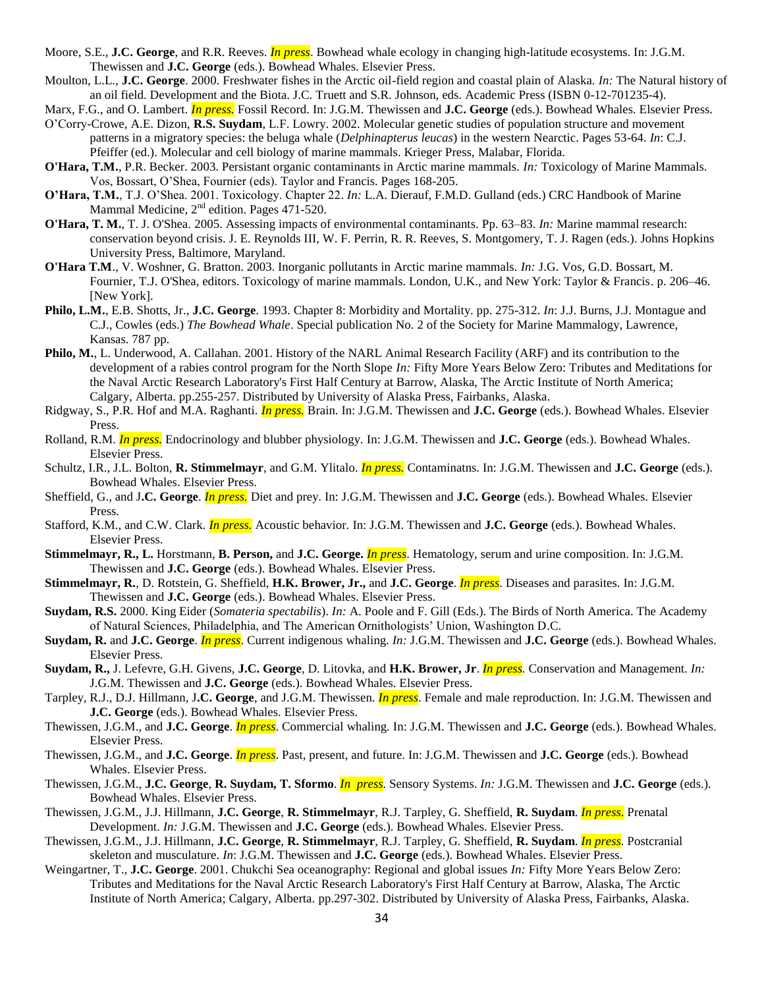- Moore, S.E., **J.C. George**, and R.R. Reeves. *In press*. Bowhead whale ecology in changing high-latitude ecosystems. In: J.G.M. Thewissen and **J.C. George** (eds.). Bowhead Whales. Elsevier Press.
- Moulton, L.L., **J.C. George**. 2000. Freshwater fishes in the Arctic oil-field region and coastal plain of Alaska. *In:* The Natural history of an oil field. Development and the Biota. J.C. Truett and S.R. Johnson, eds. Academic Press (ISBN 0-12-701235-4).
- Marx, F.G., and O. Lambert. *In press.* Fossil Record. In: J.G.M. Thewissen and **J.C. George** (eds.). Bowhead Whales. Elsevier Press.
- O'Corry-Crowe, A.E. Dizon, **R.S. Suydam**, L.F. Lowry. 2002. Molecular genetic studies of population structure and movement patterns in a migratory species: the beluga whale (*Delphinapterus leucas*) in the western Nearctic. Pages 53-64. *In*: C.J. Pfeiffer (ed.). Molecular and cell biology of marine mammals. Krieger Press, Malabar, Florida.
- **O'Hara, T.M.**, P.R. Becker. 2003. Persistant organic contaminants in Arctic marine mammals. *In:* Toxicology of Marine Mammals. Vos, Bossart, O'Shea, Fournier (eds). Taylor and Francis. Pages 168-205.
- **O'Hara, T.M.**, T.J. O'Shea. 2001. Toxicology. Chapter 22. *In:* L.A. Dierauf, F.M.D. Gulland (eds.) CRC Handbook of Marine Mammal Medicine, 2<sup>nd</sup> edition. Pages 471-520.
- **O'Hara, T. M.**, T. J. O'Shea. 2005. Assessing impacts of environmental contaminants. Pp. 63–83. *In:* Marine mammal research: conservation beyond crisis. J. E. Reynolds III, W. F. Perrin, R. R. Reeves, S. Montgomery, T. J. Ragen (eds.). Johns Hopkins University Press, Baltimore, Maryland.
- **O'Hara T.M**., V. Woshner, G. Bratton. 2003. Inorganic pollutants in Arctic marine mammals. *In:* J.G. Vos, G.D. Bossart, M. Fournier, T.J. O'Shea, editors. Toxicology of marine mammals. London, U.K., and New York: Taylor & Francis. p. 206–46. [New York].
- **Philo, L.M.**, E.B. Shotts, Jr., **J.C. George**. 1993. Chapter 8: Morbidity and Mortality. pp. 275-312. *In*: J.J. Burns, J.J. Montague and C.J., Cowles (eds.) *The Bowhead Whale*. Special publication No. 2 of the Society for Marine Mammalogy, Lawrence, Kansas. 787 pp.
- **Philo, M.**, L. Underwood, A. Callahan. 2001. History of the NARL Animal Research Facility (ARF) and its contribution to the development of a rabies control program for the North Slope *In:* Fifty More Years Below Zero: Tributes and Meditations for the Naval Arctic Research Laboratory's First Half Century at Barrow, Alaska, The Arctic Institute of North America; Calgary, Alberta. pp.255-257. Distributed by University of Alaska Press, Fairbanks, Alaska.
- Ridgway, S., P.R. Hof and M.A. Raghanti. *In press.* Brain. In: J.G.M. Thewissen and **J.C. George** (eds.). Bowhead Whales. Elsevier Press.
- Rolland, R.M. *In press.* Endocrinology and blubber physiology. In: J.G.M. Thewissen and **J.C. George** (eds.). Bowhead Whales. Elsevier Press.
- Schultz, I.R., J.L. Bolton, **R. Stimmelmayr***,* and G.M. Ylitalo. *In press.* Contaminatns. In: J.G.M. Thewissen and **J.C. George** (eds.). Bowhead Whales. Elsevier Press.
- Sheffield, G., and J**.C. George**. *In press.* Diet and prey. In: J.G.M. Thewissen and **J.C. George** (eds.). Bowhead Whales. Elsevier Press.
- Stafford, K.M., and C.W. Clark. *In press.* Acoustic behavior. In: J.G.M. Thewissen and **J.C. George** (eds.). Bowhead Whales. Elsevier Press.
- **Stimmelmayr, R., L.** Horstmann, **B. Person,** and **J.C. George.** *In press*. Hematology, serum and urine composition. In: J.G.M. Thewissen and **J.C. George** (eds.). Bowhead Whales. Elsevier Press.
- **Stimmelmayr, R.**, D. Rotstein, G. Sheffield, **H.K. Brower, Jr.,** and **J.C. George**. *In press*. Diseases and parasites. In: J.G.M. Thewissen and **J.C. George** (eds.). Bowhead Whales. Elsevier Press.
- **Suydam, R.S.** 2000. King Eider (*Somateria spectabilis*). *In:* A. Poole and F. Gill (Eds.). The Birds of North America. The Academy of Natural Sciences, Philadelphia, and The American Ornithologists' Union, Washington D.C.
- **Suydam, R.** and **J.C. George**. *In press*. Current indigenous whaling. *In:* J.G.M. Thewissen and **J.C. George** (eds.). Bowhead Whales. Elsevier Press.
- **Suydam, R.,** J. Lefevre, G.H. Givens, **J.C. George**, D. Litovka, and **H.K. Brower, Jr**. *In press.* Conservation and Management. *In:* J.G.M. Thewissen and **J.C. George** (eds.). Bowhead Whales. Elsevier Press.
- Tarpley, R.J., D.J. Hillmann, J**.C. George**, and J.G.M. Thewissen. *In press*. Female and male reproduction. In: J.G.M. Thewissen and **J.C. George** (eds.). Bowhead Whales. Elsevier Press.
- Thewissen, J.G.M., and **J.C. George**. *In press*. Commercial whaling. In: J.G.M. Thewissen and **J.C. George** (eds.). Bowhead Whales. Elsevier Press.
- Thewissen, J.G.M., and **J.C. George**. *In press*. Past, present, and future. In: J.G.M. Thewissen and **J.C. George** (eds.). Bowhead Whales. Elsevier Press.
- Thewissen, J.G.M., **J.C. George**, **R. Suydam, T. Sformo**. *In press*. Sensory Systems. *In:* J.G.M. Thewissen and **J.C. George** (eds.). Bowhead Whales. Elsevier Press.
- Thewissen, J.G.M., J.J. Hillmann, **J.C. George**, **R. Stimmelmayr**, R.J. Tarpley, G. Sheffield, **R. Suydam**. *In press*. Prenatal Development. *In:* J.G.M. Thewissen and **J.C. George** (eds.). Bowhead Whales. Elsevier Press.
- Thewissen, J.G.M., J.J. Hillmann, **J.C. George**, **R. Stimmelmayr**, R.J. Tarpley, G. Sheffield, **R. Suydam**. *In press*. Postcranial skeleton and musculature. *In*: J.G.M. Thewissen and **J.C. George** (eds.). Bowhead Whales. Elsevier Press.
- Weingartner, T., **J.C. George**. 2001. Chukchi Sea oceanography: Regional and global issues *In:* Fifty More Years Below Zero: Tributes and Meditations for the Naval Arctic Research Laboratory's First Half Century at Barrow, Alaska, The Arctic Institute of North America; Calgary, Alberta. pp.297-302. Distributed by University of Alaska Press, Fairbanks, Alaska.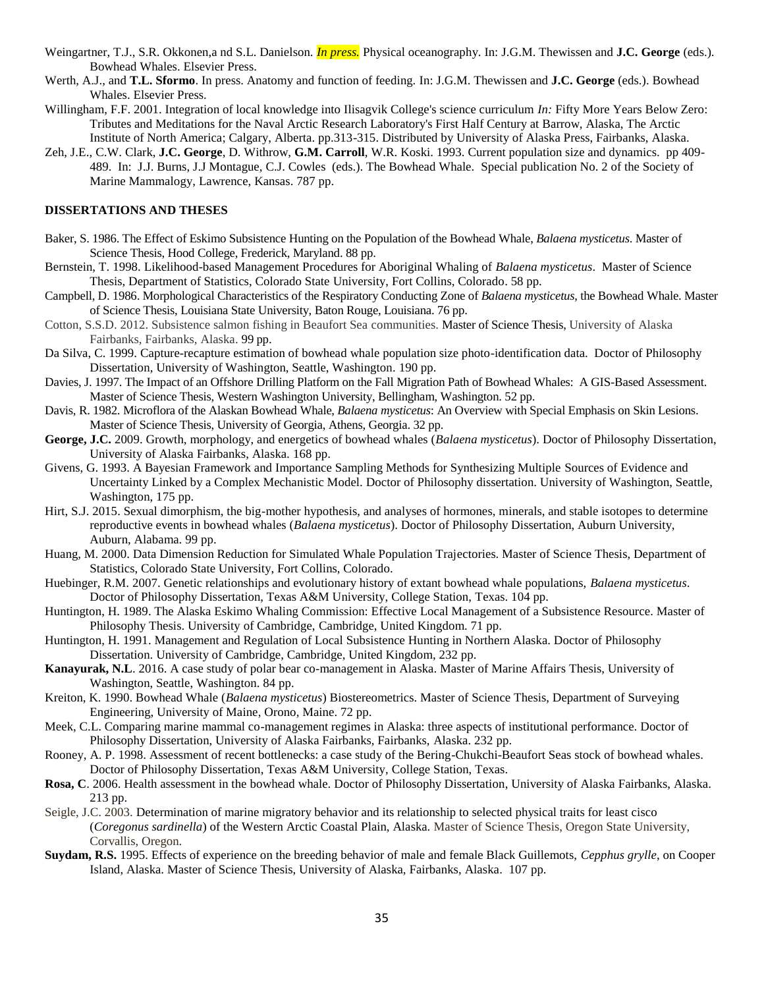- Weingartner, T.J., S.R. Okkonen,a nd S.L. Danielson. *In press.* Physical oceanography. In: J.G.M. Thewissen and **J.C. George** (eds.). Bowhead Whales. Elsevier Press.
- Werth, A.J., and **T.L. Sformo**. In press. Anatomy and function of feeding. In: J.G.M. Thewissen and **J.C. George** (eds.). Bowhead Whales. Elsevier Press.
- Willingham, F.F. 2001. Integration of local knowledge into Ilisagvik College's science curriculum *In:* Fifty More Years Below Zero: Tributes and Meditations for the Naval Arctic Research Laboratory's First Half Century at Barrow, Alaska, The Arctic Institute of North America; Calgary, Alberta. pp.313-315. Distributed by University of Alaska Press, Fairbanks, Alaska.
- Zeh, J.E., C.W. Clark, **J.C. George**, D. Withrow, **G.M. Carroll**, W.R. Koski. 1993. Current population size and dynamics. pp 409- 489. In: J.J. Burns, J.J Montague, C.J. Cowles (eds.). The Bowhead Whale. Special publication No. 2 of the Society of Marine Mammalogy, Lawrence, Kansas. 787 pp.

### **DISSERTATIONS AND THESES**

- Baker, S. 1986. The Effect of Eskimo Subsistence Hunting on the Population of the Bowhead Whale, *Balaena mysticetus*. Master of Science Thesis, Hood College, Frederick, Maryland. 88 pp.
- Bernstein, T. 1998. Likelihood-based Management Procedures for Aboriginal Whaling of *Balaena mysticetus*. Master of Science Thesis, Department of Statistics, Colorado State University, Fort Collins, Colorado. 58 pp.
- Campbell, D. 1986. Morphological Characteristics of the Respiratory Conducting Zone of *Balaena mysticetus*, the Bowhead Whale. Master of Science Thesis, Louisiana State University, Baton Rouge, Louisiana. 76 pp.
- Cotton, S.S.D. 2012. Subsistence salmon fishing in Beaufort Sea communities. Master of Science Thesis, University of Alaska Fairbanks, Fairbanks, Alaska. 99 pp.
- Da Silva, C. 1999. Capture-recapture estimation of bowhead whale population size photo-identification data. Doctor of Philosophy Dissertation, University of Washington, Seattle, Washington. 190 pp.
- Davies, J. 1997. The Impact of an Offshore Drilling Platform on the Fall Migration Path of Bowhead Whales: A GIS-Based Assessment. Master of Science Thesis, Western Washington University, Bellingham, Washington. 52 pp.
- Davis, R. 1982. Microflora of the Alaskan Bowhead Whale, *Balaena mysticetus*: An Overview with Special Emphasis on Skin Lesions. Master of Science Thesis, University of Georgia, Athens, Georgia. 32 pp.
- **George, J.C.** 2009. Growth, morphology, and energetics of bowhead whales (*Balaena mysticetus*). Doctor of Philosophy Dissertation, University of Alaska Fairbanks, Alaska. 168 pp.
- Givens, G. 1993. A Bayesian Framework and Importance Sampling Methods for Synthesizing Multiple Sources of Evidence and Uncertainty Linked by a Complex Mechanistic Model. Doctor of Philosophy dissertation. University of Washington, Seattle, Washington, 175 pp.
- Hirt, S.J. 2015. Sexual dimorphism, the big-mother hypothesis, and analyses of hormones, minerals, and stable isotopes to determine reproductive events in bowhead whales (*Balaena mysticetus*). Doctor of Philosophy Dissertation, Auburn University, Auburn, Alabama. 99 pp.
- Huang, M. 2000. Data Dimension Reduction for Simulated Whale Population Trajectories. Master of Science Thesis, Department of Statistics, Colorado State University, Fort Collins, Colorado.
- Huebinger, R.M. 2007. Genetic relationships and evolutionary history of extant bowhead whale populations, *Balaena mysticetus*. Doctor of Philosophy Dissertation, Texas A&M University, College Station, Texas. 104 pp.
- Huntington, H. 1989. The Alaska Eskimo Whaling Commission: Effective Local Management of a Subsistence Resource. Master of Philosophy Thesis. University of Cambridge, Cambridge, United Kingdom. 71 pp.
- Huntington, H. 1991. Management and Regulation of Local Subsistence Hunting in Northern Alaska. Doctor of Philosophy Dissertation. University of Cambridge, Cambridge, United Kingdom, 232 pp.
- **Kanayurak, N.L**. 2016. A case study of polar bear co-management in Alaska. Master of Marine Affairs Thesis, University of Washington, Seattle, Washington. 84 pp.
- Kreiton, K. 1990. Bowhead Whale (*Balaena mysticetus*) Biostereometrics. Master of Science Thesis, Department of Surveying Engineering, University of Maine, Orono, Maine. 72 pp.
- Meek, C.L. Comparing marine mammal co-management regimes in Alaska: three aspects of institutional performance. Doctor of Philosophy Dissertation, University of Alaska Fairbanks, Fairbanks, Alaska. 232 pp.
- Rooney, A. P. 1998. Assessment of recent bottlenecks: a case study of the Bering-Chukchi-Beaufort Seas stock of bowhead whales. Doctor of Philosophy Dissertation, Texas A&M University, College Station, Texas.
- **Rosa, C**. 2006. Health assessment in the bowhead whale. Doctor of Philosophy Dissertation, University of Alaska Fairbanks, Alaska. 213 pp.
- Seigle, J.C. 2003. Determination of marine migratory behavior and its relationship to selected physical traits for least cisco (*Coregonus sardinella*) of the Western Arctic Coastal Plain, Alaska. Master of Science Thesis, Oregon State University, Corvallis, Oregon.
- **Suydam, R.S.** 1995. Effects of experience on the breeding behavior of male and female Black Guillemots, *Cepphus grylle*, on Cooper Island, Alaska. Master of Science Thesis, University of Alaska, Fairbanks, Alaska. 107 pp.